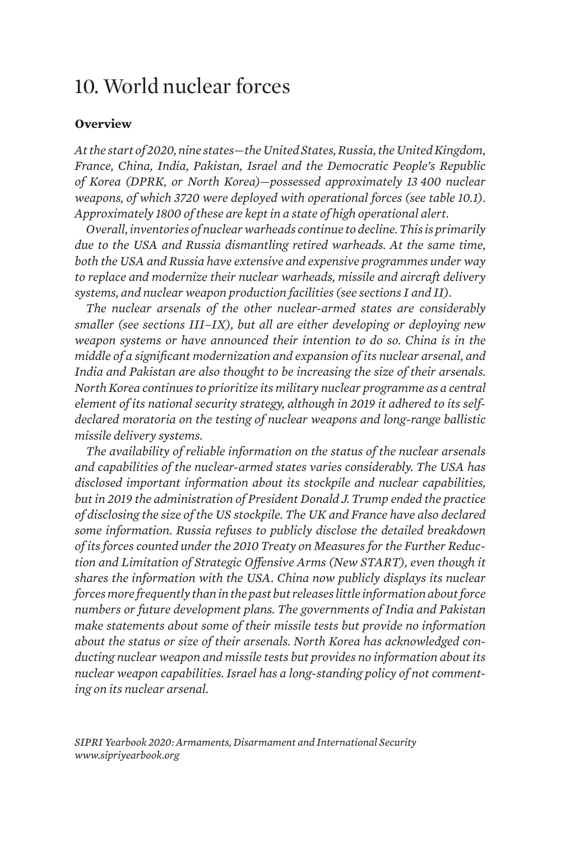# 10. World nuclear forces

# **Overview**

*At the start of 2020, nine states—the United States, Russia, the United Kingdom, France, China, India, Pakistan, Israel and the Democratic People's Republic of Korea (DPRK, or North Korea)—possessed approximately 13 400 nuclear*  weapons, of which 3720 were deployed with operational forces (see table 10.1). *Approximately 1800 of these are kept in a state of high operational alert.*

*Overall, inventories of nuclear warheads continue to decline. This is primarily due to the USA and Russia dismantling retired warheads. At the same time, both the USA and Russia have extensive and expensive programmes under way to replace and modernize their nuclear warheads, missile and aircraft delivery systems, and nuclear weapon production facilities (see sections I and II).* 

*The nuclear arsenals of the other nuclear-armed states are considerably smaller (see sections III–IX), but all are either developing or deploying new weapon systems or have announced their intention to do so. China is in the middle of a significant modernization and expansion of its nuclear arsenal, and India and Pakistan are also thought to be increasing the size of their arsenals. North Korea continues to prioritize its military nuclear programme as a central element of its national security strategy, although in 2019 it adhered to its selfdeclared moratoria on the testing of nuclear weapons and long-range ballistic missile delivery systems.* 

*The availability of reliable information on the status of the nuclear arsenals and capabilities of the nuclear-armed states varies considerably. The USA has disclosed important information about its stockpile and nuclear capabilities, but in 2019 the administration of President Donald J. Trump ended the practice of disclosing the size of the US stockpile. The UK and France have also declared some information. Russia refuses to publicly disclose the detailed breakdown of its forces counted under the 2010 Treaty on Measures for the Further Reduction and Limitation of Strategic Offensive Arms (New START), even though it shares the information with the USA. China now publicly displays its nuclear forces more frequently than in the past but releases little information about force numbers or future development plans. The governments of India and Pakistan make statements about some of their missile tests but provide no information about the status or size of their arsenals. North Korea has acknowledged conducting nuclear weapon and missile tests but provides no information about its nuclear weapon capabilities. Israel has a long-standing policy of not commenting on its nuclear arsenal.*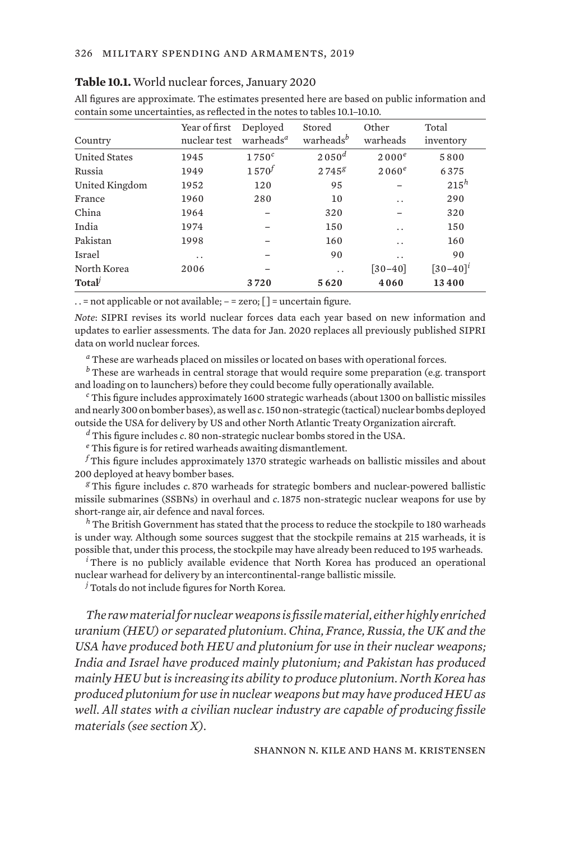| Country              | Year of first<br>nuclear test | Deployed<br>warheads <sup>a</sup> | Stored<br>warheads <sup>b</sup> | Other<br>warheads    | Total<br>inventory |
|----------------------|-------------------------------|-----------------------------------|---------------------------------|----------------------|--------------------|
| <b>United States</b> | 1945                          | 1750 <sup>c</sup>                 | $2050^d$                        | 2000 <sup>e</sup>    | 5800               |
| Russia               | 1949                          | $1570^{f}$                        | 27458                           | $2060^e$             | 6375               |
| United Kingdom       | 1952                          | 120                               | 95                              |                      | $215^h$            |
| France               | 1960                          | 280                               | 10                              | $\ddot{\phantom{0}}$ | 290                |
| China                | 1964                          |                                   | 320                             |                      | 320                |
| India                | 1974                          |                                   | 150                             | $\ddot{\phantom{0}}$ | 150                |
| Pakistan             | 1998                          |                                   | 160                             | $\ddot{\phantom{0}}$ | 160                |
| Israel               | $\ddotsc$                     |                                   | 90                              | . .                  | 90                 |
| North Korea          | 2006                          |                                   | . .                             | $[30 - 40]$          | $[30-40]^{i}$      |
| Total <sup>j</sup>   |                               | 3720                              | 5620                            | 4060                 | 13400              |

| Table 10.1. World nuclear forces, January 2020                                                |
|-----------------------------------------------------------------------------------------------|
| All figures are approximate. The estimates presented here are based on public information and |
| contain some uncertainties, as reflected in the notes to tables 10.1–10.10.                   |

. . = not applicable or not available; – = zero; [ ] = uncertain figure.

*Note*: SIPRI revises its world nuclear forces data each year based on new information and updates to earlier assessments. The data for Jan. 2020 replaces all previously published SIPRI data on world nuclear forces.

*<sup>a</sup>* These are warheads placed on missiles or located on bases with operational forces.

*<sup>b</sup>* These are warheads in central storage that would require some preparation (e.g. transport and loading on to launchers) before they could become fully operationally available.

*<sup>c</sup>* This figure includes approximately 1600 strategic warheads (about 1300 on ballistic missiles and nearly 300 on bomber bases), as well as *c*.150 non-strategic (tactical) nuclear bombs deployed outside the USA for delivery by US and other North Atlantic Treaty Organization aircraft.

*<sup>d</sup>* This figure includes *c*. 80 non-strategic nuclear bombs stored in the USA.

*<sup>e</sup>* This figure is for retired warheads awaiting dismantlement.

*<sup>f</sup>* This figure includes approximately 1370 strategic warheads on ballistic missiles and about 200 deployed at heavy bomber bases.

*<sup>g</sup>* This figure includes *c*. 870 warheads for strategic bombers and nuclear-powered ballistic missile submarines (SSBNs) in overhaul and *c*.1875 non-strategic nuclear weapons for use by short-range air, air defence and naval forces.

*<sup>h</sup>* The British Government has stated that the process to reduce the stockpile to 180 warheads is under way. Although some sources suggest that the stockpile remains at 215 warheads, it is possible that, under this process, the stockpile may have already been reduced to 195 warheads.

*<sup>i</sup>* There is no publicly available evidence that North Korea has produced an operational nuclear warhead for delivery by an intercontinental-range ballistic missile.

*<sup>j</sup>* Totals do not include figures for North Korea.

*The raw material for nuclear weapons is fissile material, either highly enriched uranium (HEU) or separated plutonium. China, France, Russia, the UK and the USA have produced both HEU and plutonium for use in their nuclear weapons; India and Israel have produced mainly plutonium; and Pakistan has produced mainly HEU but is increasing its ability to produce plutonium. North Korea has produced plutonium for use in nuclear weapons but may have produced HEU as well. All states with a civilian nuclear industry are capable of producing fissile materials (see section X).*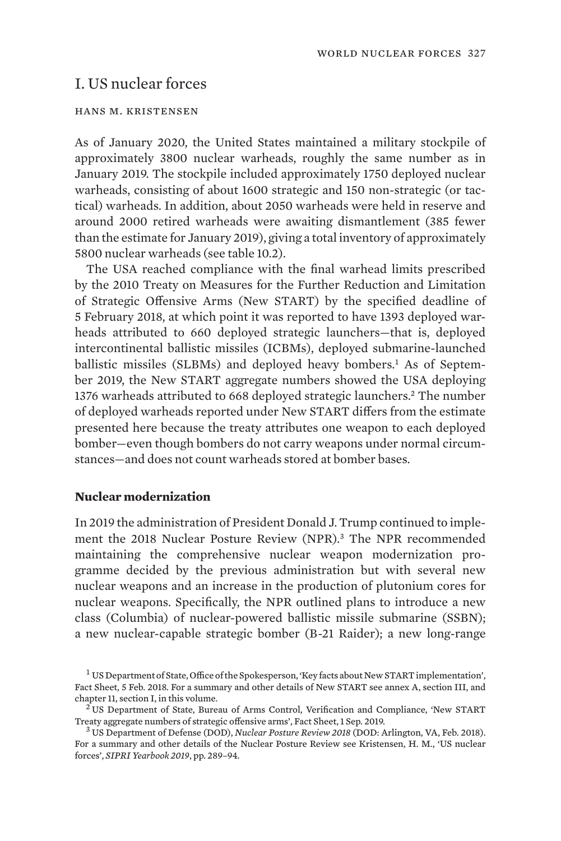# I. US nuclear forces

## hans m. kristensen

As of January 2020, the United States maintained a military stockpile of approximately 3800 nuclear warheads, roughly the same number as in January 2019. The stockpile included approximately 1750 deployed nuclear warheads, consisting of about 1600 strategic and 150 non-strategic (or tactical) warheads. In addition, about 2050 warheads were held in reserve and around 2000 retired warheads were awaiting dismantlement (385 fewer than the estimate for January 2019), giving a total inventory of approximately 5800 nuclear warheads (see table 10.2).

The USA reached compliance with the final warhead limits prescribed by the 2010 Treaty on Measures for the Further Reduction and Limitation of Strategic Offensive Arms (New START) by the specified deadline of 5 February 2018, at which point it was reported to have 1393 deployed warheads attributed to 660 deployed strategic launchers—that is, deployed intercontinental ballistic missiles (ICBMs), deployed submarine-launched ballistic missiles (SLBMs) and deployed heavy bombers.<sup>1</sup> As of September 2019, the New START aggregate numbers showed the USA deploying 1376 warheads attributed to 668 deployed strategic launchers.<sup>2</sup> The number of deployed warheads reported under New START differs from the estimate presented here because the treaty attributes one weapon to each deployed bomber—even though bombers do not carry weapons under normal circumstances—and does not count warheads stored at bomber bases.

## **Nuclear modernization**

In 2019 the administration of President Donald J. Trump continued to implement the 2018 Nuclear Posture Review (NPR).3 The NPR recommended maintaining the comprehensive nuclear weapon modernization programme decided by the previous administration but with several new nuclear weapons and an increase in the production of plutonium cores for nuclear weapons. Specifically, the NPR outlined plans to introduce a new class (Columbia) of nuclear-powered ballistic missile submarine (SSBN); a new nuclear-capable strategic bomber (B-21 Raider); a new long-range

 $1$  US Department of State, Office of the Spokesperson, ['Key facts about New START implementation'](https://www.state.gov/key-facts-about-new-start-treaty-implementation/), Fact Sheet, 5 Feb. 2018. For a summary and other details of New START see annex A, section III, and

chapter 11, section I, in this volume.<br><sup>2</sup> US Department of State, Bureau of Arms Control, Verification and Compliance, '[New START](https://www.state.gov/new-start-treaty-aggregate-numbers-of-strategic-offensive-arms-11/)<br>Treaty aggregate numbers of strategic offensive arms', Fact Sheet, 1 Sep. 2019.

<sup>&</sup>lt;sup>3</sup> US Department of Defense (DOD), *Nuclear Posture Review 2018* (DOD: Arlington, VA, Feb. 2018). For a summary and other details of the Nuclear Posture Review see Kristensen, H. M., 'US nuclear forces', *SIPRI Yearbook 2019*, pp. 289–94.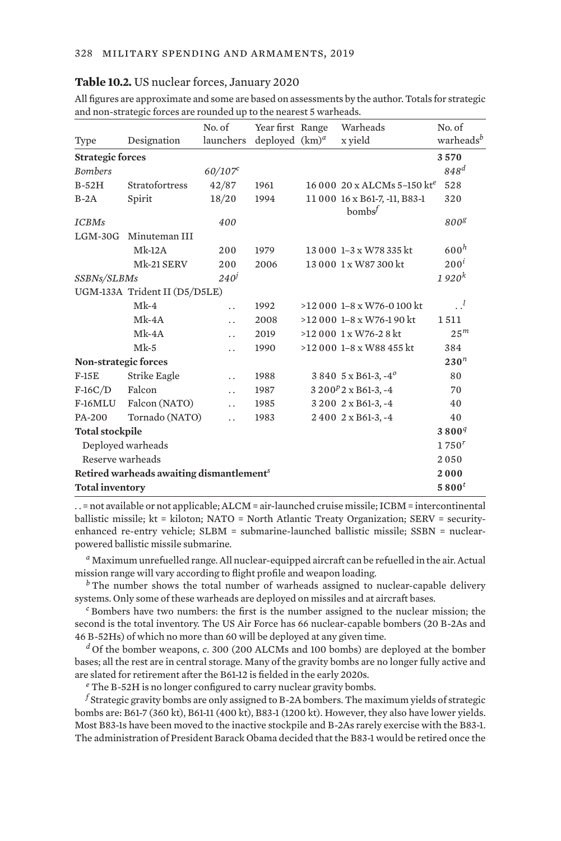#### **Table 10.2.** US nuclear forces, January 2020

| All figures are approximate and some are based on assessments by the author. Totals for strategic |  |
|---------------------------------------------------------------------------------------------------|--|
| and non-strategic forces are rounded up to the nearest 5 warheads.                                |  |

| Type                        | Designation                                          | No. of<br>launchers  | Year first Range<br>deployed $(km)^d$ | Warheads<br>x yield                                           | No. of<br>warheads <sup>b</sup> |
|-----------------------------|------------------------------------------------------|----------------------|---------------------------------------|---------------------------------------------------------------|---------------------------------|
| <b>Strategic forces</b>     |                                                      |                      |                                       |                                                               | 3570                            |
| <b>Bombers</b>              |                                                      | 60/107c              |                                       |                                                               | 848 <sup>d</sup>                |
| $B-52H$                     | Stratofortress                                       | 42/87                | 1961                                  | 16 000 20 x ALCMs 5-150 $\text{kt}^e$                         | 528                             |
| $B-2A$                      | Spirit                                               | 18/20                | 1994                                  | 11 000 16 x B61-7, -11, B83-1<br>$\text{homb}$ s <sup>t</sup> | 320                             |
| <b>ICBMs</b>                |                                                      | 400                  |                                       |                                                               | 8008                            |
| $LGM-30G$                   | Minuteman III                                        |                      |                                       |                                                               |                                 |
|                             | $Mk-12A$                                             | 200                  | 1979                                  | 13 000 1-3 x W78 335 kt                                       | 600 <sup>h</sup>                |
|                             | Mk-21 SERV                                           | 200                  | 2006                                  | 13 000 1 x W87 300 kt                                         | $200^i$                         |
| SSBNs/SLBMs                 |                                                      | 240 <sup>j</sup>     |                                       |                                                               | 1920 <sup>k</sup>               |
|                             | UGM-133A Trident II (D5/D5LE)                        |                      |                                       |                                                               |                                 |
|                             | $Mk-4$                                               | $\ddot{\phantom{0}}$ | 1992                                  | $>12000$ 1-8 x W76-0100 kt                                    | $\cdot \cdot$ <sup>1</sup>      |
|                             | $Mk-4A$                                              | $\ddot{\phantom{0}}$ | 2008                                  | $>12000$ 1-8 x W76-190 kt                                     | 1511                            |
|                             | $Mk-4A$                                              | $\ddot{\phantom{0}}$ | 2019                                  | >12 000 1 x W76-2 8 kt                                        | 25 <sup>m</sup>                 |
|                             | $Mk-5$                                               | $\ddot{\phantom{0}}$ | 1990                                  | $>12000$ 1-8 x W88 455 kt                                     | 384                             |
| <b>Non-strategic forces</b> |                                                      |                      |                                       |                                                               | $230^n$                         |
| $F-15E$                     | Strike Eagle                                         | . .                  | 1988                                  | $3840$ 5 x B61-3, -4 <sup>o</sup>                             | 80                              |
| $F-16C/D$                   | Falcon                                               | $\ddot{\phantom{0}}$ | 1987                                  | $3200^p$ 2 x B61-3, -4                                        | 70                              |
| F-16MLU                     | Falcon (NATO)                                        | $\ddot{\phantom{a}}$ | 1985                                  | 3 200 2 x B61-3, -4                                           | 40                              |
| <b>PA-200</b>               | Tornado (NATO)                                       |                      | 1983                                  | 2400 2 x B61-3, -4                                            | 40                              |
| <b>Total stockpile</b>      |                                                      |                      |                                       |                                                               | $3800^{q}$                      |
|                             | Deployed warheads                                    |                      |                                       |                                                               | $1750^{r}$                      |
| Reserve warheads            |                                                      |                      |                                       |                                                               | 2050                            |
|                             | Retired warheads awaiting dismantlement <sup>s</sup> |                      |                                       |                                                               | 2000                            |
| <b>Total inventory</b>      |                                                      |                      |                                       |                                                               | $5800^{t}$                      |

. . = not available or not applicable; ALCM = air-launched cruise missile; ICBM = intercontinental ballistic missile; kt = kiloton; NATO = North Atlantic Treaty Organization; SERV = securityenhanced re-entry vehicle; SLBM = submarine-launched ballistic missile; SSBN = nuclearpowered ballistic missile submarine.

*<sup>a</sup>* Maximum unrefuelled range. All nuclear-equipped aircraft can be refuelled in the air. Actual mission range will vary according to flight profile and weapon loading.

*<sup>b</sup>* The number shows the total number of warheads assigned to nuclear-capable delivery systems. Only some of these warheads are deployed on missiles and at aircraft bases.

*<sup>c</sup>* Bombers have two numbers: the first is the number assigned to the nuclear mission; the second is the total inventory. The US Air Force has 66 nuclear-capable bombers (20 B-2As and 46 B-52Hs) of which no more than 60 will be deployed at any given time.

*<sup>d</sup>* Of the bomber weapons, *c*. 300 (200 ALCMs and 100 bombs) are deployed at the bomber bases; all the rest are in central storage. Many of the gravity bombs are no longer fully active and are slated for retirement after the B61-12 is fielded in the early 2020s.

*<sup>e</sup>* The B-52H is no longer configured to carry nuclear gravity bombs.

*<sup>f</sup>* Strategic gravity bombs are only assigned to B-2A bombers. The maximum yields of strategic bombs are: B61-7 (360 kt), B61-11 (400 kt), B83-1 (1200 kt). However, they also have lower yields. Most B83-1s have been moved to the inactive stockpile and B-2As rarely exercise with the B83-1. The administration of President Barack Obama decided that the B83-1 would be retired once the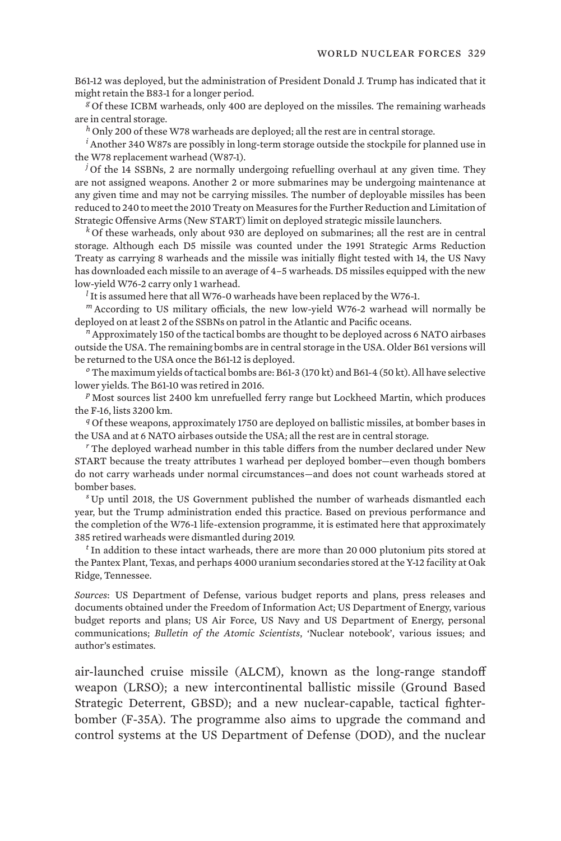B61-12 was deployed, but the administration of President Donald J. Trump has indicated that it might retain the B83-1 for a longer period.

*<sup>g</sup>* Of these ICBM warheads, only 400 are deployed on the missiles. The remaining warheads are in central storage.

*<sup>h</sup>* Only 200 of these W78 warheads are deployed; all the rest are in central storage.

*<sup>i</sup>* Another 340 W87s are possibly in long-term storage outside the stockpile for planned use in the W78 replacement warhead (W87-1).

*<sup>j</sup>* Of the 14 SSBNs, 2 are normally undergoing refuelling overhaul at any given time. They are not assigned weapons. Another 2 or more submarines may be undergoing maintenance at any given time and may not be carrying missiles. The number of deployable missiles has been reduced to 240 to meet the 2010 Treaty on Measures for the Further Reduction and Limitation of Strategic Offensive Arms (New START) limit on deployed strategic missile launchers.

*<sup>k</sup>* Of these warheads, only about 930 are deployed on submarines; all the rest are in central storage. Although each D5 missile was counted under the 1991 Strategic Arms Reduction Treaty as carrying 8 warheads and the missile was initially flight tested with 14, the US Navy has downloaded each missile to an average of 4–5 warheads. D5 missiles equipped with the new low-yield W76-2 carry only 1 warhead.

<sup>l</sup> It is assumed here that all W76-0 warheads have been replaced by the W76-1.

*<sup>m</sup>* According to US military officials, the new low-yield W76-2 warhead will normally be deployed on at least 2 of the SSBNs on patrol in the Atlantic and Pacific oceans.

*<sup>n</sup>* Approximately 150 of the tactical bombs are thought to be deployed across 6 NATO airbases outside the USA. The remaining bombs are in central storage in the USA. Older B61 versions will be returned to the USA once the B61-12 is deployed.

*<sup>o</sup>* The maximum yields of tactical bombs are: B61-3 (170 kt) and B61-4 (50 kt). All have selective lower yields. The B61-10 was retired in 2016.

*<sup>p</sup>* Most sources list 2400 km unrefuelled ferry range but Lockheed Martin, which produces the F-16, lists 3200 km.

*<sup>q</sup>* Of these weapons, approximately 1750 are deployed on ballistic missiles, at bomber bases in the USA and at 6 NATO airbases outside the USA; all the rest are in central storage.

*<sup>r</sup>* The deployed warhead number in this table differs from the number declared under New START because the treaty attributes 1 warhead per deployed bomber—even though bombers do not carry warheads under normal circumstances—and does not count warheads stored at bomber bases.

*<sup>s</sup>* Up until 2018, the US Government published the number of warheads dismantled each year, but the Trump administration ended this practice. Based on previous performance and the completion of the W76-1 life-extension programme, it is estimated here that approximately 385 retired warheads were dismantled during 2019.

*<sup>t</sup>* In addition to these intact warheads, there are more than 20 000 plutonium pits stored at the Pantex Plant, Texas, and perhaps 4000 uranium secondaries stored at the Y-12 facility at Oak Ridge, Tennessee.

*Sources*: US Department of Defense, various budget reports and plans, press releases and documents obtained under the Freedom of Information Act; US Department of Energy, various budget reports and plans; US Air Force, US Navy and US Department of Energy, personal communications; *Bulletin of the Atomic Scientists*, 'Nuclear notebook', various issues; and author's estimates.

air-launched cruise missile (ALCM), known as the long-range standoff weapon (LRSO); a new intercontinental ballistic missile (Ground Based Strategic Deterrent, GBSD); and a new nuclear-capable, tactical fighterbomber (F-35A). The programme also aims to upgrade the command and control systems at the US Department of Defense (DOD), and the nuclear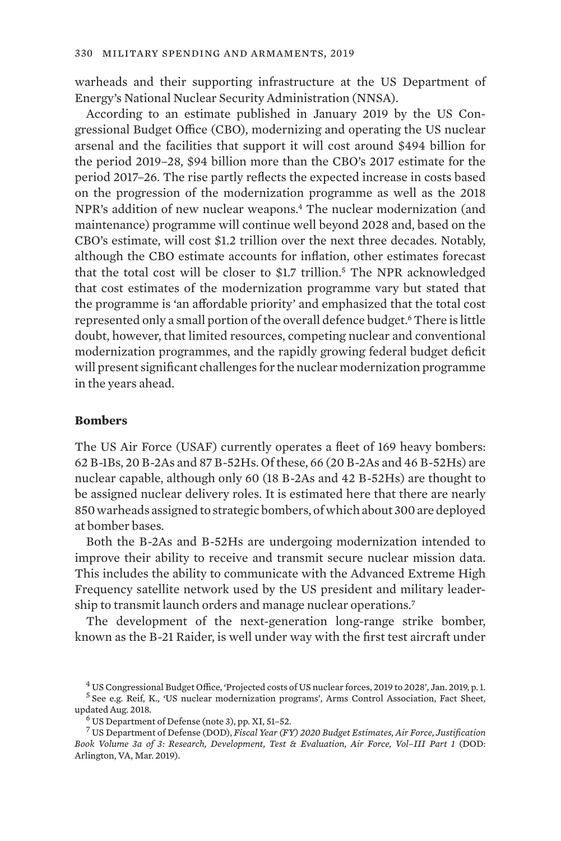warheads and their supporting infrastructure at the US Department of Energy's National Nuclear Security Administration (NNSA).

According to an estimate published in January 2019 by the US Congressional Budget Office (CBO), modernizing and operating the US nuclear arsenal and the facilities that support it will cost around \$494 billion for the period 2019–28, \$94 billion more than the CBO's 2017 estimate for the period 2017–26. The rise partly reflects the expected increase in costs based on the progression of the modernization programme as well as the 2018 NPR's addition of new nuclear weapons.<sup>4</sup> The nuclear modernization (and maintenance) programme will continue well beyond 2028 and, based on the CBO's estimate, will cost \$1.2 trillion over the next three decades. Notably, although the CBO estimate accounts for inflation, other estimates forecast that the total cost will be closer to \$1.7 trillion.5 The NPR acknowledged that cost estimates of the modernization programme vary but stated that the programme is 'an affordable priority' and emphasized that the total cost represented only a small portion of the overall defence budget.<sup>6</sup> There is little doubt, however, that limited resources, competing nuclear and conventional modernization programmes, and the rapidly growing federal budget deficit will present significant challenges for the nuclear modernization programme in the years ahead.

#### **Bombers**

The US Air Force (USAF) currently operates a fleet of 169 heavy bombers: 62 B-1Bs, 20 B-2As and 87 B-52Hs. Of these, 66 (20 B-2As and 46 B-52Hs) are nuclear capable, although only 60 (18 B-2As and 42 B-52Hs) are thought to be assigned nuclear delivery roles. It is estimated here that there are nearly 850 warheads assigned to strategic bombers, of which about 300 are deployed at bomber bases.

Both the B-2As and B-52Hs are undergoing modernization intended to improve their ability to receive and transmit secure nuclear mission data. This includes the ability to communicate with the Advanced Extreme High Frequency satellite network used by the US president and military leadership to transmit launch orders and manage nuclear operations.<sup>7</sup>

The development of the next-generation long-range strike bomber, known as the B-21 Raider, is well under way with the first test aircraft under

 $^4$  US Congressional Budget Office, ['Projected costs of US nuclear forces, 2019 to 2028](https://www.cbo.gov/publication/54914)', Jan. 2019, p. 1.  $^5$  See e.g. Reif, K., '[US nuclear modernization programs](https://www.armscontrol.org/factsheets/USNuclearModernization)', Arms Control Association, Fact Sheet, updated Aug. 2

 $6$  US Department of Defense (note 3), pp. XI, 51–52.

<sup>7</sup> US Department of Defense (DOD), *[Fiscal Year \(FY\) 2020 Budget Estimates, Air Force, Justification](https://www.saffm.hq.af.mil/Portals/84/documents/FY20/RDTE/FY20_PB_RDTE_Vol-IIIa.pdf?ver=2019-03-18-153510-997) [Book Volume 3a of 3: Research, Development, Test & Evaluation, Air Force, Vol–III Part 1](https://www.saffm.hq.af.mil/Portals/84/documents/FY20/RDTE/FY20_PB_RDTE_Vol-IIIa.pdf?ver=2019-03-18-153510-997)* (DOD: Arlington, VA, Mar. 2019).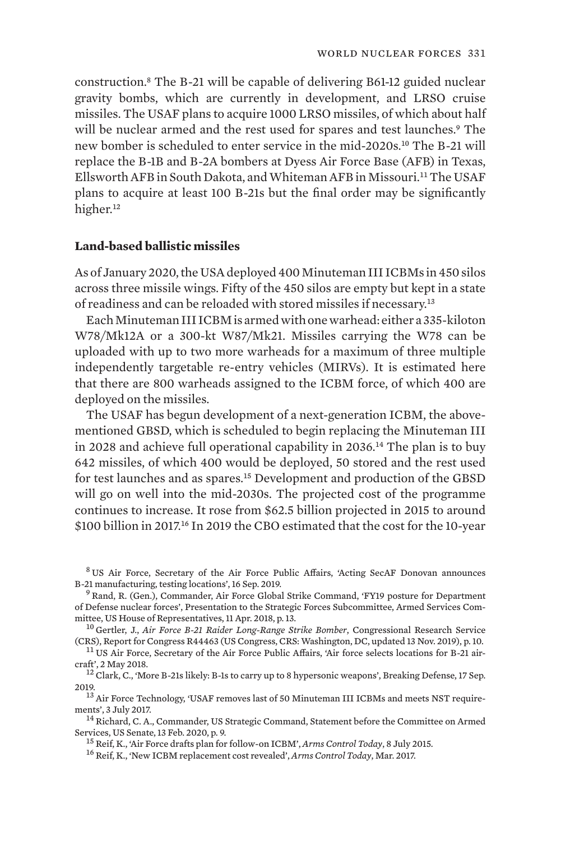construction. <sup>8</sup> The B-21 will be capable of delivering B61-12 guided nuclear gravity bombs, which are currently in development, and LRSO cruise missiles. The USAF plans to acquire 1000 LRSO missiles, of which about half will be nuclear armed and the rest used for spares and test launches.<sup>9</sup> The new bomber is scheduled to enter service in the mid-2020s.10 The B-21 will replace the B-1B and B-2A bombers at Dyess Air Force Base (AFB) in Texas, Ellsworth AFB in South Dakota, and Whiteman AFB in Missouri.11 The USAF plans to acquire at least 100 B-21s but the final order may be significantly higher.<sup>12</sup>

## **Land-based ballistic missiles**

As of January 2020, the USA deployed 400 Minuteman III ICBMs in 450 silos across three missile wings. Fifty of the 450 silos are empty but kept in a state of readiness and can be reloaded with stored missiles if necessary.<sup>13</sup>

Each Minuteman III ICBM is armed with one warhead: either a 335-kiloton W78/Mk12A or a 300-kt W87/Mk21. Missiles carrying the W78 can be uploaded with up to two more warheads for a maximum of three multiple independently targetable re-entry vehicles (MIRVs). It is estimated here that there are 800 warheads assigned to the ICBM force, of which 400 are deployed on the missiles.

The USAF has begun development of a next-generation ICBM, the abovementioned GBSD, which is scheduled to begin replacing the Minuteman III in 2028 and achieve full operational capability in 2036.14 The plan is to buy 642 missiles, of which 400 would be deployed, 50 stored and the rest used for test launches and as spares.15 Development and production of the GBSD will go on well into the mid-2030s. The projected cost of the programme continues to increase. It rose from \$62.5 billion projected in 2015 to around \$100 billion in 2017.<sup>16</sup> In 2019 the CBO estimated that the cost for the 10-year

 $8$  US Air Force, Secretary of the Air Force Public Affairs, ['Acting SecAF Donovan announces](https://www.af.mil/News/Article-Display/Article/1961512/acting-secaf-donovan-announces-b-21-manufacturing-testing-locations/) B-21 manufacturing testing locations', 16 Sep. 2019.

<sup>9</sup> Rand, R. (Gen.), Commander, Air Force Global Strike Command, ['FY19 posture for Department](https://docs.house.gov/meetings/AS/AS29/20180322/108035/HHRG-115-AS29-Wstate-RandR-20180322.pdf) [of Defense nuclear forces'](https://docs.house.gov/meetings/AS/AS29/20180322/108035/HHRG-115-AS29-Wstate-RandR-20180322.pdf), Presentation to the Strategic Forces Subcommittee, Armed Services Committee, US House of Representatives, 11 Apr. 2018, p. 13. <sup>10</sup> Gertler, J., *[Air Force B-21 Raider Long-Range Strike Bomber](https://fas.org/sgp/crs/weapons/R44463.pdf)*, Congressional Research Service

(CRS), Report for Congress R44463 (US Congress, CRS: Washington, DC, updated 13 Nov. 2019), p. 10. 11 US Air Force, Secretary of the Air Force Public Affairs, ['Air force selects locations for B-21 air-](https://www.af.mil/News/Article-Display/Article/1510408/air-force-selects-locations-for-b-21-aircraft/)

[craft](https://www.af.mil/News/Article-Display/Article/1510408/air-force-selects-locations-for-b-21-aircraft/)', 2 May 2018. <sup>12</sup> Clark, C., ['More B-21s likely: B-1s to carry up to 8 hypersonic weapons](https://breakingdefense.com/2019/09/more-b-21s-likely-b-1s-to-carry-up-to-8-hypersonic-weapons/)', Breaking Defense, 17 Sep.

2019. <sup>13</sup> Air Force Technology, '[USAF removes last of 50 Minuteman III ICBMs and meets NST require](https://www.airforce-technology.com/news/newsusaf-removes-last-of-50-minuteman-iii-icbms-to-meet-nst-requirements-5860111/)[ments'](https://www.airforce-technology.com/news/newsusaf-removes-last-of-50-minuteman-iii-icbms-to-meet-nst-requirements-5860111/), 3 July 2017.<br><sup>14</sup> Richard, C. A., Commander, US Strategic Command, [Statement before the Committee on Armed](https://www.armed-services.senate.gov/hearings/20-02-13-united-states-northern-command-and-united-states-strategic-command)

[Services,](https://www.armed-services.senate.gov/hearings/20-02-13-united-states-northern-command-and-united-states-strategic-command) US Senate, 13 Feb. 2020, p. 9.<br><sup>15</sup> Reif, K., ['Air Force drafts plan for follow-on ICBM'](https://www.armscontrol.org/act/2015-07/news/air-force-drafts-plan-follow-icbm), *Arms Control Today*, 8 July 2015.<br><sup>16</sup> Reif, K., '[New ICBM replacement cost revealed](https://www.armscontrol.org/act/2017-03/news/new-icbm-replacement-cost-revealed)', *Arms Control Today*, Mar. 2017.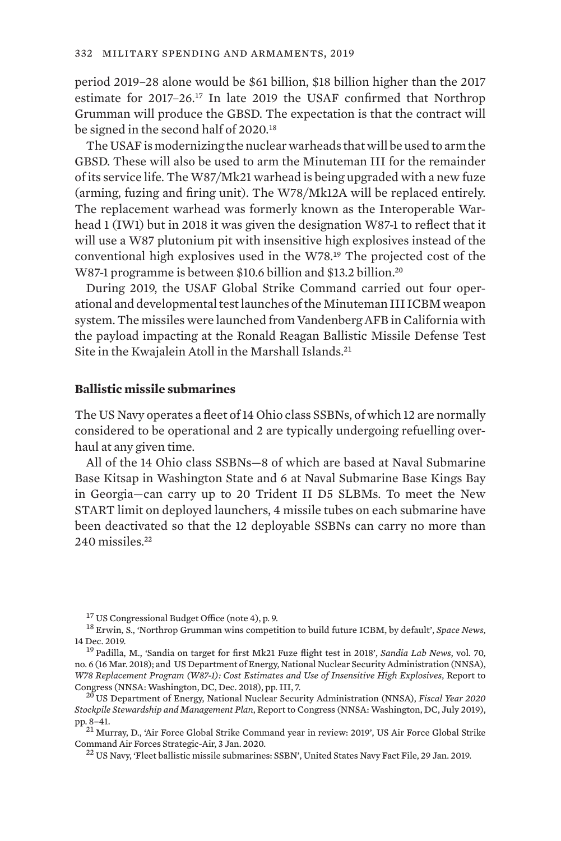period 2019–28 alone would be \$61 billion, \$18 billion higher than the 2017 estimate for 2017–26.17 In late 2019 the USAF confirmed that Northrop Grumman will produce the GBSD. The expectation is that the contract will be signed in the second half of 2020.<sup>18</sup>

The USAF is modernizing the nuclear warheads that will be used to arm the GBSD. These will also be used to arm the Minuteman III for the remainder of its service life. The W87/Mk21 warhead is being upgraded with a new fuze (arming, fuzing and firing unit). The W78/Mk12A will be replaced entirely. The replacement warhead was formerly known as the Interoperable Warhead 1 (IW1) but in 2018 it was given the designation W87-1 to reflect that it will use a W87 plutonium pit with insensitive high explosives instead of the conventional high explosives used in the W78.19 The projected cost of the W87-1 programme is between \$10.6 billion and \$13.2 billion.<sup>20</sup>

During 2019, the USAF Global Strike Command carried out four operational and developmental test launches of the Minuteman III ICBM weapon system. The missiles were launched from Vandenberg AFB in California with the payload impacting at the Ronald Reagan Ballistic Missile Defense Test Site in the Kwajalein Atoll in the Marshall Islands.<sup>21</sup>

## **Ballistic missile submarines**

The US Navy operates a fleet of 14 Ohio class SSBNs, of which 12 are normally considered to be operational and 2 are typically undergoing refuelling overhaul at any given time.

All of the 14 Ohio class SSBNs—8 of which are based at Naval Submarine Base Kitsap in Washington State and 6 at Naval Submarine Base Kings Bay in Georgia—can carry up to 20 Trident II D5 SLBMs. To meet the New START limit on deployed launchers, 4 missile tubes on each submarine have been deactivated so that the 12 deployable SSBNs can carry no more than 240 missiles.<sup>22</sup>

 $^{21}$  Murray, D., ['Air Force Global Strike Command year in review: 2019'](https://www.afgsc.af.mil/News/Article-Display/Article/2050189/air-force-global-strike-command-year-in-review-2019/), US Air Force Global Strike Command Air Forces Strategic-Air, 3 Jan. 2020. <sup>22</sup> US Navy, ['Fleet ballistic missile submarines: SSBN'](https://www.navy.mil/navydata/fact_display.asp?cid=4100&tid=200&ct=4), United States Navy Fact File, 29 Jan. 2019.

<sup>&</sup>lt;sup>17</sup> US Congressional Budget Office (note 4), p. 9.<br><sup>18</sup> Erwin, S., ['Northrop Grumman wins competition to build future ICBM, by default](https://spacenews.com/northrop-grumman-wins-competition-to-build-future-icbm-by-default/)', *Space News*,<br>14 Dec. 2019.

<sup>&</sup>lt;sup>19</sup> Padilla, M., ['Sandia on target for first Mk21 Fuze flight test in 2018'](https://www.sandia.gov/news/publications/labnews/_assets/documents/issues/2018/labnews03-16-18.pdf), *Sandia Lab News*, vol. 70, no. 6 (16 Mar. 2018); and US Department of Energy, National Nuclear Security Administration (NNSA), *[W78 Replacement Program \(W87-1\): Cost Estimates and Use of Insensitive High Explosives](https://nukewatch.org/newsite/wp-content/uploads/2019/02/W78-Replacement-Program-Cost-Estimates-IHE-1.pdf)*, Report to Congress (NNSA: Washington, DC, Dec. 2018), pp. III, 7. <sup>20</sup> US Department of Energy, National Nuclear Security Administration (NNSA), *[Fiscal Year 2020](https://www.energy.gov/nnsa/downloads/stockpile-stewardship-and-management-plan-ssmp)* 

*[Stockpile Stewardship and Management Plan](https://www.energy.gov/nnsa/downloads/stockpile-stewardship-and-management-plan-ssmp)*, Report to Congress (NNSA: Washington, DC, July 2019),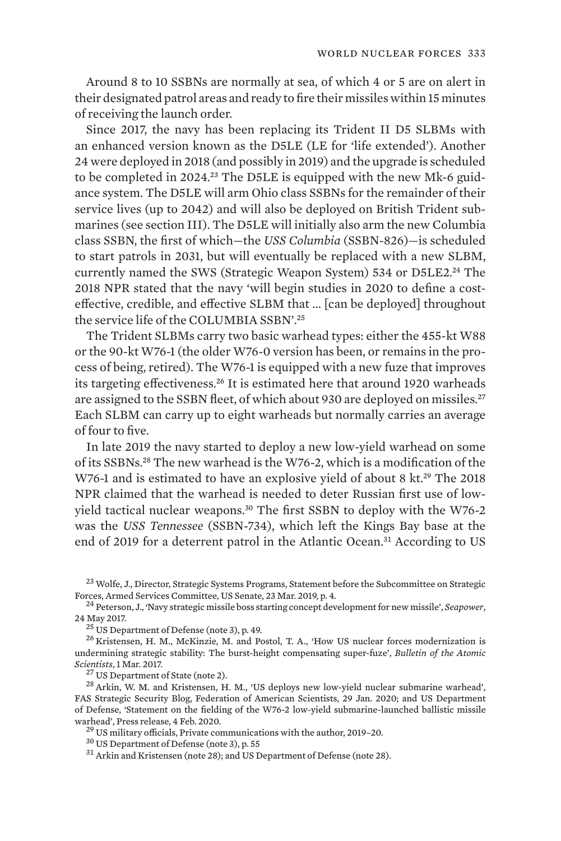Around 8 to 10 SSBNs are normally at sea, of which 4 or 5 are on alert in their designated patrol areas and ready to fire their missiles within 15 minutes of receiving the launch order.

Since 2017, the navy has been replacing its Trident II D5 SLBMs with an enhanced version known as the D5LE (LE for 'life extended'). Another 24 were deployed in 2018 (and possibly in 2019) and the upgrade is scheduled to be completed in 2024.23 The D5LE is equipped with the new Mk-6 guidance system. The D5LE will arm Ohio class SSBNs for the remainder of their service lives (up to 2042) and will also be deployed on British Trident submarines (see section III). The D5LE will initially also arm the new Columbia class SSBN, the first of which—the *USS Columbia* (SSBN-826)—is scheduled to start patrols in 2031, but will eventually be replaced with a new SLBM, currently named the SWS (Strategic Weapon System) 534 or D5LE2.<sup>24</sup> The 2018 NPR stated that the navy 'will begin studies in 2020 to define a costeffective, credible, and effective SLBM that ... [can be deployed] throughout the service life of the COLUMBIA SSBN'.<sup>25</sup>

The Trident SLBMs carry two basic warhead types: either the 455-kt W88 or the 90-kt W76-1 (the older W76-0 version has been, or remains in the process of being, retired). The W76-1 is equipped with a new fuze that improves its targeting effectiveness.26 It is estimated here that around 1920 warheads are assigned to the SSBN fleet, of which about 930 are deployed on missiles.<sup>27</sup> Each SLBM can carry up to eight warheads but normally carries an average of four to five.

In late 2019 the navy started to deploy a new low-yield warhead on some of its SSBNs.28 The new warhead is the W76-2, which is a modification of the W76-1 and is estimated to have an explosive yield of about 8 kt.<sup>29</sup> The 2018 NPR claimed that the warhead is needed to deter Russian first use of lowyield tactical nuclear weapons.30 The first SSBN to deploy with the W76-2 was the *USS Tennessee* (SSBN-734), which left the Kings Bay base at the end of 2019 for a deterrent patrol in the Atlantic Ocean.<sup>31</sup> According to US

[Forces](https://www.armed-services.senate.gov/imo/media/doc/Wolfe_05-01-19.pdf), Armed Services Committee, US Senate, 23 Mar. 2019, p. 4. <sup>24</sup> Peterson, J., 'Navy strategic missile boss starting concept development for new missile', *Seapower*, 24 May 2017.<br><sup>25</sup> US Department of Defense (note 3), p. 49. 2016).<br><sup>26</sup> Kristensen, H. M., McKinzie, M. and Postol, T. A., '[How US nuclear forces modernization is](https://thebulletin.org/2017/03/how-us-nuclear-force-modernization-is-undermining-strategic-stability-the-burst-height-compensating-super-fuze/)

[undermining strategic stability: The burst-height compensating super-fuze'](https://thebulletin.org/2017/03/how-us-nuclear-force-modernization-is-undermining-strategic-stability-the-burst-height-compensating-super-fuze/), *Bulletin of the Atomic Scientists*, 1 Mar. 2017. <sup>27</sup> US Department of State (note 2). <sup>28</sup> Arkin, W. M. and Kristensen, H. M., '[US deploys new low-yield nuclear submarine warhead'](https://fas.org/blogs/security/2020/01/w76-2deployed/),

FAS Strategic Security Blog, Federation of American Scientists, 29 Jan. 2020; and US Department of Defense, '[Statement on the fielding of the W76-2 low-yield submarine-launched ballistic missile](https://www.defense.gov/Newsroom/Releases/Release/Article/2073532/statement-on-the-fielding-of-the-w76-2-low-yield-submarine-launched-ballistic-m/) [warhead](https://www.defense.gov/Newsroom/Releases/Release/Article/2073532/statement-on-the-fielding-of-the-w76-2-low-yield-submarine-launched-ballistic-m/)', Press release, 4 Feb. 2020.<br><sup>29</sup> US military officials, Private communications with the author, 2019–20.<br><sup>30</sup> US Department of Defense (note 3), p. 55<br><sup>31</sup> Arkin and Kristensen (note 28); and US Department of De

 $^{23}$  Wolfe, J., Director, Strategic Systems Programs, [Statement before the Subcommittee on Strategic](https://www.armed-services.senate.gov/imo/media/doc/Wolfe_05-01-19.pdf) Forces, Armed Services Committee, US Senate, 23 Mar. 2019, p. 4.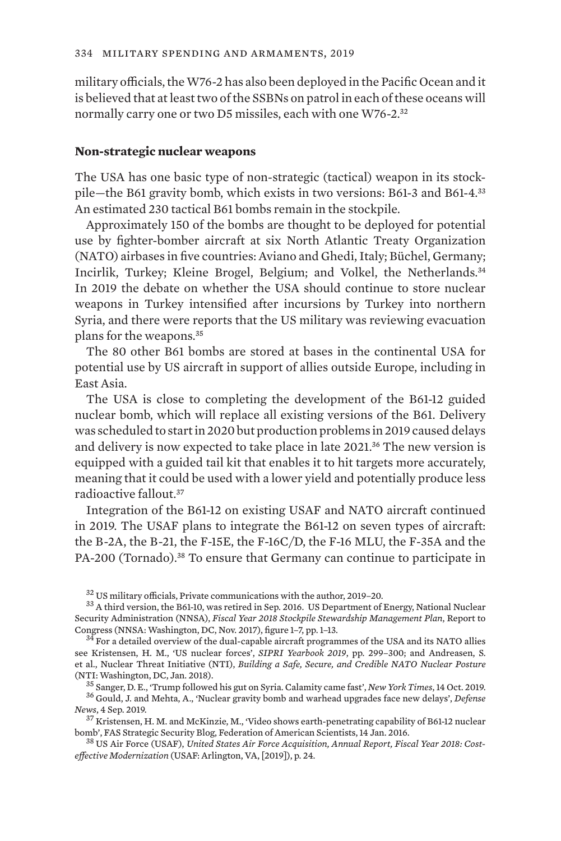military officials, the W76-2 has also been deployed in the Pacific Ocean and it is believed that at least two of the SSBNs on patrol in each of these oceans will normally carry one or two D5 missiles, each with one W76-2.<sup>32</sup>

#### **Non-strategic nuclear weapons**

The USA has one basic type of non-strategic (tactical) weapon in its stockpile—the B61 gravity bomb, which exists in two versions: B61-3 and B61-4.<sup>33</sup> An estimated 230 tactical B61 bombs remain in the stockpile.

Approximately 150 of the bombs are thought to be deployed for potential use by fighter-bomber aircraft at six North Atlantic Treaty Organization (NATO) airbases in five countries: Aviano and Ghedi, Italy; Büchel, Germany; Incirlik, Turkey; Kleine Brogel, Belgium; and Volkel, the Netherlands.<sup>34</sup> In 2019 the debate on whether the USA should continue to store nuclear weapons in Turkey intensified after incursions by Turkey into northern Syria, and there were reports that the US military was reviewing evacuation plans for the weapons.<sup>35</sup>

The 80 other B61 bombs are stored at bases in the continental USA for potential use by US aircraft in support of allies outside Europe, including in East Asia.

The USA is close to completing the development of the B61-12 guided nuclear bomb, which will replace all existing versions of the B61. Delivery was scheduled to start in 2020 but production problems in 2019 caused delays and delivery is now expected to take place in late 2021.<sup>36</sup> The new version is equipped with a guided tail kit that enables it to hit targets more accurately, meaning that it could be used with a lower yield and potentially produce less radioactive fallout.<sup>37</sup>

Integration of the B61-12 on existing USAF and NATO aircraft continued in 2019. The USAF plans to integrate the B61-12 on seven types of aircraft: the B-2A, the B-21, the F-15E, the F-16C/D, the F-16 MLU, the F-35A and the PA-200 (Tornado).38 To ensure that Germany can continue to participate in

 $32$  US military officials, Private communications with the author, 2019–20.<br> $33$  A third version, the B61-10, was retired in Sep. 2016. US Department of Energy, National Nuclear Security Administration (NNSA), *[Fiscal Year 2018 Stockpile Stewardship Management Plan](https://www.energy.gov/nnsa/downloads/stockpile-stewardship-and-management-plan-ssmp)*, Report to

 $3\overline{4}$  For a detailed overview of the dual-capable aircraft programmes of the USA and its NATO allies see Kristensen, H. M., 'US nuclear forces', *SIPRI Yearbook 2019*, pp. 299–300; and Andreasen, S. et al., Nuclear Threat Initiative (NTI), *Building a Safe, Secure, and Credible NATO Nuclear Posture*

<sup>(</sup>NTI: Washington, DC, Jan. 2018).<br><sup>35</sup> Sanger, D. E., '[Trump followed his gut on Syria. Calamity came fast'](https://www.nytimes.com/2019/10/14/world/middleeast/trump-turkey-syria.html), *New York Times*, 14 Oct. 2019.<br><sup>36</sup> Gould, J. and Mehta, A., 'Nuclear gravity bomb and warhead upgrades face new

*News,* 4 Sep. 2019.<br><sup>37</sup> Kristensen, H. M. and McKinzie, M., ['Video shows earth-penetrating capability of B61-12 nuclear](https://fas.org/blogs/security/2016/01/b61-12_earth-penetration/)<br>bomb', FAS Strategic Security Blog, Federation of American Scientists, 14 Jan. 2016.

<sup>&</sup>lt;sup>38</sup> US Air Force (USAF), [United States Air Force Acquisition, Annual Report, Fiscal Year 2018: Cost](https://www.af.mil/Portals/1/documents/5/FY18_AQReport.pdf)*[effective Modernization](https://www.af.mil/Portals/1/documents/5/FY18_AQReport.pdf)* (USAF: Arlington, VA, [2019]), p. 24.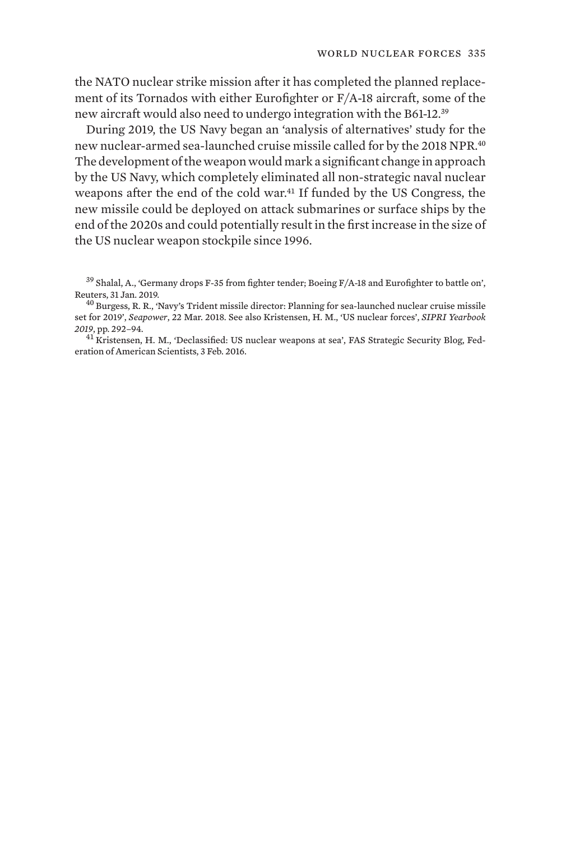the NATO nuclear strike mission after it has completed the planned replacement of its Tornados with either Eurofighter or F/A-18 aircraft, some of the new aircraft would also need to undergo integration with the B61-12.<sup>39</sup>

During 2019, the US Navy began an 'analysis of alternatives' study for the new nuclear-armed sea-launched cruise missile called for by the 2018 NPR.<sup>40</sup> The development of the weapon would mark a significant change in approach by the US Navy, which completely eliminated all non-strategic naval nuclear weapons after the end of the cold war.41 If funded by the US Congress, the new missile could be deployed on attack submarines or surface ships by the end of the 2020s and could potentially result in the first increase in the size of the US nuclear weapon stockpile since 1996.

 $^{39}$  Shalal, A., '[Germany drops F-35 from fighter tender; Boeing F/A-18 and Eurofighter to battle on'](https://www.reuters.com/article/us-germany-military-fighter/social-democrats-put-brakes-on-german-fighter-jet-replacement-idUSKCN1PP2DM), Reuters, 31 Jan. 2019.

<sup>&</sup>lt;sup>40</sup> Burgess, R. R., 'Navy's Trident missile director: Planning for sea-launched nuclear cruise missile set for 2019', *Seapower*, 22 Mar. 2018. See also Kristensen, H. M., 'US nuclear forces', *SIPRI Yearbook 2019*, pp. 292–94.

<sup>&</sup>lt;sup>41</sup> Kristensen, H. M., ['Declassified: US nuclear weapons at sea](https://fas.org/blogs/security/2016/02/nuclear-weapons-at-sea/)', FAS Strategic Security Blog, Federation of American Scientists, 3 Feb. 2016.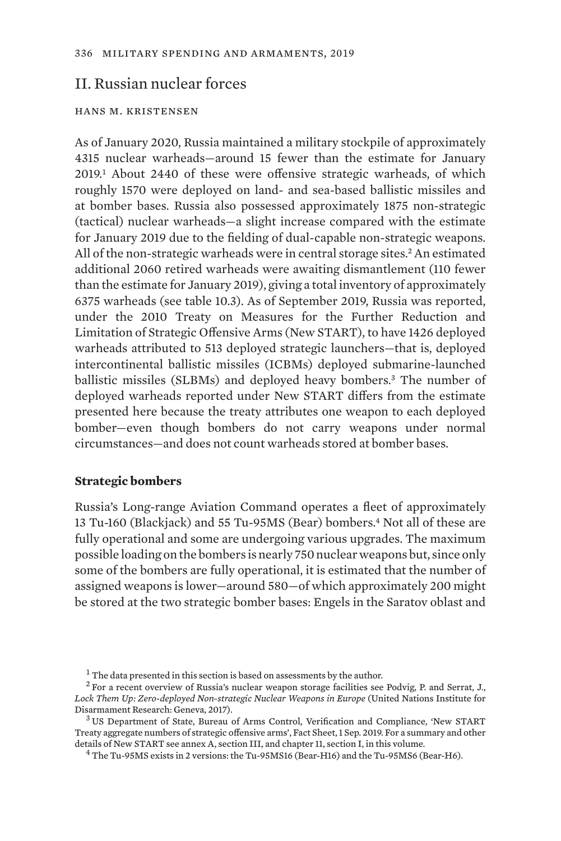# II. Russian nuclear forces

#### hans m. kristensen

As of January 2020, Russia maintained a military stockpile of approximately 4315 nuclear warheads—around 15 fewer than the estimate for January 2019.1 About 2440 of these were offensive strategic warheads, of which roughly 1570 were deployed on land- and sea-based ballistic missiles and at bomber bases. Russia also possessed approximately 1875 non-strategic (tactical) nuclear warheads—a slight increase compared with the estimate for January 2019 due to the fielding of dual-capable non-strategic weapons. All of the non-strategic warheads were in central storage sites.<sup>2</sup> An estimated additional 2060 retired warheads were awaiting dismantlement (110 fewer than the estimate for January 2019), giving a total inventory of approximately 6375 warheads (see table 10.3). As of September 2019, Russia was reported, under the 2010 Treaty on Measures for the Further Reduction and Limitation of Strategic Offensive Arms (New START), to have 1426 deployed warheads attributed to 513 deployed strategic launchers—that is, deployed intercontinental ballistic missiles (ICBMs) deployed submarine-launched ballistic missiles (SLBMs) and deployed heavy bombers.3 The number of deployed warheads reported under New START differs from the estimate presented here because the treaty attributes one weapon to each deployed bomber—even though bombers do not carry weapons under normal circumstances—and does not count warheads stored at bomber bases.

#### **Strategic bombers**

Russia's Long-range Aviation Command operates a fleet of approximately 13 Tu-160 (Blackjack) and 55 Tu-95MS (Bear) bombers.4 Not all of these are fully operational and some are undergoing various upgrades. The maximum possible loading on the bombers is nearly 750 nuclear weapons but, since only some of the bombers are fully operational, it is estimated that the number of assigned weapons is lower—around 580—of which approximately 200 might be stored at the two strategic bomber bases: Engels in the Saratov oblast and

 $1$ <sup>1</sup> The data presented in this section is based on assessments by the author.

<sup>&</sup>lt;sup>2</sup> For a recent overview of Russia's nuclear weapon storage facilities see Podvig, P. and Serrat, J., Lock Them Up: Zero-deployed Non-strategic Nuclear Weapons in Europe (United Nations Institute for<br>Disarmament Research: Geneva. 2017).

 $3$  US Department of State, Bureau of Arms Control, Verification and Compliance, '[New START](https://www.state.gov/new-start-treaty-aggregate-numbers-of-strategic-offensive-arms-11/) [Treaty aggregate numbers of strategic offensive arms'](https://www.state.gov/new-start-treaty-aggregate-numbers-of-strategic-offensive-arms-11/), Fact Sheet, 1 Sep. 2019. For a summary and other

 $4$  The Tu-95MS exists in 2 versions: the Tu-95MS16 (Bear-H16) and the Tu-95MS6 (Bear-H6).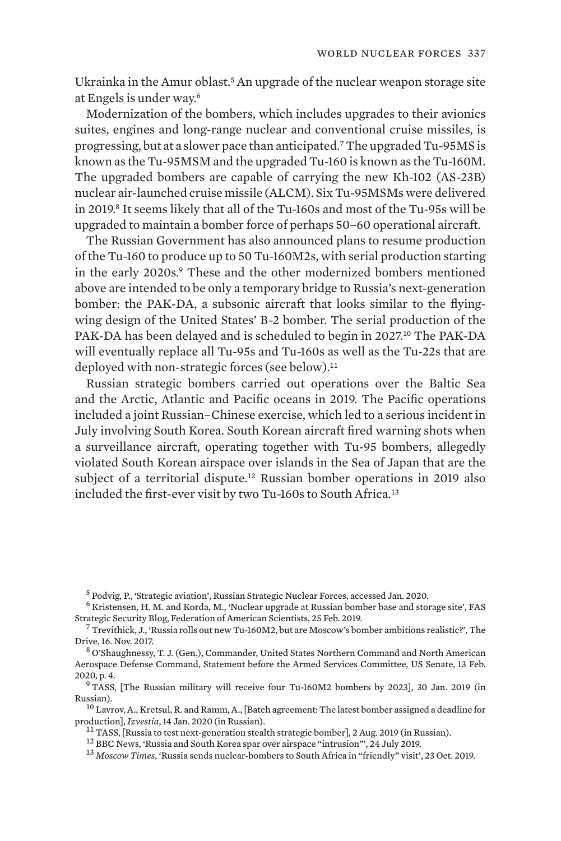Ukrainka in the Amur oblast.<sup>5</sup> An upgrade of the nuclear weapon storage site at Engels is under way.<sup>6</sup>

Modernization of the bombers, which includes upgrades to their avionics suites, engines and long-range nuclear and conventional cruise missiles, is progressing, but at a slower pace than anticipated.7 The upgraded Tu-95MS is known as the Tu-95MSM and the upgraded Tu-160 is known as the Tu-160M. The upgraded bombers are capable of carrying the new Kh-102 (AS-23B) nuclear air-launched cruise missile (ALCM). Six Tu-95MSMs were delivered in 2019.8 It seems likely that all of the Tu-160s and most of the Tu-95s will be upgraded to maintain a bomber force of perhaps 50–60 operational aircraft.

The Russian Government has also announced plans to resume production of the Tu-160 to produce up to 50 Tu-160M2s, with serial production starting in the early 2020s.<sup>9</sup> These and the other modernized bombers mentioned above are intended to be only a temporary bridge to Russia's next-generation bomber: the PAK-DA, a subsonic aircraft that looks similar to the flyingwing design of the United States' B-2 bomber. The serial production of the PAK-DA has been delayed and is scheduled to begin in 2027.<sup>10</sup> The PAK-DA will eventually replace all Tu-95s and Tu-160s as well as the Tu-22s that are deployed with non-strategic forces (see below).<sup>11</sup>

Russian strategic bombers carried out operations over the Baltic Sea and the Arctic, Atlantic and Pacific oceans in 2019. The Pacific operations included a joint Russian–Chinese exercise, which led to a serious incident in July involving South Korea. South Korean aircraft fired warning shots when a surveillance aircraft, operating together with Tu-95 bombers, allegedly violated South Korean airspace over islands in the Sea of Japan that are the subject of a territorial dispute.<sup>12</sup> Russian bomber operations in 2019 also included the first-ever visit by two Tu-160s to South Africa.<sup>13</sup>

 $^5$  Podvig, P., '[Strategic aviation](http://russianforces.org/aviation/)', Russian Strategic Nuclear Forces, accessed Jan. 2020.<br><sup>6</sup> Kristensen, H. M. and Korda, M., '[Nuclear upgrade at Russian bomber base and storage site'](https://fas.org/blogs/security/2019/02/engels-saratov-nuclear-upgrades/), FAS

Strategic Security Blog, Federation of American Scientists, 25 Feb. 2019. <sup>7</sup> Trevithick, J., ['Russia rolls out new Tu-160M2, but are Moscow's bomber ambitions realistic?'](https://www.thedrive.com/the-war-zone/16175/russia-rolls-out-new-tu-160m2-but-are-moscows-bomber-ambitions-realistic), The

Drive, 16. Nov. 2017.<br><sup>8</sup> O'Shaughnessy, T. J. (Gen.), Commander, United States Northern Command and North American

Aerospace Defense Command, [Statement before the Armed Services Committee](https://www.armed-services.senate.gov/imo/media/doc/OShaughnessy_02-13-20.pdf), US Senate, 13 Feb. 2020, p. 4. <sup>9</sup> TASS, [\[The Russian military will receive four Tu-160M2 bombers by 2023\]](https://tass.ru/armiya-i-opk/6060365), 30 Jan. 2019 (in

Russian).<br><sup>10</sup> Lavrov, A., Kretsul, R. and Ramm, A., [Batch agreement: The latest bomber assigned a deadline for<br>production], *Izvestia*, 14 Jan. 2020 (in Russian).

<sup>&</sup>lt;sup>11</sup> TASS, [[Russia to test next-generation stealth strategic bomber\]](https://tass.com/defense/1071613), 2 Aug. 2019 (in Russian).<br><sup>12</sup> BBC News, '[Russia and South Korea spar over airspace "intrusion"'](https://www.bbc.com/news/world-asia-49091523), 24 July 2019.<br><sup>13</sup> *Moscow Times*, 'Russia sends nucl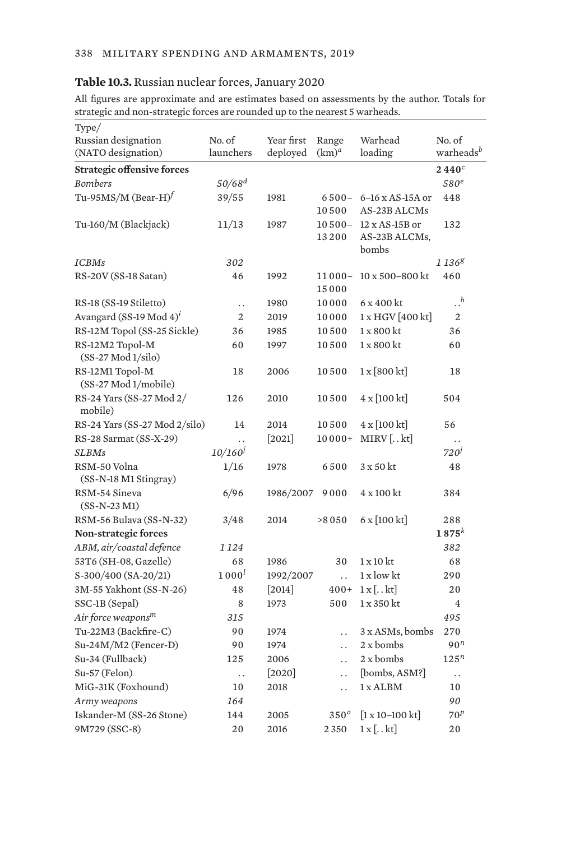# **Table 10.3.** Russian nuclear forces, January 2020

All figures are approximate and are estimates based on assessments by the author. Totals for strategic and non-strategic forces are rounded up to the nearest 5 warheads.

| Type/                                   |                      |            |                      |                                       |                       |
|-----------------------------------------|----------------------|------------|----------------------|---------------------------------------|-----------------------|
| Russian designation                     | No. of               | Year first | Range                | Warhead                               | No. of                |
| (NATO designation)                      | launchers            | deployed   | $(km)^d$             | loading                               | warheads <sup>b</sup> |
| <b>Strategic offensive forces</b>       |                      |            |                      |                                       | 2440 <sup>c</sup>     |
| <b>Bombers</b>                          | $50/68^{d}$          |            |                      |                                       | $580^e$               |
| Tu-95MS/M (Bear-H) $^f$                 | 39/55                | 1981       | $6500 -$             | 6-16 x AS-15A or                      | 448                   |
|                                         |                      |            | 10500                | AS-23B ALCMs                          |                       |
| Tu-160/M (Blackjack)                    | 11/13                | 1987       | $10500 -$            | $12 \times AS-15B$ or                 | 132                   |
|                                         |                      |            | 13200                | AS-23B ALCMs,                         |                       |
|                                         |                      |            |                      | bombs                                 |                       |
| ICBMs                                   | 302                  |            |                      |                                       | 1 1368                |
| RS-20V (SS-18 Satan)                    | 46                   | 1992       | $11000 -$            | 10 x 500-800 kt                       | 460                   |
|                                         |                      |            | 15000                | 6 x 400 kt                            | $\cdot$ <sup>h</sup>  |
| RS-18 (SS-19 Stiletto)                  | $\ddot{\phantom{0}}$ | 1980       | 10000                |                                       |                       |
| Avangard $(SS-19 \text{ Mod } 4)^t$     | 2                    | 2019       | 10000                | 1 x HGV [400 kt]<br>$1 \times 800$ kt | $\overline{2}$<br>36  |
| RS-12M Topol (SS-25 Sickle)             | 36                   | 1985       | 10500                |                                       |                       |
| RS-12M2 Topol-M<br>$(SS-27 Mod 1/silo)$ | 60                   | 1997       | 10500                | $1 \times 800$ kt                     | 60                    |
| RS-12M1 Topol-M<br>(SS-27 Mod 1/mobile) | 18                   | 2006       | 10500                | 1 x [800 kt]                          | 18                    |
| RS-24 Yars (SS-27 Mod 2/<br>mobile)     | 126                  | 2010       | 10500                | $4 \times [100 \text{ kt}]$           | 504                   |
| RS-24 Yars (SS-27 Mod 2/silo)           | 14                   | 2014       | 10500                | $4 \times [100 \text{ kt}]$           | 56                    |
| RS-28 Sarmat (SS-X-29)                  | $\ddot{\phantom{a}}$ | $[2021]$   | $10000+$             | MIRV[kt]                              | . .                   |
| <b>SLBMs</b>                            | $10/160^{j}$         |            |                      |                                       | $720^j$               |
| RSM-50 Volna                            | 1/16                 | 1978       | 6500                 | $3 \times 50$ kt                      | 48                    |
| (SS-N-18 M1 Stingray)                   |                      |            |                      |                                       |                       |
| RSM-54 Sineva                           | 6/96                 | 1986/2007  | 9000                 | 4 x 100 kt                            | 384                   |
| $(SS-N-23 M1)$                          |                      |            |                      |                                       |                       |
| RSM-56 Bulava (SS-N-32)                 | 3/48                 | 2014       | >8050                | $6 \times [100 \text{ kt}]$           | 288                   |
| <b>Non-strategic forces</b>             |                      |            |                      |                                       | $1875^{k}$            |
| ABM, air/coastal defence                | 1 1 2 4              |            |                      |                                       | 382                   |
| 53T6 (SH-08, Gazelle)                   | 68                   | 1986       | 30                   | $1 \times 10$ kt                      | 68                    |
| S-300/400 (SA-20/21)                    | $1000^l$             | 1992/2007  | $\ddotsc$            | 1 x low kt                            | 290                   |
| 3M-55 Yakhont (SS-N-26)                 | 48                   | $[2014]$   | $400+$               | $1 \times$ [ kt]                      | 20                    |
| SSC-1B (Sepal)                          | 8                    | 1973       | 500                  | 1 x 350 kt                            | $\overline{4}$        |
| Air force weapons <sup>m</sup>          | 315                  |            |                      |                                       | 495                   |
| Tu-22M3 (Backfire-C)                    | 90                   | 1974       | $\ddot{\phantom{0}}$ | 3 x ASMs, bombs                       | 270                   |
| Su-24M/M2 (Fencer-D)                    | 90                   | 1974       | $\ddot{\phantom{0}}$ | $2 \times$ bombs                      | 90 <sup>n</sup>       |
| Su-34 (Fullback)                        | 125                  | 2006       | $\ddotsc$            | $2 \times$ bombs                      | $125^n$               |
| Su-57 (Felon)                           | . .                  | $[2020]$   | $\ddot{\phantom{0}}$ | [bombs, ASM?]                         | $\ddot{\phantom{0}}$  |
| MiG-31K (Foxhound)                      | 10                   | 2018       | $\ddot{\phantom{0}}$ | $1x$ ALBM                             | 10                    |
| Army weapons                            | 164                  |            |                      |                                       | 90                    |
| Iskander-M (SS-26 Stone)                | 144                  | 2005       | $350^\circ$          | $[1 \times 10 - 100 \text{ kt}]$      | $70^p$                |
| 9M729 (SSC-8)                           | 20                   | 2016       | 2350                 | $1 \times$ [kt]                       | 20                    |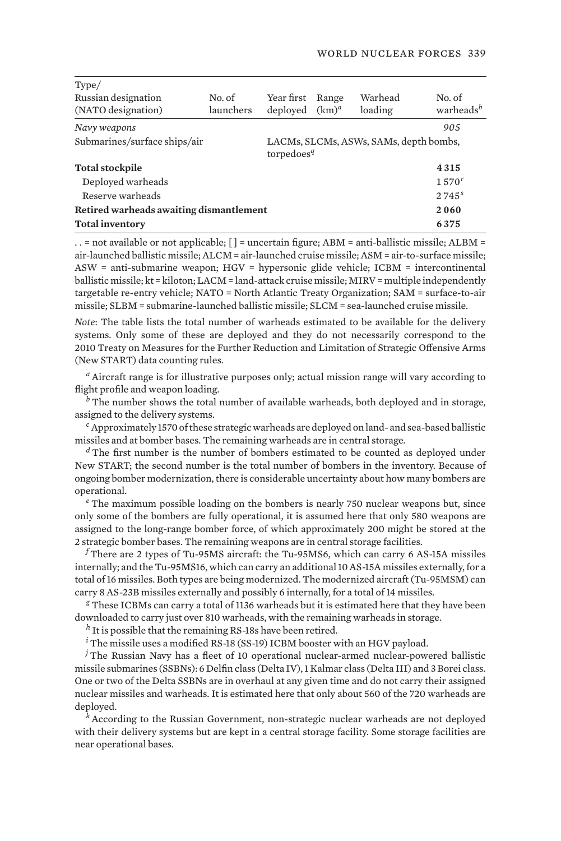| Type/                                   |           |                        |          |                                        |                       |
|-----------------------------------------|-----------|------------------------|----------|----------------------------------------|-----------------------|
| Russian designation                     | No. of    | Year first             | Range    | Warhead                                | No. of                |
| (NATO designation)                      | launchers | deployed               | $(km)^d$ | loading                                | warheads <sup>b</sup> |
| Navy weapons                            |           |                        |          |                                        | 905                   |
| Submarines/surface ships/air            |           | torpedoes <sup>q</sup> |          | LACMs, SLCMs, ASWs, SAMs, depth bombs, |                       |
| <b>Total stockpile</b>                  |           |                        |          |                                        | 4315                  |
| Deployed warheads                       |           |                        |          |                                        | $1570^{r}$            |
| Reserve warheads                        |           |                        |          |                                        | $2745^{s}$            |
| Retired warheads awaiting dismantlement |           |                        |          |                                        | 2060                  |
| <b>Total inventory</b>                  |           |                        |          |                                        | 6375                  |

. . = not available or not applicable; [ ] = uncertain figure; ABM = anti-ballistic missile; ALBM = air-launched ballistic missile; ALCM = air-launched cruise missile; ASM = air-to-surface missile; ASW = anti-submarine weapon; HGV = hypersonic glide vehicle; ICBM = intercontinental ballistic missile; kt = kiloton; LACM = land-attack cruise missile; MIRV = multiple independently targetable re-entry vehicle; NATO = North Atlantic Treaty Organization; SAM = surface-to-air missile; SLBM = submarine-launched ballistic missile; SLCM = sea-launched cruise missile.

*Note*: The table lists the total number of warheads estimated to be available for the delivery systems. Only some of these are deployed and they do not necessarily correspond to the 2010 Treaty on Measures for the Further Reduction and Limitation of Strategic Offensive Arms (New START) data counting rules.

*<sup>a</sup>* Aircraft range is for illustrative purposes only; actual mission range will vary according to flight profile and weapon loading.

*<sup>b</sup>* The number shows the total number of available warheads, both deployed and in storage, assigned to the delivery systems.

*<sup>c</sup>* Approximately 1570 of these strategic warheads are deployed on land- and sea-based ballistic missiles and at bomber bases. The remaining warheads are in central storage.

*<sup>d</sup>* The first number is the number of bombers estimated to be counted as deployed under New START; the second number is the total number of bombers in the inventory. Because of ongoing bomber modernization, there is considerable uncertainty about how many bombers are operational.

*<sup>e</sup>* The maximum possible loading on the bombers is nearly 750 nuclear weapons but, since only some of the bombers are fully operational, it is assumed here that only 580 weapons are assigned to the long-range bomber force, of which approximately 200 might be stored at the 2 strategic bomber bases. The remaining weapons are in central storage facilities.

*<sup>f</sup>* There are 2 types of Tu-95MS aircraft: the Tu-95MS6, which can carry 6 AS-15A missiles internally; and the Tu-95MS16, which can carry an additional 10 AS-15A missiles externally, for a total of 16 missiles. Both types are being modernized. The modernized aircraft (Tu-95MSM) can carry 8 AS-23B missiles externally and possibly 6 internally, for a total of 14 missiles.

*<sup>g</sup>* These ICBMs can carry a total of 1136 warheads but it is estimated here that they have been downloaded to carry just over 810 warheads, with the remaining warheads in storage.

*<sup>h</sup>* It is possible that the remaining RS-18s have been retired.

*<sup>i</sup>* The missile uses a modified RS-18 (SS-19) ICBM booster with an HGV payload.

*<sup>j</sup>* The Russian Navy has a fleet of 10 operational nuclear-armed nuclear-powered ballistic missile submarines (SSBNs): 6 Delfin class (Delta IV), 1 Kalmar class (Delta III) and 3 Borei class. One or two of the Delta SSBNs are in overhaul at any given time and do not carry their assigned nuclear missiles and warheads. It is estimated here that only about 560 of the 720 warheads are deployed.

*<sup>k</sup>* According to the Russian Government, non-strategic nuclear warheads are not deployed with their delivery systems but are kept in a central storage facility. Some storage facilities are near operational bases.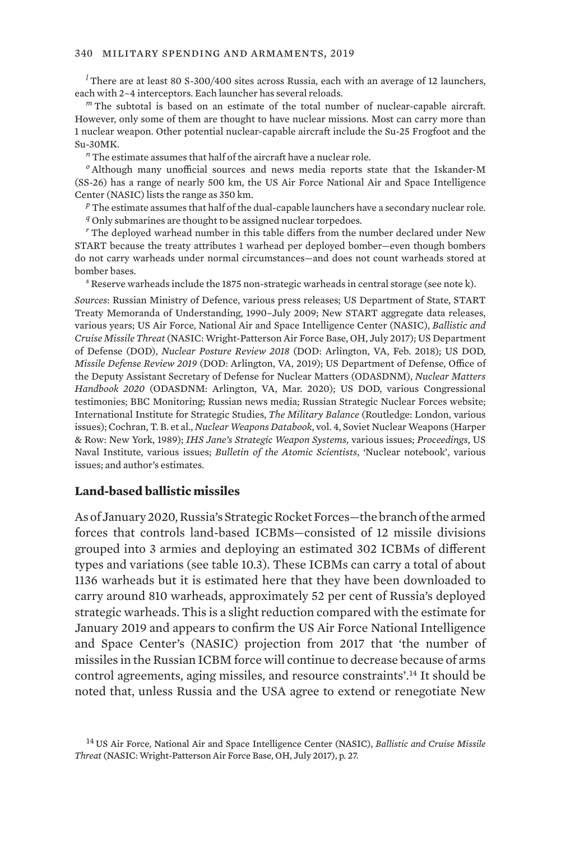#### 340 military spending and armaments, 2019

<sup>*l*</sup> There are at least 80 S-300/400 sites across Russia, each with an average of 12 launchers, each with 2–4 interceptors. Each launcher has several reloads.

*<sup>m</sup>* The subtotal is based on an estimate of the total number of nuclear-capable aircraft. However, only some of them are thought to have nuclear missions. Most can carry more than 1 nuclear weapon. Other potential nuclear-capable aircraft include the Su-25 Frogfoot and the Su-30MK.

*<sup>n</sup>* The estimate assumes that half of the aircraft have a nuclear role.

*<sup>o</sup>* Although many unofficial sources and news media reports state that the Iskander-M (SS-26) has a range of nearly 500 km, the US Air Force National Air and Space Intelligence Center (NASIC) lists the range as 350 km.

*<sup>p</sup>* The estimate assumes that half of the dual-capable launchers have a secondary nuclear role. *<sup>q</sup>* Only submarines are thought to be assigned nuclear torpedoes.

*<sup>r</sup>* The deployed warhead number in this table differs from the number declared under New START because the treaty attributes 1 warhead per deployed bomber—even though bombers do not carry warheads under normal circumstances—and does not count warheads stored at bomber bases.

*<sup>s</sup>* Reserve warheads include the 1875 non-strategic warheads in central storage (see note k).

*Sources*: Russian Ministry of Defence, various press releases; US Department of State, START Treaty Memoranda of Understanding, 1990–July 2009; New START aggregate data releases, various years; US Air Force, National Air and Space Intelligence Center (NASIC), *Ballistic and Cruise Missile Threat* (NASIC: Wright-Patterson Air Force Base, OH, July 2017); US Department of Defense (DOD), *Nuclear Posture Review 2018* (DOD: Arlington, VA, Feb. 2018); US DOD, *Missile Defense Review 2019* (DOD: Arlington, VA, 2019); US Department of Defense, Office of the Deputy Assistant Secretary of Defense for Nuclear Matters (ODASDNM), *[Nuclear Matters](https://www.acq.osd.mil/ncbdp/nm/nmhb/docs/NMHB2020.pdf) [Handbook 2020](https://www.acq.osd.mil/ncbdp/nm/nmhb/docs/NMHB2020.pdf)* (ODASDNM: Arlington, VA, Mar. 2020); US DOD, various Congressional testimonies; BBC Monitoring; Russian news media; Russian Strategic Nuclear Forces website; International Institute for Strategic Studies, *The Military Balance* (Routledge: London, various issues); Cochran, T. B. et al., *Nuclear Weapons Databook*, vol. 4, Soviet Nuclear Weapons (Harper & Row: New York, 1989); *IHS Jane's Strategic Weapon Systems*, various issues; *Proceedings*, US Naval Institute, various issues; *Bulletin of the Atomic Scientists*, 'Nuclear notebook', various issues; and author's estimates.

#### **Land-based ballistic missiles**

As of January 2020, Russia's Strategic Rocket Forces—the branch of the armed forces that controls land-based ICBMs—consisted of 12 missile divisions grouped into 3 armies and deploying an estimated 302 ICBMs of different types and variations (see table 10.3). These ICBMs can carry a total of about 1136 warheads but it is estimated here that they have been downloaded to carry around 810 warheads, approximately 52 per cent of Russia's deployed strategic warheads. This is a slight reduction compared with the estimate for January 2019 and appears to confirm the US Air Force National Intelligence and Space Center's (NASIC) projection from 2017 that 'the number of missiles in the Russian ICBM force will continue to decrease because of arms control agreements, aging missiles, and resource constraints'.14 It should be noted that, unless Russia and the USA agree to extend or renegotiate New

<sup>14</sup> US Air Force, National Air and Space Intelligence Center (NASIC), *Ballistic and Cruise Missile Threat* (NASIC: Wright-Patterson Air Force Base, OH, July 2017), p. 27.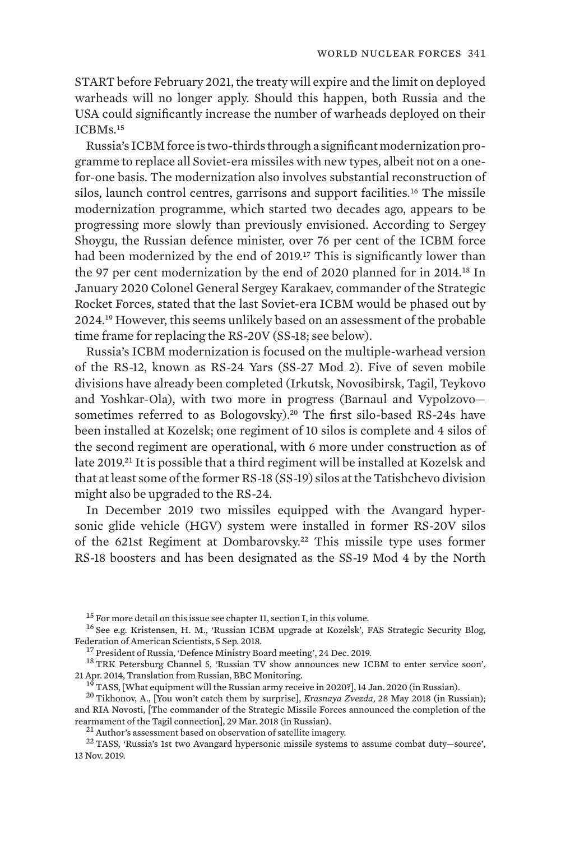START before February 2021, the treaty will expire and the limit on deployed warheads will no longer apply. Should this happen, both Russia and the USA could significantly increase the number of warheads deployed on their ICBMs.<sup>15</sup>

Russia's ICBM force is two-thirds through a significant modernization programme to replace all Soviet-era missiles with new types, albeit not on a onefor-one basis. The modernization also involves substantial reconstruction of silos, launch control centres, garrisons and support facilities.16 The missile modernization programme, which started two decades ago, appears to be progressing more slowly than previously envisioned. According to Sergey Shoygu, the Russian defence minister, over 76 per cent of the ICBM force had been modernized by the end of 2019.17 This is significantly lower than the 97 per cent modernization by the end of 2020 planned for in 2014.18 In January 2020 Colonel General Sergey Karakaev, commander of the Strategic Rocket Forces, stated that the last Soviet-era ICBM would be phased out by 2024.19 However, this seems unlikely based on an assessment of the probable time frame for replacing the RS-20V (SS-18; see below).

Russia's ICBM modernization is focused on the multiple-warhead version of the RS-12, known as RS-24 Yars (SS-27 Mod 2). Five of seven mobile divisions have already been completed (Irkutsk, Novosibirsk, Tagil, Teykovo and Yoshkar-Ola), with two more in progress (Barnaul and Vypolzovo sometimes referred to as Bologovsky).<sup>20</sup> The first silo-based RS-24s have been installed at Kozelsk; one regiment of 10 silos is complete and 4 silos of the second regiment are operational, with 6 more under construction as of late 2019.<sup>21</sup> It is possible that a third regiment will be installed at Kozelsk and that at least some of the former RS-18 (SS-19) silos at the Tatishchevo division might also be upgraded to the RS-24.

In December 2019 two missiles equipped with the Avangard hypersonic glide vehicle (HGV) system were installed in former RS-20V silos of the 621st Regiment at Dombarovsky.22 This missile type uses former RS-18 boosters and has been designated as the SS-19 Mod 4 by the North

<sup>&</sup>lt;sup>15</sup> For more detail on this issue see chapter 11, section I, in this volume.<br><sup>16</sup> See e.g. Kristensen, H. M., '[Russian ICBM upgrade at Kozelsk'](https://fas.org/blogs/security/2018/09/kozelsk-icbm-upgrade/), FAS Strategic Security Blog,<br>Federation of American Scientists, 5 Sep. 2018

<sup>&</sup>lt;sup>17</sup> President of Russia, '[Defence Ministry Board meeting'](http://en.kremlin.ru/events/president/news/62401), 24 Dec. 2019.<br><sup>18</sup> TRK Petersburg Channel 5, 'Russian TV show announces new ICBM to enter service soon',<br>21 Apr. 2014, Translation from Russian, BBC Monitoring.

<sup>&</sup>lt;sup>19</sup> TASS, [[What equipment will the Russian army receive in 2020?\]](<https://tass.ru/armiya-i-opk/7516261), 14 Jan. 2020 (in Russian).<br><sup>20</sup> Tikhonov, A., [You won't catch them by surprise], *Krasnaya Zvezda*, 28 May 2018 (in Russian); and RIA Novosti, [The commander of the Strategic Missile Forces announced the completion of the

<sup>&</sup>lt;sup>21</sup> Author's assessment based on observation of satellite imagery.<br><sup>22</sup> TASS, ['Russia's 1st two Avangard hypersonic missile systems to assume combat duty—source'](https://tass.com/defense/1088415), 13 Nov. 2019.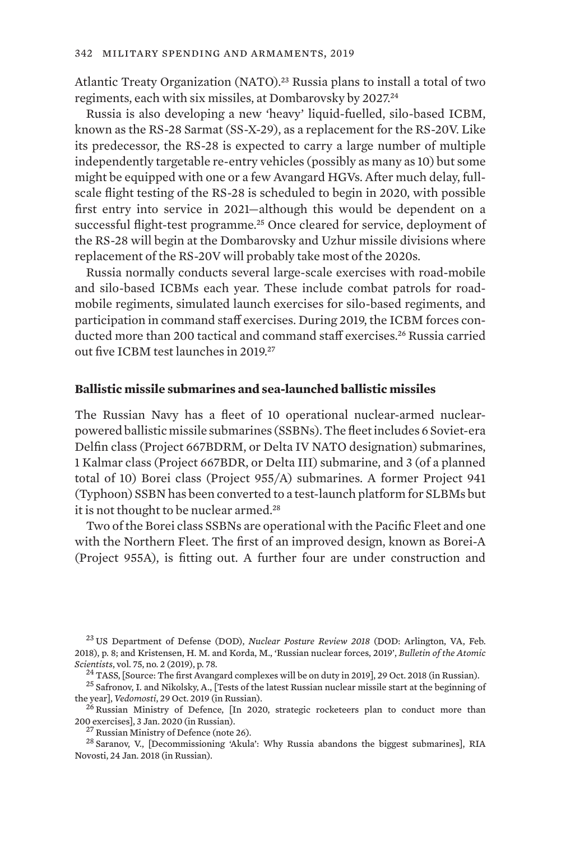Atlantic Treaty Organization (NATO).23 Russia plans to install a total of two regiments, each with six missiles, at Dombarovsky by 2027.<sup>24</sup>

Russia is also developing a new 'heavy' liquid-fuelled, silo-based ICBM, known as the RS-28 Sarmat (SS-X-29), as a replacement for the RS-20V. Like its predecessor, the RS-28 is expected to carry a large number of multiple independently targetable re-entry vehicles (possibly as many as 10) but some might be equipped with one or a few Avangard HGVs. After much delay, fullscale flight testing of the RS-28 is scheduled to begin in 2020, with possible first entry into service in 2021—although this would be dependent on a successful flight-test programme.<sup>25</sup> Once cleared for service, deployment of the RS-28 will begin at the Dombarovsky and Uzhur missile divisions where replacement of the RS-20V will probably take most of the 2020s.

Russia normally conducts several large-scale exercises with road-mobile and silo-based ICBMs each year. These include combat patrols for roadmobile regiments, simulated launch exercises for silo-based regiments, and participation in command staff exercises. During 2019, the ICBM forces conducted more than 200 tactical and command staff exercises.26 Russia carried out five ICBM test launches in 2019.<sup>27</sup>

# **Ballistic missile submarines and sea-launched ballistic missiles**

The Russian Navy has a fleet of 10 operational nuclear-armed nuclearpowered ballistic missile submarines (SSBNs). The fleet includes 6 Soviet-era Delfin class (Project 667BDRM, or Delta IV NATO designation) submarines, 1 Kalmar class (Project 667BDR, or Delta III) submarine, and 3 (of a planned total of 10) Borei class (Project 955/A) submarines. A former Project 941 (Typhoon) SSBN has been converted to a test-launch platform for SLBMs but it is not thought to be nuclear armed.<sup>28</sup>

Two of the Borei class SSBNs are operational with the Pacific Fleet and one with the Northern Fleet. The first of an improved design, known as Borei-A (Project 955A), is fitting out. A further four are under construction and

<sup>23</sup> US Department of Defense (DOD), *Nuclear Posture Review 2018* (DOD: Arlington, VA, Feb. 2018), p. 8; and Kristensen, H. M. and Korda, M., ['Russian nuclear forces, 2019'](https://www.tandfonline.com/doi/pdf/10.1080/00963402.2019.1580891), *Bulletin of the Atomic*  Scientists, vol. 75, no. 2 (2019), p. 78.<br><sup>24</sup> TASS, [[Source: The first Avangard complexes will be on duty in 2019](https://tass.ru/armiya-i-opk/5731436)], 29 Oct. 2018 (in Russian).<br><sup>25</sup> Safronov, I. and Nikolsky, A., [Tests of the latest Russian nuclear miss

[the year\]](https://www.vedomosti.ru/politics/articles/2019/10/29/815013-letnie-ispitaniya-sarmat), *Vedomosti*, 29 Oct. 2019 (in Russian).<br><sup>26</sup> Russian Ministry of Defence, [\[In 2020, strategic rocketeers plan to conduct more than](https://function.mil.ru/news_page/country/more.htm?id=12269451@egNews)<br>200 exercises], 3 Jan. 2020 (in Russian).

<sup>27</sup> Russian Ministry of Defence (note 26).<br><sup>28</sup> Saranov, V., [Decommissioning 'Akula': Why Russia abandons the biggest submarines], RIA Novosti, 24 Jan. 2018 (in Russian).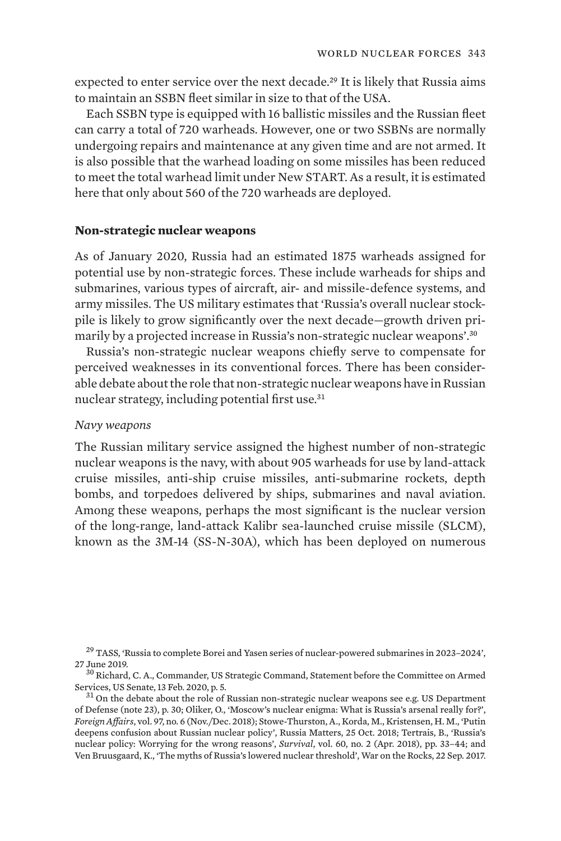expected to enter service over the next decade.29 It is likely that Russia aims to maintain an SSBN fleet similar in size to that of the USA.

Each SSBN type is equipped with 16 ballistic missiles and the Russian fleet can carry a total of 720 warheads. However, one or two SSBNs are normally undergoing repairs and maintenance at any given time and are not armed. It is also possible that the warhead loading on some missiles has been reduced to meet the total warhead limit under New START. As a result, it is estimated here that only about 560 of the 720 warheads are deployed.

## **Non-strategic nuclear weapons**

As of January 2020, Russia had an estimated 1875 warheads assigned for potential use by non-strategic forces. These include warheads for ships and submarines, various types of aircraft, air- and missile-defence systems, and army missiles. The US military estimates that 'Russia's overall nuclear stockpile is likely to grow significantly over the next decade—growth driven primarily by a projected increase in Russia's non-strategic nuclear weapons'.<sup>30</sup>

Russia's non-strategic nuclear weapons chiefly serve to compensate for perceived weaknesses in its conventional forces. There has been considerable debate about the role that non-strategic nuclear weapons have in Russian nuclear strategy, including potential first use.<sup>31</sup>

#### *Navy weapons*

The Russian military service assigned the highest number of non-strategic nuclear weapons is the navy, with about 905 warheads for use by land-attack cruise missiles, anti-ship cruise missiles, anti-submarine rockets, depth bombs, and torpedoes delivered by ships, submarines and naval aviation. Among these weapons, perhaps the most significant is the nuclear version of the long-range, land-attack Kalibr sea-launched cruise missile (SLCM), known as the 3M-14 (SS-N-30A), which has been deployed on numerous

<sup>&</sup>lt;sup>29</sup> TASS, ['Russia to complete Borei and Yasen series of nuclear-powered submarines in 2023–2024'](https://tass.com/defense/1065841),<br>27 June 2019.

<sup>&</sup>lt;sup>30</sup> Richard, C. A., Commander, US Strategic Command, [Statement before the Committee on Armed](https://www.armed-services.senate.gov/hearings/20-02-13-united-states-northern-command-and-united-states-strategic-command) [Services,](https://www.armed-services.senate.gov/hearings/20-02-13-united-states-northern-command-and-united-states-strategic-command) US Senate, 13 Feb. 2020, p. 5.<br><sup>31</sup> On the debate about the role of Russian non-strategic nuclear weapons see e.g. US Department

of Defense (note 23), p. 30; Oliker, O., 'Moscow's nuclear enigma: What is Russia's arsenal really for?', *Foreign Affairs*, vol. 97, no. 6 (Nov./Dec. 2018); Stowe-Thurston, A., Korda, M., Kristensen, H. M., '[Putin](https://www.russiamatters.org/analysis/putin-deepens-confusion-about-russian-nuclear-policy) [deepens confusion about Russian nuclear policy](https://www.russiamatters.org/analysis/putin-deepens-confusion-about-russian-nuclear-policy)', Russia Matters, 25 Oct. 2018; Tertrais, B., 'Russia's nuclear policy: Worrying for the wrong reasons', *Survival*, vol. 60, no. 2 (Apr. 2018), pp. 33–44; and Ven Bruusgaard, K., 'The myths of Russia's lowered nuclear threshold', War on the Rocks, 22 Sep. 2017.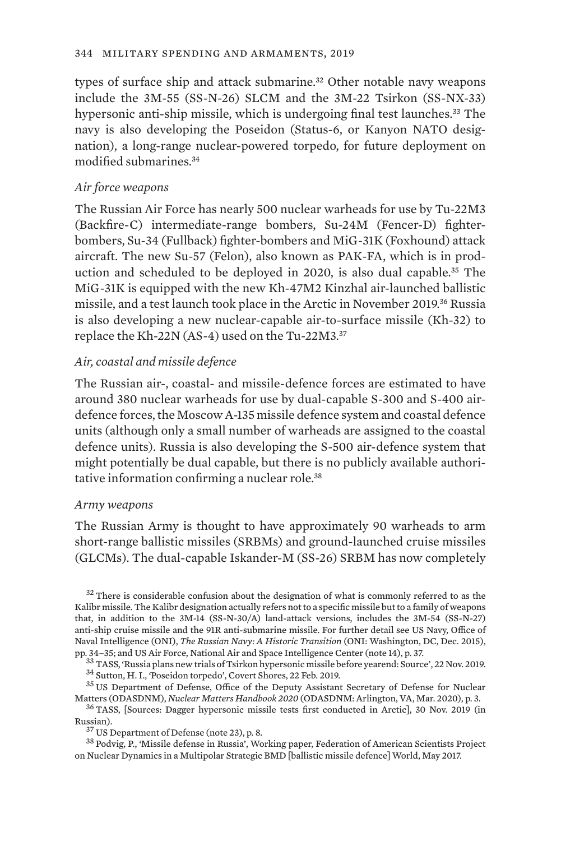types of surface ship and attack submarine.32 Other notable navy weapons include the 3M-55 (SS-N-26) SLCM and the 3M-22 Tsirkon (SS-NX-33) hypersonic anti-ship missile, which is undergoing final test launches.<sup>33</sup> The navy is also developing the Poseidon (Status-6, or Kanyon NATO designation), a long-range nuclear-powered torpedo, for future deployment on modified submarines.<sup>34</sup>

#### *Air force weapons*

The Russian Air Force has nearly 500 nuclear warheads for use by Tu-22M3 (Backfire-C) intermediate-range bombers, Su-24M (Fencer-D) fighterbombers, Su-34 (Fullback) fighter-bombers and MiG-31K (Foxhound) attack aircraft. The new Su-57 (Felon), also known as PAK-FA, which is in production and scheduled to be deployed in 2020, is also dual capable.35 The MiG-31K is equipped with the new Kh-47M2 Kinzhal air-launched ballistic missile, and a test launch took place in the Arctic in November 2019.36 Russia is also developing a new nuclear-capable air-to-surface missile (Kh-32) to replace the Kh-22N (AS-4) used on the Tu-22M3.<sup>37</sup>

#### *Air, coastal and missile defence*

The Russian air-, coastal- and missile-defence forces are estimated to have around 380 nuclear warheads for use by dual-capable S-300 and S-400 airdefence forces, the Moscow A-135 missile defence system and coastal defence units (although only a small number of warheads are assigned to the coastal defence units). Russia is also developing the S-500 air-defence system that might potentially be dual capable, but there is no publicly available authoritative information confirming a nuclear role.<sup>38</sup>

#### *Army weapons*

The Russian Army is thought to have approximately 90 warheads to arm short-range ballistic missiles (SRBMs) and ground-launched cruise missiles (GLCMs). The dual-capable Iskander-M (SS-26) SRBM has now completely

 $32$  There is considerable confusion about the designation of what is commonly referred to as the Kalibr missile. The Kalibr designation actually refers not to a specific missile but to a family of weapons that, in addition to the 3M-14 (SS-N-30/A) land-attack versions, includes the 3M-54 (SS-N-27) anti-ship cruise missile and the 91R anti-submarine missile. For further detail see US Navy, Office of Naval Intelligence (ONI), *The Russian Navy: A Historic Transition* (ONI: Washington, DC, Dec. 2015),

Matters (ODASDNM), *Nuclear Matters Handbook 2020* (ODASDNM: Arlington, VA, Mar. 2020), p. 3.<br><sup>36</sup> TASS, [\[Sources: Dagger hypersonic missile tests first conducted in Arctic\]](https://tass.ru/armiya-i-opk/7234431), 30 Nov. 2019 (in<br>Russian).

<sup>37</sup> US Department of Defense (note 23), p. 8.<br><sup>38</sup> Podvig, P., ['Missile defense in Russia](https://fas.org/wp-content/uploads/media/Missile-Defense-In-Russia.pdf)', Working paper, Federation of American Scientists Project on Nuclear Dynamics in a Multipolar Strategic BMD [ballistic missile defence] World, May 2017.

pp. 34–35; and US Air Force, National Air and Space Intelligence Center (note 14), p. 37.<br><sup>33</sup> TASS, '[Russia plans new trials of Tsirkon hypersonic missile before yearend: Source](https://tass.com/defense/1091759)', 22 Nov. 2019.<br><sup>34</sup> Sutton, H. I., 'Posei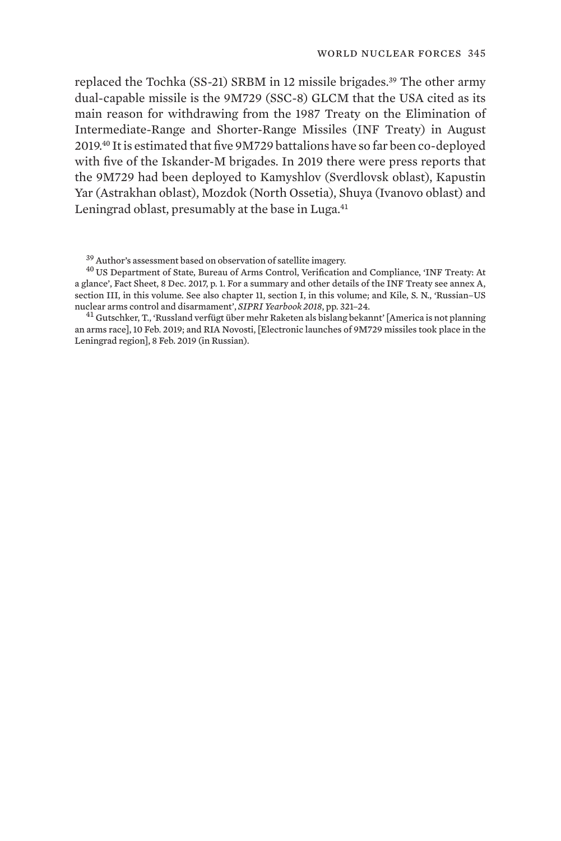replaced the Tochka (SS-21) SRBM in 12 missile brigades.39 The other army dual-capable missile is the 9M729 (SSC-8) GLCM that the USA cited as its main reason for withdrawing from the 1987 Treaty on the Elimination of Intermediate-Range and Shorter-Range Missiles (INF Treaty) in August 2019.40 It is estimated that five 9M729 battalions have so far been co-deployed with five of the Iskander-M brigades. In 2019 there were press reports that the 9M729 had been deployed to Kamyshlov (Sverdlovsk oblast), Kapustin Yar (Astrakhan oblast), Mozdok (North Ossetia), Shuya (Ivanovo oblast) and Leningrad oblast, presumably at the base in Luga.<sup>41</sup>

 $^{39}$  Author's assessment based on observation of satellite imagery.<br> $^{40}$  US Department of State, Bureau of Arms Control, Verification and Compliance, 'INF Treaty: At a glance', Fact Sheet, 8 Dec. 2017, p. 1. For a summary and other details of the INF Treaty see annex A, section III, in this volume. See also chapter 11, section I, in this volume; and Kile, S. N., 'Russian–US nuclear arms control and disarmament', SIPRI Yearbook 2018, pp. 321-24.

<sup>&</sup>lt;sup>41</sup> Gutschker, T., '[Russland verfügt über mehr Raketen als bislang bekannt'](https://www.faz.net/aktuell/politik/ausland/russland-verfuegt-ueber-mehr-raketen-als-bislangbekannt-16032894.html) [America is not planning an arms race], 10 Feb. 2019; and RIA Novosti, [[Electronic launches of 9M729 missiles took place in the](https://ria.ru/20190208/1550601319.html) [Leningrad region](https://ria.ru/20190208/1550601319.html)], 8 Feb. 2019 (in Russian).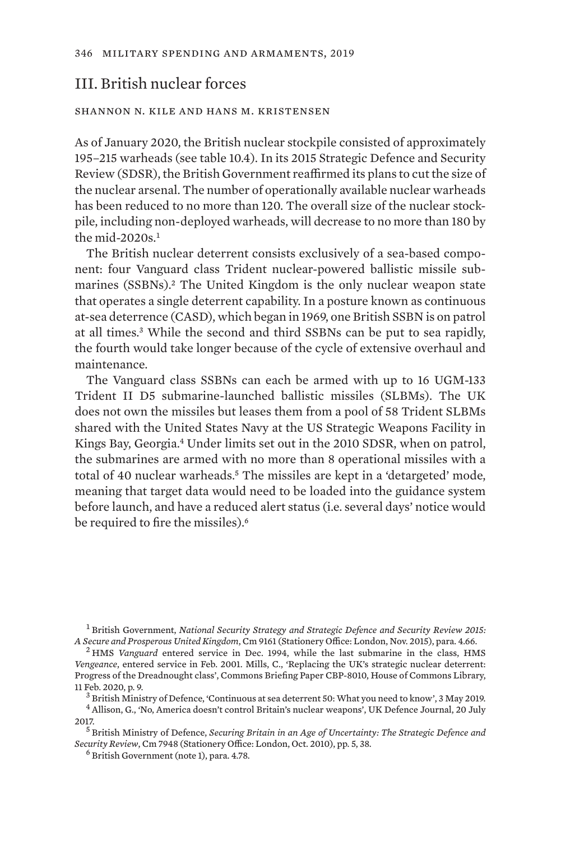# III. British nuclear forces

# shannon n. kile and hans m. kristensen

As of January 2020, the British nuclear stockpile consisted of approximately 195–215 warheads (see table 10.4). In its 2015 Strategic Defence and Security Review (SDSR), the British Government reaffirmed its plans to cut the size of the nuclear arsenal. The number of operationally available nuclear warheads has been reduced to no more than 120. The overall size of the nuclear stockpile, including non-deployed warheads, will decrease to no more than 180 by the mid- $2020s<sup>1</sup>$ 

The British nuclear deterrent consists exclusively of a sea-based component: four Vanguard class Trident nuclear-powered ballistic missile submarines (SSBNs).<sup>2</sup> The United Kingdom is the only nuclear weapon state that operates a single deterrent capability. In a posture known as continuous at-sea deterrence (CASD), which began in 1969, one British SSBN is on patrol at all times.3 While the second and third SSBNs can be put to sea rapidly, the fourth would take longer because of the cycle of extensive overhaul and maintenance.

The Vanguard class SSBNs can each be armed with up to 16 UGM-133 Trident II D5 submarine-launched ballistic missiles (SLBMs). The UK does not own the missiles but leases them from a pool of 58 Trident SLBMs shared with the United States Navy at the US Strategic Weapons Facility in Kings Bay, Georgia.<sup>4</sup> Under limits set out in the 2010 SDSR, when on patrol, the submarines are armed with no more than 8 operational missiles with a total of 40 nuclear warheads.5 The missiles are kept in a 'detargeted' mode, meaning that target data would need to be loaded into the guidance system before launch, and have a reduced alert status (i.e. several days' notice would be required to fire the missiles).<sup>6</sup>

<sup>1</sup> British Government, *National Security Strategy and Strategic Defence and Security Review 2015: A Secure and Prosperous United Kingdom*, Cm 9161 (Stationery Office: London, Nov. 2015), para. 4.66. <sup>2</sup> HMS *Vanguard* entered service in Dec. 1994, while the last submarine in the class, HMS

2017. <sup>5</sup> British Ministry of Defence, *Securing Britain in an Age of Uncertainty: The Strategic Defence and Security Review*, Cm 7948 (Stationery Office: London, Oct. 2010), pp. 5, 38. <sup>6</sup> British Government (note 1), para. 4.78.

*Vengeance*, entered service in Feb. 2001. Mills, C., 'Replacing the UK's strategic nuclear deterrent: Progress of the Dreadnought class', Commons Briefing Paper CBP-8010, House of Commons Library,

<sup>11</sup> Feb. 2020, p. 9.<br><sup>3</sup> British Ministry of Defence, ['Continuous at sea deterrent 50: What you need to know](https://www.gov.uk/government/publications/continuous-at-sea-deterrent-50-what-you-need-to-know/continuous-at-sea-deterrent-50-what-you-need-to-know#contents)', 3 May 2019.<br><sup>4</sup> Allison, G., '[No, America doesn't control Britain's nuclear weapons](https://ukdefencejournal.org.uk/no-america-doesnt-control-britains-nuclear-weapons/)', UK Defence Journal, 20 Ju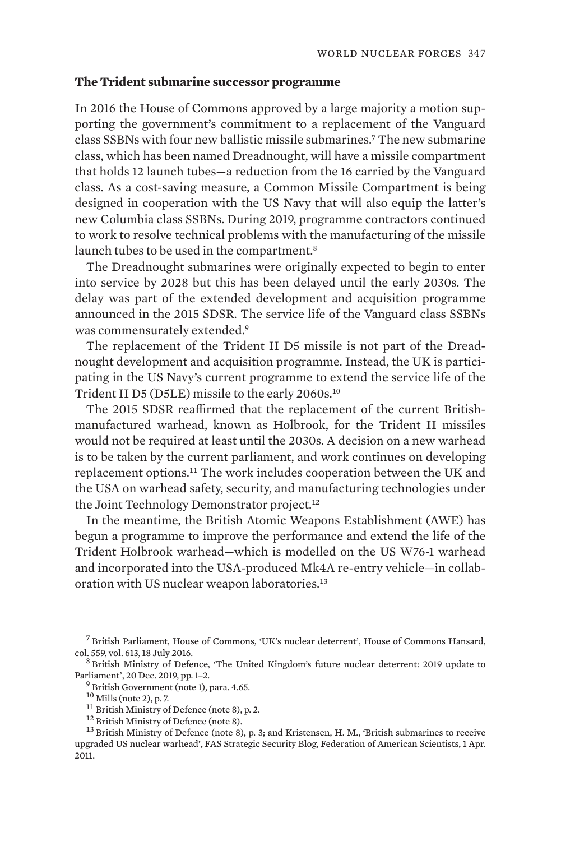#### **The Trident submarine successor programme**

In 2016 the House of Commons approved by a large majority a motion supporting the government's commitment to a replacement of the Vanguard class SSBNs with four new ballistic missile submarines.7 The new submarine class, which has been named Dreadnought, will have a missile compartment that holds 12 launch tubes—a reduction from the 16 carried by the Vanguard class. As a cost-saving measure, a Common Missile Compartment is being designed in cooperation with the US Navy that will also equip the latter's new Columbia class SSBNs. During 2019, programme contractors continued to work to resolve technical problems with the manufacturing of the missile launch tubes to be used in the compartment.<sup>8</sup>

The Dreadnought submarines were originally expected to begin to enter into service by 2028 but this has been delayed until the early 2030s. The delay was part of the extended development and acquisition programme announced in the 2015 SDSR. The service life of the Vanguard class SSBNs was commensurately extended.<sup>9</sup>

The replacement of the Trident II D5 missile is not part of the Dreadnought development and acquisition programme. Instead, the UK is participating in the US Navy's current programme to extend the service life of the Trident II D5 (D5LE) missile to the early 2060s.<sup>10</sup>

The 2015 SDSR reaffirmed that the replacement of the current Britishmanufactured warhead, known as Holbrook, for the Trident II missiles would not be required at least until the 2030s. A decision on a new warhead is to be taken by the current parliament, and work continues on developing replacement options.11 The work includes cooperation between the UK and the USA on warhead safety, security, and manufacturing technologies under the Joint Technology Demonstrator project.<sup>12</sup>

In the meantime, the British Atomic Weapons Establishment (AWE) has begun a programme to improve the performance and extend the life of the Trident Holbrook warhead—which is modelled on the US W76-1 warhead and incorporated into the USA-produced Mk4A re-entry vehicle—in collaboration with US nuclear weapon laboratories.<sup>13</sup>

<sup>7</sup> British Parliament, House of Commons, 'UK's nuclear deterrent', House of Commons Hansard, col. 559, vol. 613, 18 July 2016.<br><sup>8</sup> British Ministry of Defence, ['The United Kingdom's future nuclear deterrent: 2019 update to](https://www.gov.uk/government/publications/the-united-kingdoms-future-nuclear-deterrent-the-2019-update-to-parliament)

[Parliament'](https://www.gov.uk/government/publications/the-united-kingdoms-future-nuclear-deterrent-the-2019-update-to-parliament), 20 Dec. 2019, pp. 1–2.<br><sup>9</sup> British Government (note 1), para. 4.65.<br><sup>10</sup> Mills (note 2), p. 7.

<sup>&</sup>lt;sup>11</sup> British Ministry of Defence (note 8), p. 2.<br><sup>12</sup> British Ministry of Defence (note 8). p. 3; and Kristensen, H. M., ['British submarines to receive](https://fas.org/blogs/security/2011/04/britishw76-1/)<br><sup>13</sup> British Ministry of Defence (note 8), p. 3; and Kristensen, H. M [upgraded US nuclear warhead'](https://fas.org/blogs/security/2011/04/britishw76-1/), FAS Strategic Security Blog, Federation of American Scientists, 1 Apr. 2011.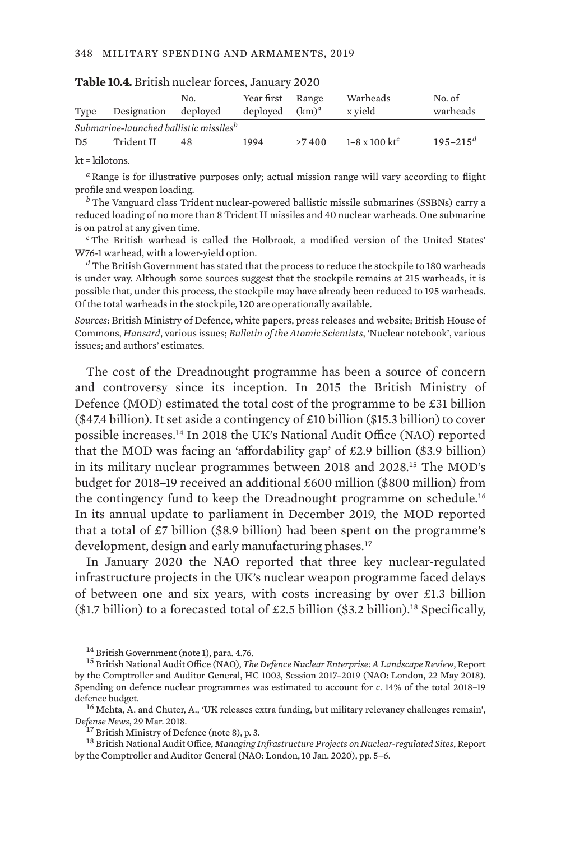| Type           | Designation                                        | No.<br>deployed | Year first<br>deploved | Range<br>$(km)^d$ | Warheads<br>x vield              | No. of<br>warheads |
|----------------|----------------------------------------------------|-----------------|------------------------|-------------------|----------------------------------|--------------------|
|                | Submarine-launched ballistic missiles <sup>b</sup> |                 |                        |                   |                                  |                    |
| D <sub>5</sub> | Trident II                                         | 48              | 1994                   | >7400             | $1-8 \times 100$ kt <sup>c</sup> | $195 - 215^d$      |

| Table 10.4. British nuclear forces, January 2020 |  |  |
|--------------------------------------------------|--|--|
|--------------------------------------------------|--|--|

kt = kilotons.

*<sup>a</sup>* Range is for illustrative purposes only; actual mission range will vary according to flight profile and weapon loading.

*<sup>b</sup>* The Vanguard class Trident nuclear-powered ballistic missile submarines (SSBNs) carry a reduced loading of no more than 8 Trident II missiles and 40 nuclear warheads. One submarine is on patrol at any given time.

*<sup>c</sup>* The British warhead is called the Holbrook, a modified version of the United States' W76-1 warhead, with a lower-yield option.

*<sup>d</sup>* The British Government has stated that the process to reduce the stockpile to 180 warheads is under way. Although some sources suggest that the stockpile remains at 215 warheads, it is possible that, under this process, the stockpile may have already been reduced to 195 warheads. Of the total warheads in the stockpile, 120 are operationally available.

*Sources*: British Ministry of Defence, white papers, press releases and [website;](http://www.mod.uk/) British House of Commons, *Hansard*, various issues; *Bulletin of the Atomic Scientists*, 'Nuclear notebook', various issues; and authors' estimates.

The cost of the Dreadnought programme has been a source of concern and controversy since its inception. In 2015 the British Ministry of Defence (MOD) estimated the total cost of the programme to be £31 billion (\$47.4 billion). It set aside a contingency of £10 billion (\$15.3 billion) to cover possible increases.14 In 2018 the UK's National Audit Office (NAO) reported that the MOD was facing an 'affordability gap' of  $£2.9$  billion (\$3.9 billion) in its military nuclear programmes between 2018 and 2028.15 The MOD's budget for 2018–19 received an additional £600 million (\$800 million) from the contingency fund to keep the Dreadnought programme on schedule.<sup>16</sup> In its annual update to parliament in December 2019, the MOD reported that a total of  $\pounds$ 7 billion (\$8.9 billion) had been spent on the programme's development, design and early manufacturing phases.<sup>17</sup>

In January 2020 the NAO reported that three key nuclear-regulated infrastructure projects in the UK's nuclear weapon programme faced delays of between one and six years, with costs increasing by over £1.3 billion (\$1.7 billion) to a forecasted total of £2.5 billion (\$3.2 billion).<sup>18</sup> Specifically,

defence budget.<br><sup>16</sup> Mehta, A. and Chuter, A., '[UK releases extra funding, but military relevancy challenges remain'](https://www.defensenews.com/global/europe/2018/03/29/uk-releases-extra-funding-but-military-relevancy-challenges-remain/),<br>*Defense News*, 29 Mar. 2018.

<sup>17</sup> British Ministry of Defence (note 8), p. 3.<br><sup>18</sup> British National Audit Office, *[Managing Infrastructure Projects on Nuclear-regulated Sites](https://www.nao.org.uk/wp-content/uploads/2020/01/Managing-infrastructure-projects-on-nuclear-regulated-sites.pdf)*, Report by the Comptroller and Auditor General (NAO: London, 10 Jan. 2020), pp. 5–6.

<sup>&</sup>lt;sup>14</sup> British Government (note 1), para. 4.76.<br><sup>15</sup> British National Audit Office (NAO), *[The Defence Nuclear Enterprise: A Landscape Review](https://www.nao.org.uk/wp-content/uploads/2018/05/The-Defence-Nuclear-Enterprise-a-landscape-review.pdf),* Report by the Comptroller and Auditor General, HC 1003, Session 2017–2019 (NAO: London, 22 May 2018). Spending on defence nuclear programmes was estimated to account for *c*. 14% of the total 2018–19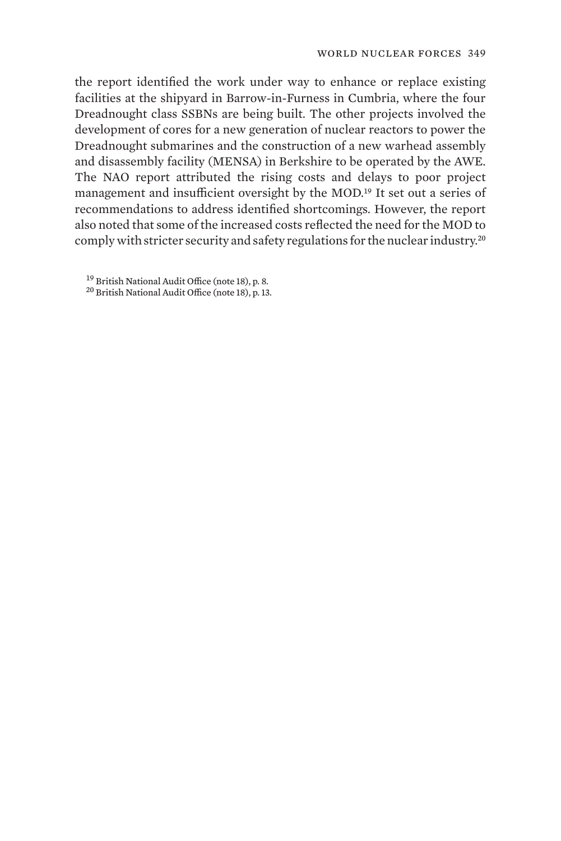the report identified the work under way to enhance or replace existing facilities at the shipyard in Barrow-in-Furness in Cumbria, where the four Dreadnought class SSBNs are being built. The other projects involved the development of cores for a new generation of nuclear reactors to power the Dreadnought submarines and the construction of a new warhead assembly and disassembly facility (MENSA) in Berkshire to be operated by the AWE. The NAO report attributed the rising costs and delays to poor project management and insufficient oversight by the MOD.19 It set out a series of recommendations to address identified shortcomings. However, the report also noted that some of the increased costs reflected the need for the MOD to comply with stricter security and safety regulations for the nuclear industry. 20

<sup>&</sup>lt;sup>19</sup> British National Audit Office (note 18), p. 8.<br><sup>20</sup> British National Audit Office (note 18), p. 13.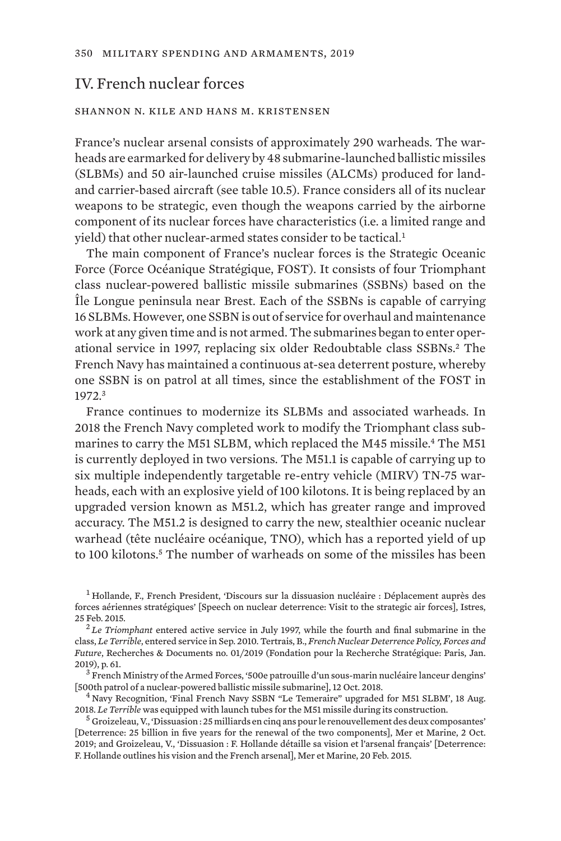# IV. French nuclear forces

## shannon n. kile and hans m. kristensen

France's nuclear arsenal consists of approximately 290 warheads. The warheads are earmarked for delivery by 48 submarine-launched ballistic missiles (SLBMs) and 50 air-launched cruise missiles (ALCMs) produced for landand carrier-based aircraft (see table 10.5). France considers all of its nuclear weapons to be strategic, even though the weapons carried by the airborne component of its nuclear forces have characteristics (i.e. a limited range and yield) that other nuclear-armed states consider to be tactical.<sup>1</sup>

The main component of France's nuclear forces is the Strategic Oceanic Force (Force Océanique Stratégique, FOST). It consists of four Triomphant class nuclear-powered ballistic missile submarines (SSBNs) based on the Île Longue peninsula near Brest. Each of the SSBNs is capable of carrying 16 SLBMs. However, one SSBN is out of service for overhaul and maintenance work at any given time and is not armed. The submarines began to enter operational service in 1997, replacing six older Redoubtable class SSBNs.<sup>2</sup> The French Navy has maintained a continuous at-sea deterrent posture, whereby one SSBN is on patrol at all times, since the establishment of the FOST in 1972.<sup>3</sup>

France continues to modernize its SLBMs and associated warheads. In 2018 the French Navy completed work to modify the Triomphant class submarines to carry the M51 SLBM, which replaced the M45 missile.<sup>4</sup> The M51 is currently deployed in two versions. The M51.1 is capable of carrying up to six multiple independently targetable re-entry vehicle (MIRV) TN-75 warheads, each with an explosive yield of 100 kilotons. It is being replaced by an upgraded version known as M51.2, which has greater range and improved accuracy. The M51.2 is designed to carry the new, stealthier oceanic nuclear warhead (tête nucléaire océanique, TNO), which has a reported yield of up to 100 kilotons.5 The number of warheads on some of the missiles has been

[500th patrol of a nuclear-powered ballistic missile submarine], 12 Oct. 2018.<br><sup>4</sup> Navy Recognition, '[Final French Navy SSBN "Le Temeraire" upgraded for M51 SLBM'](https://www.navyrecognition.com/index.php/news/defence-news/2018/august-2018-navy-naval-defense-news/6434-final-french-navy-ssbn-le-temeraire-upgraded-for-m51-slbm.html), 18 Aug.<br>2018. *Le Terrible* was equipped with launch tubes

<sup>5</sup> Groizeleau, V., ['Dissuasion : 25 milliards en cinq ans pour le renouvellement des deux composantes'](https://www.meretmarine.com/fr/content/dissuasion-25-milliards-en-cinq-ans-pour-le-renouvellement-des-deux-composantes) [Deterrence: 25 billion in five years for the renewal of the two components], Mer et Marine, 2 Oct. 2019; and Groizeleau, V., '[Dissuasion : F. Hollande détaille sa vision et l'arsenal français](https://www.meretmarine.com/fr/content/dissuasion-f-hollande-detaille-sa-vision-et-larsenal-francais)' [Deterrence: F. Hollande outlines his vision and the French arsenal], Mer et Marine, 20 Feb. 2015.

<sup>&</sup>lt;sup>1</sup> Hollande, F., French President, ['Discours sur la dissuasion nucléaire : Déplacement auprès des](Discours sur la dissuasion nucléaire : Déplacement auprès des forces aériennes stratégiques) [forces aériennes stratégiques'](Discours sur la dissuasion nucléaire : Déplacement auprès des forces aériennes stratégiques) [Speech on nuclear deterrence: Visit to the strategic air forces], Istres, 25 Feb. 2015. <sup>2</sup> *Le Triomphant* entered active service in July 1997, while the fourth and final submarine in the

class, *Le Terrible*, entered service in Sep. 2010. Tertrais, B., *[French Nuclear Deterrence Policy, Forces and](https://www.frstrategie.org/en/publications/recherches-et-documents/french-nuclear-deterrence-policy-forces-future-2019) [Future](https://www.frstrategie.org/en/publications/recherches-et-documents/french-nuclear-deterrence-policy-forces-future-2019)*, Recherches & Documents no. 01/2019 (Fondation pour la Recherche Stratégique: Paris, Jan. 2019), p. 61.<br><sup>3</sup> French Ministry of the Armed Forces, ['500e patrouille d'un sous-marin nucléaire lanceur dengins'](https://www.defense.gouv.fr/actualites/articles/500e-patrouille-d-un-sous-marin-nucleaire-lanceur-d-engins)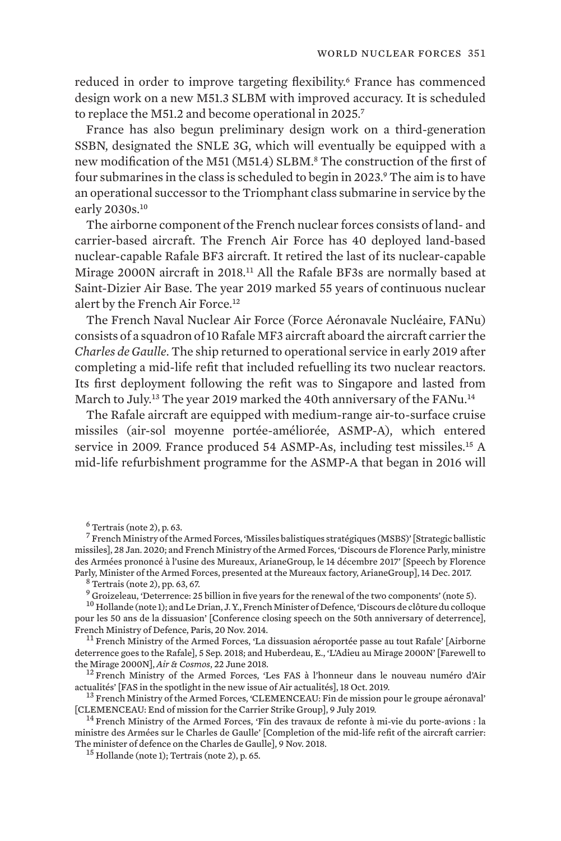reduced in order to improve targeting flexibility.<sup>6</sup> France has commenced design work on a new M51.3 SLBM with improved accuracy. It is scheduled to replace the M51.2 and become operational in 2025.<sup>7</sup>

France has also begun preliminary design work on a third-generation SSBN, designated the SNLE 3G, which will eventually be equipped with a new modification of the M51 (M51.4) SLBM.<sup>8</sup> The construction of the first of four submarines in the class is scheduled to begin in 2023.<sup>9</sup> The aim is to have an operational successor to the Triomphant class submarine in service by the early 2030s.<sup>10</sup>

The airborne component of the French nuclear forces consists of land- and carrier-based aircraft. The French Air Force has 40 deployed land-based nuclear-capable Rafale BF3 aircraft. It retired the last of its nuclear-capable Mirage 2000N aircraft in 2018.11 All the Rafale BF3s are normally based at Saint-Dizier Air Base. The year 2019 marked 55 years of continuous nuclear alert by the French Air Force.<sup>12</sup>

The French Naval Nuclear Air Force (Force Aéronavale Nucléaire, FANu) consists of a squadron of 10 Rafale MF3 aircraft aboard the aircraft carrier the *Charles de Gaulle*. The ship returned to operational service in early 2019 after completing a mid-life refit that included refuelling its two nuclear reactors. Its first deployment following the refit was to Singapore and lasted from March to July.<sup>13</sup> The year 2019 marked the 40th anniversary of the FANu.<sup>14</sup>

The Rafale aircraft are equipped with medium-range air-to-surface cruise missiles (air-sol moyenne portée-améliorée, ASMP-A), which entered service in 2009. France produced 54 ASMP-As, including test missiles.<sup>15</sup> A mid-life refurbishment programme for the ASMP-A that began in 2016 will

<sup>9</sup> Groizeleau, 'Deterrence: 25 billion in five years for the renewal of the two components' (note 5).

<sup>10</sup> Hollande (note 1); and Le Drian, J. Y., French Minister of Defence, '[Discours de clôture du colloque](https://www.defense.gouv.fr/actualites/operations/un-colloque-pour-les-50-ans-de-la-dissuasion-nucleaire) [pour les 50 ans de la dissuasion](https://www.defense.gouv.fr/actualites/operations/un-colloque-pour-les-50-ans-de-la-dissuasion-nucleaire)' [Conference closing speech on the 50th anniversary of deterrence],<br>French Ministry of Defence, Paris, 20 Nov. 2014.

 $^{11}$  French Ministry of the Armed Forces, ['La dissuasion aéroportée passe au tout Rafale](https://www.defense.gouv.fr/air/actus-air/la-dissuasion-aeroportee-passe-au-tout-rafale)' [Airborne deterrence goes to the Rafale], 5 Sep. 2018; and Huberdeau, E., ['L'Adieu au Mirage 2000N'](http://www.air-cosmos.com/l-adieu-au-mirage-2000n-112395) [Farewell to the Mirage 2000N], *Air & Cosmos*, 22 June 2018. <sup>12</sup> French Ministry of the Armed Forces, ['Les FAS à l'honneur dans le nouveau numéro d'Air](https://www.defense.gouv.fr/air/actus-air/les-fas-a-l-honneur-dans-le-nouveau-numero-d-air-actualites)

[actualités'](https://www.defense.gouv.fr/air/actus-air/les-fas-a-l-honneur-dans-le-nouveau-numero-d-air-actualites) [FAS in the spotlight in the new issue of Air actualités], 18 Oct. 2019.<br><sup>13</sup> French Ministry of the Armed Forces, '[CLEMENCEAU: Fin de mission pour le groupe aéronaval'](https://www.defense.gouv.fr/operations/maritime/groupe-aeronaval/clemenceau-fin-de-mission-pour-le-groupe-aeronaval)<br>[CLEMENCEAU: End of mission for the Carri

 $14$  French Ministry of the Armed Forces, '[Fin des travaux de refonte à mi-vie du porte-avions : la](https://www.defense.gouv.fr/dga/actualite/fin-des-travaux-de-refonte-a-mi-vie-du-porte-avions-la-ministre-des-armees-sur-le-charles-de-gaulle) [ministre des Armées sur le Charles de Gaulle](https://www.defense.gouv.fr/dga/actualite/fin-des-travaux-de-refonte-a-mi-vie-du-porte-avions-la-ministre-des-armees-sur-le-charles-de-gaulle)' [Completion of the mid-life refit of the aircraft carrier: The minister of defence on the Charles de Gaulle], 9 Nov. 2018.<br><sup>15</sup> Hollande (note 1); Tertrais (note 2), p. 65.

 $6$  Tertrais (note 2), p. 63.

<sup>7</sup> French Ministry of the Armed Forces, ['Missiles balistiques stratégiques \(MSBS\)'](https://www.defense.gouv.fr/marine/equipements/missiles/missiles-balistiques-strategiques-msbs) [Strategic ballistic missiles], 28 Jan. 2020; and French Ministry of the Armed Forces, ['Discours de Florence Parly, ministre](https://www.defense.gouv.fr/actualites/communaute-defense/discours-de-florence-parly-ministre-des-armees-prononce-a-l-usine-des-mureaux-arianegroup-le-14-decembre-2017) [des Armées prononcé à l'usine des Mureaux, ArianeGroup, le 14 décembre 2017](https://www.defense.gouv.fr/actualites/communaute-defense/discours-de-florence-parly-ministre-des-armees-prononce-a-l-usine-des-mureaux-arianegroup-le-14-decembre-2017)' [Speech by Florence Parly, Minister of the Armed Forces, presented at the Mureaux factory, ArianeGroup], 14 Dec. 2017. <sup>8</sup> Tertrais (note 2), pp. 63, 67.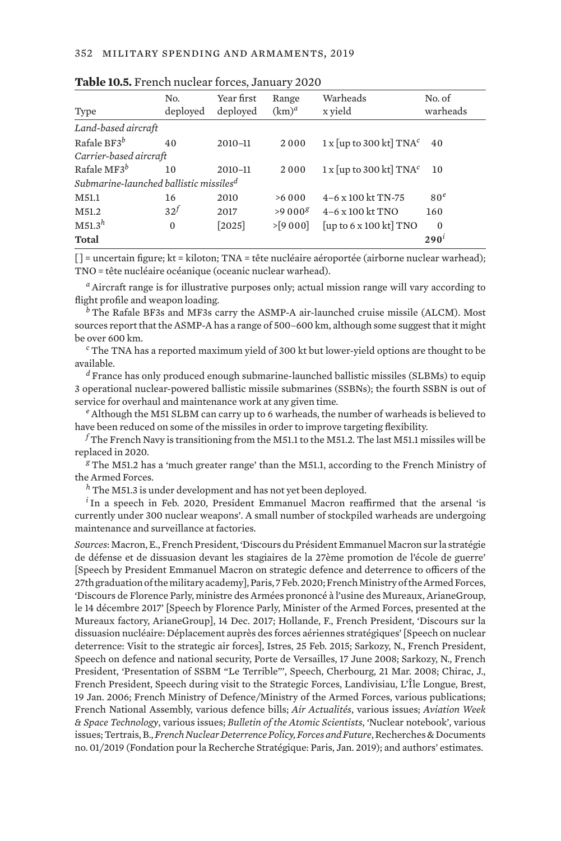| Type                                               | No.<br>deployed | Year first<br>deployed | Range<br>$(km)^d$    | Warheads<br>x yield                  | No. of<br>warheads |
|----------------------------------------------------|-----------------|------------------------|----------------------|--------------------------------------|--------------------|
| Land-based aircraft                                |                 |                        |                      |                                      |                    |
| Rafale BF3 <sup>b</sup>                            | 40              | $2010 - 11$            | 2000                 | $1x$ [up to 300 kt] TNA <sup>c</sup> | -40                |
| Carrier-based aircraft                             |                 |                        |                      |                                      |                    |
| Rafale MF3 $^b$                                    | 10              | $2010 - 11$            | 2000                 | $1x$ [up to 300 kt] TNA <sup>c</sup> | - 10               |
| Submarine-launched ballistic missiles <sup>d</sup> |                 |                        |                      |                                      |                    |
| M51.1                                              | 16              | 2010                   | >6000                | $4-6 \times 100$ kt TN-75            | 80 <sup>e</sup>    |
| M51.2                                              | 32 <sup>f</sup> | 2017                   | $>9000$ <sup>g</sup> | $4-6 \times 100$ kt TNO              | 160                |
| M51.3 <sup>h</sup>                                 | $\mathbf{0}$    | $[2025]$               | $>$ [9 0 0 0]        | [up to 6 x 100 kt] TNO               | $\Omega$           |
| Total                                              |                 |                        |                      |                                      | $290^i$            |

|  |  |  |  |  |  |  | Table 10.5. French nuclear forces, January 2020 |  |  |  |
|--|--|--|--|--|--|--|-------------------------------------------------|--|--|--|
|--|--|--|--|--|--|--|-------------------------------------------------|--|--|--|

[ ] = uncertain figure; kt = kiloton; TNA = tête nucléaire aéroportée (airborne nuclear warhead); TNO = tête nucléaire océanique (oceanic nuclear warhead).

*<sup>a</sup>* Aircraft range is for illustrative purposes only; actual mission range will vary according to flight profile and weapon loading.

*<sup>b</sup>* The Rafale BF3s and MF3s carry the ASMP-A air-launched cruise missile (ALCM). Most sources report that the ASMP-A has a range of 500–600 km, although some suggest that it might be over 600 km.

*<sup>c</sup>* The TNA has a reported maximum yield of 300 kt but lower-yield options are thought to be available.

*<sup>d</sup>* France has only produced enough submarine-launched ballistic missiles (SLBMs) to equip 3 operational nuclear-powered ballistic missile submarines (SSBNs); the fourth SSBN is out of service for overhaul and maintenance work at any given time.

*<sup>e</sup>* Although the M51 SLBM can carry up to 6 warheads, the number of warheads is believed to have been reduced on some of the missiles in order to improve targeting flexibility.

*<sup>f</sup>* The French Navy is transitioning from the M51.1 to the M51.2. The last M51.1 missiles will be replaced in 2020.

*<sup>g</sup>* The M51.2 has a 'much greater range' than the M51.1, according to the French Ministry of the Armed Forces.

*<sup>h</sup>* The M51.3 is under development and has not yet been deployed.

*<sup>i</sup>* In a speech in Feb. 2020, President Emmanuel Macron reaffirmed that the arsenal 'is currently under 300 nuclear weapons'. A small number of stockpiled warheads are undergoing maintenance and surveillance at factories.

*Sources*: Macron, E., French President, ['Discours du Président Emmanuel Macron sur la stratégie](https://www.elysee.fr/emmanuel-macron/2020/02/07/discours-du-president-emmanuel-macron-sur-la-strategie-de-defense-et-de-dissuasion-devant-les-stagiaires-de-la-27eme-promotion-de-lecole-de-guerre) [de défense et de dissuasion devant les stagiaires de la 27ème promotion de l'école de guerre](https://www.elysee.fr/emmanuel-macron/2020/02/07/discours-du-president-emmanuel-macron-sur-la-strategie-de-defense-et-de-dissuasion-devant-les-stagiaires-de-la-27eme-promotion-de-lecole-de-guerre)' [Speech by President Emmanuel Macron on strategic defence and deterrence to officers of the 27th graduation of the military academy], Paris, 7 Feb. 2020; French Ministry of the Armed Forces, 'Discours de Florence Parly, ministre des Armées prononcé à l'usine des Mureaux, ArianeGroup, le 14 décembre 2017' [Speech by Florence Parly, Minister of the Armed Forces, presented at the Mureaux factory, ArianeGroup], 14 Dec. 2017; Hollande, F., French President, 'Discours sur la dissuasion nucléaire: Déplacement auprès des forces aériennes stratégiques' [Speech on nuclear deterrence: Visit to the strategic air forces], Istres, 25 Feb. 2015; Sarkozy, N., French President, Speech on defence and national security, Porte de Versailles, 17 June 2008; Sarkozy, N., French President, 'Presentation of SSBM "Le Terrible"', Speech, Cherbourg, 21 Mar. 2008; Chirac, J., French President, Speech during visit to the Strategic Forces, Landivisiau, L'Île Longue, Brest, 19 Jan. 2006; French Ministry of Defence/Ministry of the Armed Forces, various publications; French National Assembly, various defence bills; *Air Actualités*, various issues; *Aviation Week & Space Technology*, various issues; *Bulletin of the Atomic Scientists*, 'Nuclear notebook', various issues; Tertrais, B., *French Nuclear Deterrence Policy, Forces and Future*, Recherches & Documents no. 01/2019 (Fondation pour la Recherche Stratégique: Paris, Jan. 2019); and authors' estimates.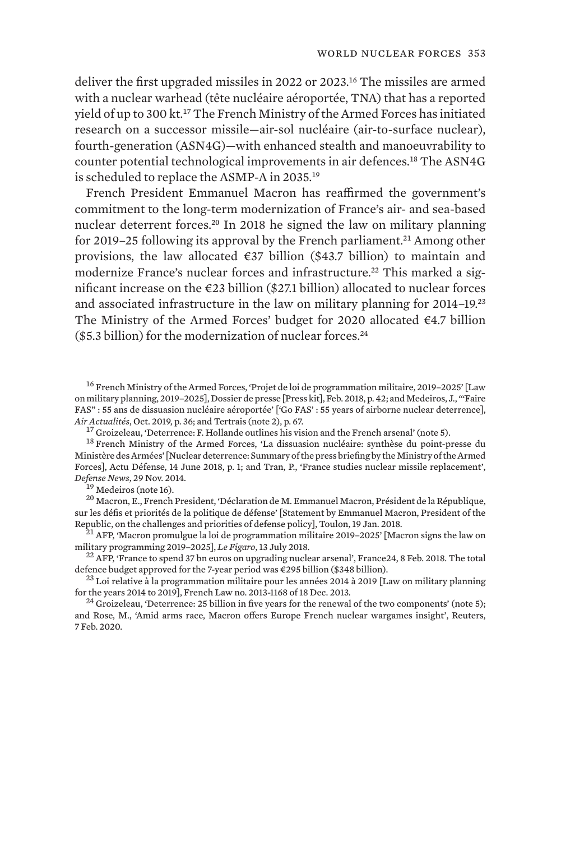deliver the first upgraded missiles in 2022 or 2023.16 The missiles are armed with a nuclear warhead (tête nucléaire aéroportée, TNA) that has a reported yield of up to 300 kt.17 The French Ministry of the Armed Forces has initiated research on a successor missile—air-sol nucléaire (air-to-surface nuclear), fourth-generation (ASN4G)—with enhanced stealth and manoeuvrability to counter potential technological improvements in air defences.18 The ASN4G is scheduled to replace the ASMP-A in 2035.<sup>19</sup>

French President Emmanuel Macron has reaffirmed the government's commitment to the long-term modernization of France's air- and sea-based nuclear deterrent forces.<sup>20</sup> In 2018 he signed the law on military planning for 2019–25 following its approval by the French parliament.<sup>21</sup> Among other provisions, the law allocated  $\epsilon$ 37 billion (\$43.7 billion) to maintain and modernize France's nuclear forces and infrastructure.<sup>22</sup> This marked a significant increase on the €23 billion (\$27.1 billion) allocated to nuclear forces and associated infrastructure in the law on military planning for 2014–19.<sup>23</sup> The Ministry of the Armed Forces' budget for 2020 allocated €4.7 billion  $($5.3\,billion)$  for the modernization of nuclear forces.<sup>24</sup>

<sup>16</sup> French Ministry of the Armed Forces, 'Projet de loi de programmation militaire, 2019–2025' [Law on military planning, 2019–2025], Dossier de presse [Press kit], Feb. 2018, p. 42; and Medeiros, J., '["Faire](https://en.calameo.com/read/000014334ed1a8a19c422) [FAS" : 55 ans de dissuasion nucléaire aéroportée](https://en.calameo.com/read/000014334ed1a8a19c422)' ['Go FAS' : 55 years of airborne nuclear deterrence],

<sup>17</sup> Groizeleau, 'Deterrence: F. Hollande outlines his vision and the French arsenal' (note 5).<br><sup>18</sup> French Ministry of the Armed Forces, ['La dissuasion nucléaire: synthèse du point-presse du](https://www.defense.gouv.fr/content/download/534618/9201019/file/Actu%20D%C3%A9fense%2014%20juin%202018.pdf) [Ministère des Armées](https://www.defense.gouv.fr/content/download/534618/9201019/file/Actu%20D%C3%A9fense%2014%20juin%202018.pdf)' [Nuclear deterrence: Summary of the press briefing by the Ministry of the Armed Forces], Actu Défense, 14 June 2018, p. 1; and Tran, P., ['France studies nuclear missile replacement'](https://www.defensenews.com/global/europe/2014/11/29/france-studies-nuclear-missile-replacement/),

<sup>19</sup> Medeiros (note 16).<br><sup>20</sup> Macron, E., French President, ['Déclaration de M. Emmanuel Macron, Président de la République,](Déclaration de M. Emmanuel Macron, Président de la République, sur les défis et priorités de la politique de défense) [sur les défis et priorités de la politique de défense](Déclaration de M. Emmanuel Macron, Président de la République, sur les défis et priorités de la politique de défense)' [Statement by Emmanuel Macron, President of the<br>Republic, on the challenges and priorities of defense policy], Toulon, 19 Jan. 2018.

<sup>21</sup> AFP, '[Macron promulgue la loi de programmation militaire 2019–2025'](http://www.lefigaro.fr/flash-actu/2018/07/13/97001-20180713FILWWW00282-macron-promulgue-la-loi-de-programmation-militaire-2019-2025.php) [Macron signs the law on military programming 2019–2025], *Le Figaro*, 13 July 2018.

<sup>22</sup> AFP, '[France to spend 37 bn euros on upgrading nuclear arsenal](https://www.france24.com/en/20180208-france-spend-37-bn-euros-upgrading-nuclear-arsenal)', France24, 8 Feb. 2018. The total defence budget approved for the 7-year period was €295 billion (\$348 billion).

 $^{23}$  [Loi relative à la programmation militaire pour les années 2014 à 2019](https://www.legifrance.gouv.fr/affichTexte.do;?cidTexte=JORFTEXT000028338825) [Law on military planning for the years 2014 to 2019], French Law no. 2013-1168 of 18 Dec. 2013.

<sup>24</sup> Groizeleau, 'Deterrence: 25 billion in five years for the renewal of the two components' (note 5); and Rose, M., ['Amid arms race, Macron offers Europe French nuclear wargames insight](https://www.reuters.com/article/us-france-defence-macron-idUSKBN20119O)', Reuters, 7 Feb. 2020.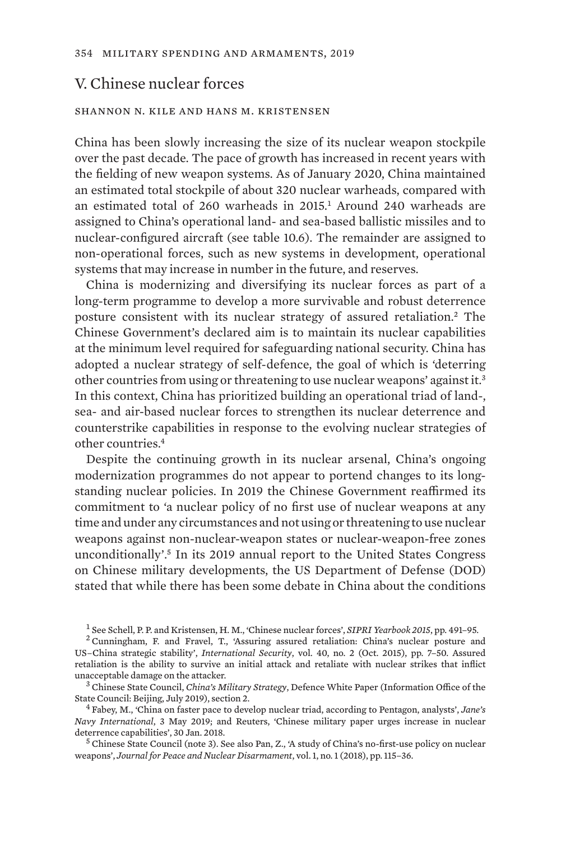# V. Chinese nuclear forces

## shannon n. kile and hans m. kristensen

China has been slowly increasing the size of its nuclear weapon stockpile over the past decade. The pace of growth has increased in recent years with the fielding of new weapon systems. As of January 2020, China maintained an estimated total stockpile of about 320 nuclear warheads, compared with an estimated total of 260 warheads in 2015.1 Around 240 warheads are assigned to China's operational land- and sea-based ballistic missiles and to nuclear-configured aircraft (see table 10.6). The remainder are assigned to non-operational forces, such as new systems in development, operational systems that may increase in number in the future, and reserves.

China is modernizing and diversifying its nuclear forces as part of a long-term programme to develop a more survivable and robust deterrence posture consistent with its nuclear strategy of assured retaliation.<sup>2</sup> The Chinese Government's declared aim is to maintain its nuclear capabilities at the minimum level required for safeguarding national security. China has adopted a nuclear strategy of self-defence, the goal of which is 'deterring other countries from using or threatening to use nuclear weapons' against it.<sup>3</sup> In this context, China has prioritized building an operational triad of land-, sea- and air-based nuclear forces to strengthen its nuclear deterrence and counterstrike capabilities in response to the evolving nuclear strategies of other countries.<sup>4</sup>

Despite the continuing growth in its nuclear arsenal, China's ongoing modernization programmes do not appear to portend changes to its longstanding nuclear policies. In 2019 the Chinese Government reaffirmed its commitment to 'a nuclear policy of no first use of nuclear weapons at any time and under any circumstances and not using or threatening to use nuclear weapons against non-nuclear-weapon states or nuclear-weapon-free zones unconditionally'.5 In its 2019 annual report to the United States Congress on Chinese military developments, the US Department of Defense (DOD) stated that while there has been some debate in China about the conditions

<sup>1</sup> See Schell, P. P. and Kristensen, H. M., 'Chinese nuclear forces', *SIPRI Yearbook 2015*, pp. 491–95.<br><sup>2</sup> Cunningham, F. and Fravel, T., ['Assuring assured retaliation: China's nuclear posture and](https://www.mitpressjournals.org/doi/abs/10.1162/ISEC_a_00215?journalCode=isec)

[US–China strategic stability'](https://www.mitpressjournals.org/doi/abs/10.1162/ISEC_a_00215?journalCode=isec), *International Security*, vol. 40, no. 2 (Oct. 2015), pp. 7–50. Assured retaliation is the ability to survive an initial attack and retaliate with nuclear strikes that inflict unacceptable damage on the attacker. <sup>3</sup> Chinese State Council, *[China's Military Strategy](http://english.www.gov.cn/archive/whitepaper/201907/24/content_WS5d3941ddc6d08408f502283d.html)*, Defence White Paper (Information Office of the

State Council: Beijing, July 2019), section 2. <sup>4</sup> Fabey, M., ['China on faster pace to develop nuclear triad, according to Pentagon, analysts'](https://www.janes.com/article/88289/china-on-faster-pace-to-develop-nuclear-triad-according-to-pentagon-analysts), *Jane's* 

*Navy International*, 3 May 2019; and Reuters, '[Chinese military paper urges increase in nuclear](https://www.reuters.com/article/us-china-security/chinese-military-paper-urges-increase-in-nuclear-deterrence-capabilities-idUSKBN1FJ1A0) [deterrence capabilities](https://www.reuters.com/article/us-china-security/chinese-military-paper-urges-increase-in-nuclear-deterrence-capabilities-idUSKBN1FJ1A0)', 30 Jan. 2018.<br><sup>5</sup> Chinese State Council (note 3). See also Pan, Z., ['A study of China's no-first-use policy on nuclear](https://www.tandfonline.com/doi/full/10.1080/25751654.2018.1458415)

[weapons](https://www.tandfonline.com/doi/full/10.1080/25751654.2018.1458415)', *Journal for Peace and Nuclear Disarmament*, vol. 1, no. 1 (2018), pp. 115–36.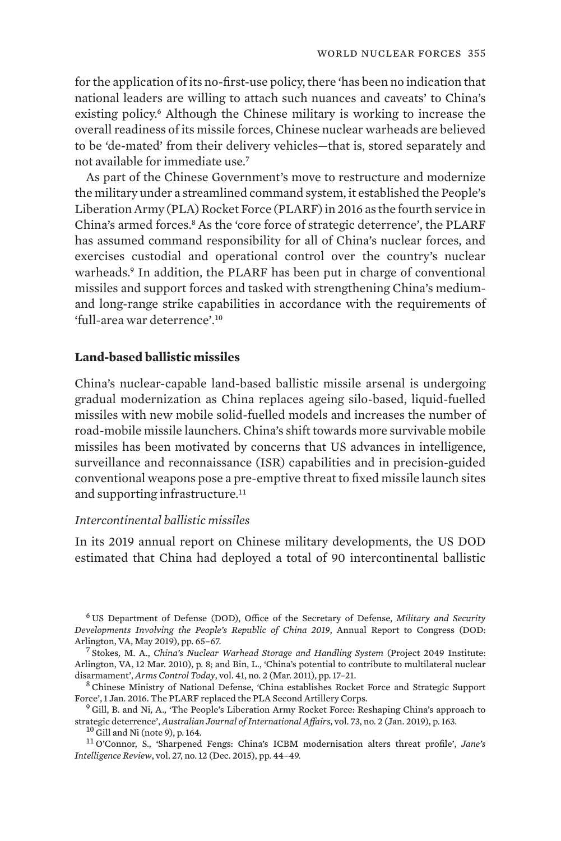for the application of its no-first-use policy, there 'has been no indication that national leaders are willing to attach such nuances and caveats' to China's existing policy.6 Although the Chinese military is working to increase the overall readiness of its missile forces, Chinese nuclear warheads are believed to be 'de-mated' from their delivery vehicles—that is, stored separately and not available for immediate use.<sup>7</sup>

As part of the Chinese Government's move to restructure and modernize the military under a streamlined command system, it established the People's Liberation Army (PLA) Rocket Force (PLARF) in 2016 as the fourth service in China's armed forces.<sup>8</sup> As the 'core force of strategic deterrence', the PLARF has assumed command responsibility for all of China's nuclear forces, and exercises custodial and operational control over the country's nuclear warheads.<sup>9</sup> In addition, the PLARF has been put in charge of conventional missiles and support forces and tasked with strengthening China's mediumand long-range strike capabilities in accordance with the requirements of 'full-area war deterrence'.<sup>10</sup>

#### **Land-based ballistic missiles**

China's nuclear-capable land-based ballistic missile arsenal is undergoing gradual modernization as China replaces ageing silo-based, liquid-fuelled missiles with new mobile solid-fuelled models and increases the number of road-mobile missile launchers. China's shift towards more survivable mobile missiles has been motivated by concerns that US advances in intelligence, surveillance and reconnaissance (ISR) capabilities and in precision-guided conventional weapons pose a pre-emptive threat to fixed missile launch sites and supporting infrastructure.<sup>11</sup>

#### *Intercontinental ballistic missiles*

In its 2019 annual report on Chinese military developments, the US DOD estimated that China had deployed a total of 90 intercontinental ballistic

<sup>6</sup> US Department of Defense (DOD), Office of the Secretary of Defense, *[Military and Security](https://media.defense.gov/2019/May/02/2002127082/-1/-1/1/2019_CHINA_MILITARY_POWER_REPORT.pdf) [Developments Involving the People's Republic of China 2019](https://media.defense.gov/2019/May/02/2002127082/-1/-1/1/2019_CHINA_MILITARY_POWER_REPORT.pdf)*, Annual Report to Congress (DOD: Arlington, VA, May 2019), pp. 65–67. <sup>7</sup> Stokes, M. A., *China's Nuclear Warhead Storage and Handling System* (Project 2049 Institute:

Force', 1 Jan. 2016. The PLARF replaced the PLA Second Artillery Corps.<br><sup>9</sup> Gill, B. and Ni, A., 'The People's Liberation Army Rocket Force: Reshaping China's approach to<br>strategic deterrence'. *Australian Journal of Inter* 

<sup>10</sup> Gill and Ni (note 9), p. 164.<br><sup>11</sup> O'Connor, S., 'Sharpened Fengs: China's ICBM modernisation alters threat profile', *Jane's Intelligence Review*, vol. 27, no. 12 (Dec. 2015), pp. 44–49.

Arlington, VA, 12 Mar. 2010), p. 8; and Bin, L., 'China's potential to contribute to multilateral nuclear disarmament', *Arms Control Today*, vol. 41, no. 2 (Mar. 2011), pp. 17–21.<br><sup>8</sup> Chinese Ministry of National Defense, 'China establishes Rocket Force and Strategic Support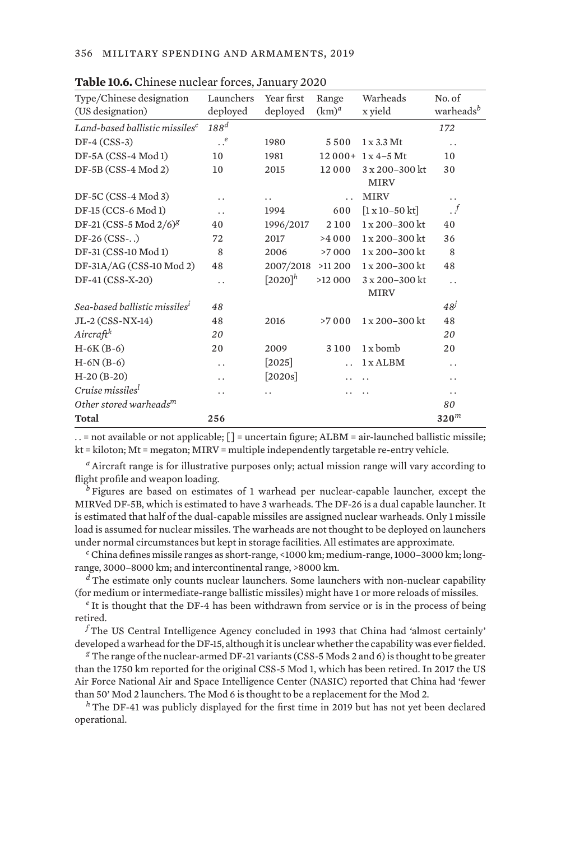| Type/Chinese designation<br>(US designation) | Launchers<br>deployed | Year first<br>deployed | Range<br>$(km)^a$    | Warheads<br>x yield             | No. of<br>warheads <sup>b</sup> |
|----------------------------------------------|-----------------------|------------------------|----------------------|---------------------------------|---------------------------------|
| Land-based ballistic missiles <sup>c</sup>   | $188^d$               |                        |                      |                                 | 172                             |
| $DF-4 (CSS-3)$                               | $\cdot$ . $^e$        | 1980                   | 5500                 | $1 \times 3.3$ Mt               | $\ddotsc$                       |
| DF-5A (CSS-4 Mod 1)                          | 10                    | 1981                   | $12000+$             | $1 \times 4 - 5$ Mt             | 10                              |
| DF-5B (CSS-4 Mod 2)                          | 10                    | 2015                   | 12000                | 3 x 200-300 kt<br><b>MIRV</b>   | 30                              |
| DF-5C (CSS-4 Mod 3)                          |                       | . .                    | $\ddot{\phantom{0}}$ | <b>MIRV</b>                     | $\ddotsc$                       |
| DF-15 (CCS-6 Mod 1)                          | $\ddot{\phantom{0}}$  | 1994                   | 600                  | $[1 \times 10 - 50 \text{ kt}]$ | $\cdot$ .                       |
| DF-21 (CSS-5 Mod $2/6$ ) <sup>g</sup>        | 40                    | 1996/2017              | 2 1 0 0              | 1 x 200-300 kt                  | 40                              |
| $DF-26 (CSS-.)$                              | 72                    | 2017                   | >4000                | $1 \times 200 - 300$ kt         | 36                              |
| DF-31 (CSS-10 Mod 1)                         | 8                     | 2006                   | >7 000               | 1 x 200-300 kt                  | 8                               |
| DF-31A/AG (CSS-10 Mod 2)                     | 48                    | 2007/2018              | >11200               | 1 x 200-300 kt                  | 48                              |
| DF-41 (CSS-X-20)                             | . .                   | $[2020]^{h}$           | >12000               | 3 x 200-300 kt<br><b>MIRV</b>   | $\ddotsc$                       |
| Sea-based ballistic missiles <sup>i</sup>    | 48                    |                        |                      |                                 | 48 <sup>j</sup>                 |
| JL-2 (CSS-NX-14)                             | 48                    | 2016                   | >7000                | $1 \times 200 - 300$ kt         | 48                              |
| Aircraft <sup>k</sup>                        | 20                    |                        |                      |                                 | 20                              |
| $H-6K(B-6)$                                  | 20                    | 2009                   | 3 1 0 0              | $1x$ bomb                       | 20                              |
| $H-6N(B-6)$                                  | $\ddotsc$             | $[2025]$               | $\ddot{\phantom{a}}$ | 1 x ALBM                        | $\ddotsc$                       |
| $H-20(B-20)$                                 | . .                   | $[2020s]$              |                      |                                 | . .                             |
| Cruise missiles <sup>1</sup>                 | . .                   | . .                    |                      |                                 | $\ddotsc$                       |
| Other stored warheads $m$                    |                       |                        |                      |                                 | 80                              |
| Total                                        | 256                   |                        |                      |                                 | 320 <sup>m</sup>                |

**Table 10.6.** Chinese nuclear forces, January 2020

. . = not available or not applicable; [ ] = uncertain figure; ALBM = air-launched ballistic missile; kt = kiloton; Mt = megaton; MIRV = multiple independently targetable re-entry vehicle.

*<sup>a</sup>* Aircraft range is for illustrative purposes only; actual mission range will vary according to flight profile and weapon loading.

*<sup>b</sup>* Figures are based on estimates of 1 warhead per nuclear-capable launcher, except the MIRVed DF-5B, which is estimated to have 3 warheads. The DF-26 is a dual capable launcher. It is estimated that half of the dual-capable missiles are assigned nuclear warheads. Only 1 missile load is assumed for nuclear missiles. The warheads are not thought to be deployed on launchers under normal circumstances but kept in storage facilities. All estimates are approximate.

*<sup>c</sup>* China defines missile ranges as short-range, <1000 km; medium-range, 1000–3000 km; longrange, 3000–8000 km; and intercontinental range, >8000 km.

*<sup>d</sup>* The estimate only counts nuclear launchers. Some launchers with non-nuclear capability (for medium or intermediate-range ballistic missiles) might have 1 or more reloads of missiles.

*<sup>e</sup>* It is thought that the DF-4 has been withdrawn from service or is in the process of being retired.

*<sup>f</sup>* The US Central Intelligence Agency concluded in 1993 that China had 'almost certainly' developed a warhead for the DF-15, although it is unclear whether the capability was ever fielded.

*<sup>g</sup>* The range of the nuclear-armed DF-21 variants (CSS-5 Mods 2 and 6) is thought to be greater than the 1750 km reported for the original CSS-5 Mod 1, which has been retired. In 2017 the US Air Force National Air and Space Intelligence Center (NASIC) reported that China had 'fewer than 50' Mod 2 launchers. The Mod 6 is thought to be a replacement for the Mod 2.

*<sup>h</sup>* The DF-41 was publicly displayed for the first time in 2019 but has not yet been declared operational.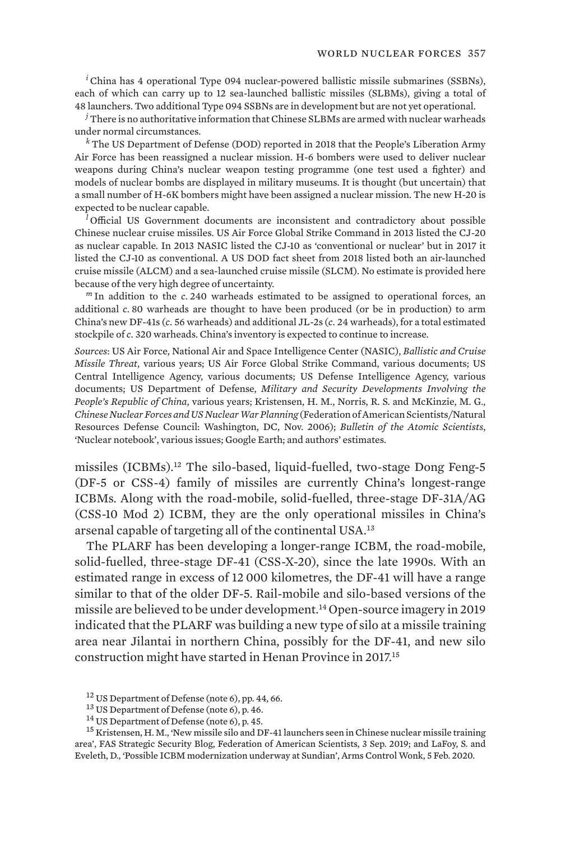*<sup>i</sup>* China has 4 operational Type 094 nuclear-powered ballistic missile submarines (SSBNs), each of which can carry up to 12 sea-launched ballistic missiles (SLBMs), giving a total of 48 launchers. Two additional Type 094 SSBNs are in development but are not yet operational.

*<sup>j</sup>* There is no authoritative information that Chinese SLBMs are armed with nuclear warheads under normal circumstances.

*<sup>k</sup>* The US Department of Defense (DOD) reported in 2018 that the People's Liberation Army Air Force has been reassigned a nuclear mission. H-6 bombers were used to deliver nuclear weapons during China's nuclear weapon testing programme (one test used a fighter) and models of nuclear bombs are displayed in military museums. It is thought (but uncertain) that a small number of H-6K bombers might have been assigned a nuclear mission. The new H-20 is expected to be nuclear capable.

*<sup>l</sup>* Official US Government documents are inconsistent and contradictory about possible Chinese nuclear cruise missiles. US Air Force Global Strike Command in 2013 listed the CJ-20 as nuclear capable. In 2013 NASIC listed the CJ-10 as 'conventional or nuclear' but in 2017 it listed the CJ-10 as conventional. A US DOD fact sheet from 2018 listed both an air-launched cruise missile (ALCM) and a sea-launched cruise missile (SLCM). No estimate is provided here because of the very high degree of uncertainty.

*<sup>m</sup>* In addition to the *c*. 240 warheads estimated to be assigned to operational forces, an additional *c*. 80 warheads are thought to have been produced (or be in production) to arm China's new DF-41s (*c*. 56 warheads) and additional JL-2s (*c*. 24 warheads), for a total estimated stockpile of *c*. 320 warheads. China's inventory is expected to continue to increase.

*Sources*: US Air Force, National Air and Space Intelligence Center (NASIC), *Ballistic and Cruise Missile Threat*, various years; US Air Force Global Strike Command, various documents; US Central Intelligence Agency, various documents; US Defense Intelligence Agency, various documents; US Department of Defense, *Military and Security Developments Involving the People's Republic of China*, various years; Kristensen, H. M., Norris, R. S. and McKinzie, M. G., *Chinese Nuclear Forces and US Nuclear War Planning* (Federation of American Scientists/Natural Resources Defense Council: Washington, DC, Nov. 2006); *Bulletin of the Atomic Scientists*, 'Nuclear notebook', various issues; Google Earth; and authors' estimates.

missiles (ICBMs).12 The silo-based, liquid-fuelled, two-stage Dong Feng-5 (DF-5 or CSS-4) family of missiles are currently China's longest-range ICBMs. Along with the road-mobile, solid-fuelled, three-stage DF-31A/AG (CSS-10 Mod 2) ICBM, they are the only operational missiles in China's arsenal capable of targeting all of the continental USA.<sup>13</sup>

The PLARF has been developing a longer-range ICBM, the road-mobile, solid-fuelled, three-stage DF-41 (CSS-X-20), since the late 1990s. With an estimated range in excess of 12 000 kilometres, the DF-41 will have a range similar to that of the older DF-5. Rail-mobile and silo-based versions of the missile are believed to be under development.14 Open-source imagery in 2019 indicated that the PLARF was building a new type of silo at a missile training area near Jilantai in northern China, possibly for the DF-41, and new silo construction might have started in Henan Province in 2017.<sup>15</sup>

<sup>&</sup>lt;sup>12</sup> US Department of Defense (note 6), pp. 44, 66.<br><sup>13</sup> US Department of Defense (note 6), p. 46.<br><sup>14</sup> US Department of Defense (note 6), p. 45.<br><sup>14</sup> US Department of Defense (note 6), p. 45.<br><sup>15</sup> Kristensen, H. M., 'New [area'](https://fas.org/blogs/security/2019/09/china-silo-df41/), FAS Strategic Security Blog, Federation of American Scientists, 3 Sep. 2019; and LaFoy, S. and Eveleth, D., ['Possible ICBM modernization underway at Sundian'](https://www.armscontrolwonk.com/archive/1208828/possible-icbm-modernization-underway-at-sundian/), Arms Control Wonk, 5 Feb. 2020.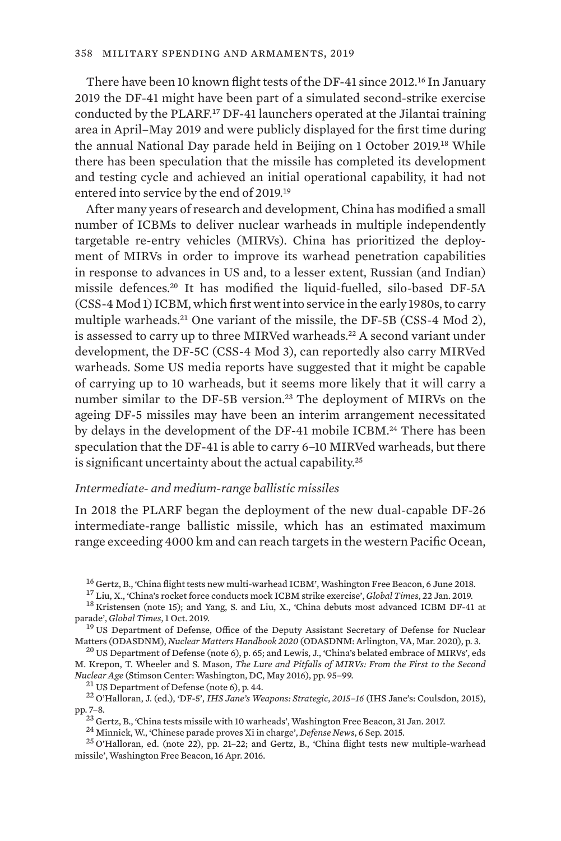There have been 10 known flight tests of the DF-41 since 2012.16 In January 2019 the DF-41 might have been part of a simulated second-strike exercise conducted by the PLARF.17 DF-41 launchers operated at the Jilantai training area in April–May 2019 and were publicly displayed for the first time during the annual National Day parade held in Beijing on 1 October 2019.18 While there has been speculation that the missile has completed its development and testing cycle and achieved an initial operational capability, it had not entered into service by the end of 2019.<sup>19</sup>

After many years of research and development, China has modified a small number of ICBMs to deliver nuclear warheads in multiple independently targetable re-entry vehicles (MIRVs). China has prioritized the deployment of MIRVs in order to improve its warhead penetration capabilities in response to advances in US and, to a lesser extent, Russian (and Indian) missile defences. <sup>20</sup> It has modified the liquid-fuelled, silo-based DF-5A (CSS-4 Mod 1) ICBM, which first went into service in the early 1980s, to carry multiple warheads.<sup>21</sup> One variant of the missile, the DF-5B (CSS-4 Mod 2), is assessed to carry up to three MIRVed warheads.<sup>22</sup> A second variant under development, the DF-5C (CSS-4 Mod 3), can reportedly also carry MIRVed warheads. Some US media reports have suggested that it might be capable of carrying up to 10 warheads, but it seems more likely that it will carry a number similar to the DF-5B version.<sup>23</sup> The deployment of MIRVs on the ageing DF-5 missiles may have been an interim arrangement necessitated by delays in the development of the DF-41 mobile ICBM.<sup>24</sup> There has been speculation that the DF-41 is able to carry 6–10 MIRVed warheads, but there is significant uncertainty about the actual capability.<sup>25</sup>

#### *Intermediate- and medium-range ballistic missiles*

In 2018 the PLARF began the deployment of the new dual-capable DF-26 intermediate-range ballistic missile, which has an estimated maximum range exceeding 4000 km and can reach targets in the western Pacific Ocean,

<sup>&</sup>lt;sup>16</sup> Gertz, B., 'China flight tests new multi-warhead ICBM', Washington Free Beacon, 6 June 2018.<br><sup>17</sup> Liu, X., '[China's rocket force conducts mock ICBM strike exercise](http://www.globaltimes.cn/content/1136655.shtml)', *Global Times*, 22 Jan. 2019.<br><sup>18</sup> Kristensen (not

[parade](http://www.globaltimes.cn/content/1165931.shtml)', *Global Times*, 1 Oct. 2019.<br><sup>19</sup> US Department of Defense, Office of the Deputy Assistant Secretary of Defense for Nuclear

Matters (ODASDNM), *[Nuclear Matters Handbook 2020](https://www.acq.osd.mil/ncbdp/nm/nmhb/docs/NMHB2020.pdf)* (ODASDNM: Arlington, VA, Mar. 2020), p. 3.<br><sup>20</sup> US Department of Defense (note 6), p. 65; and Lewis, J., 'China's belated embrace of MIRVs', eds

M. Krepon, T. Wheeler and S. Mason, *The Lure and Pitfalls of MIRVs: From the First to the Second* Nuclear Age (Stimson Center: Washington, DC, May 2016), pp. 95–99.<br><sup>21</sup> US Department of Defense (note 6), p. 44.<br><sup>22</sup> O'Halloran, J. (ed.), 'DF-5', *IHS Jane's Weapons: Strategic, 2015–16* (IHS Jane's: Coulsdon, 2015),

pp. 7–8.<br><sup>23</sup> Gertz, B., 'China tests missile with 10 warheads', Washington Free Beacon, 31 Jan. 2017.<br><sup>24</sup> Minnick, W., 'Chinese parade proves Xi in charge', *Defense News*, 6 Sep. 2015.<br><sup>25</sup> O'Halloran, ed. (note 22), pp

missile', Washington Free Beacon, 16 Apr. 2016.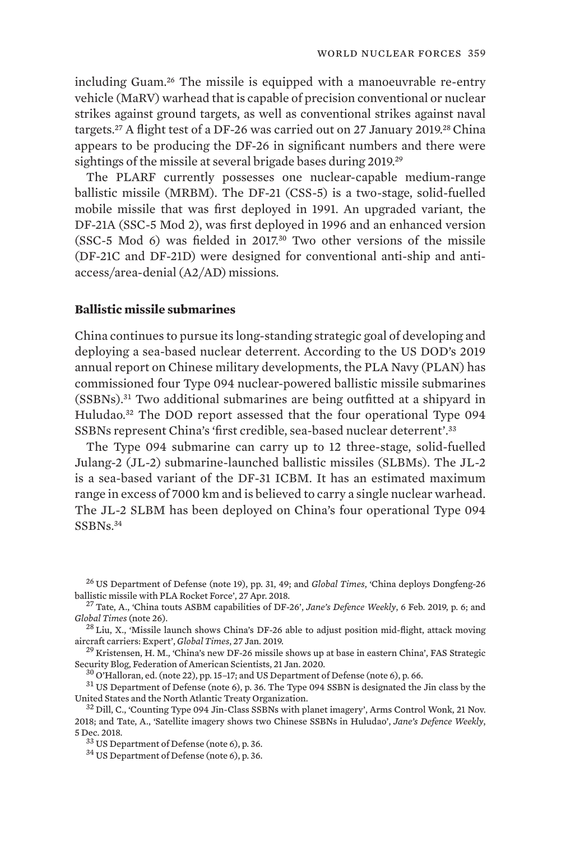including Guam.26 The missile is equipped with a manoeuvrable re-entry vehicle (MaRV) warhead that is capable of precision conventional or nuclear strikes against ground targets, as well as conventional strikes against naval targets.27 A flight test of a DF-26 was carried out on 27 January 2019.<sup>28</sup> China appears to be producing the DF-26 in significant numbers and there were sightings of the missile at several brigade bases during 2019.<sup>29</sup>

The PLARF currently possesses one nuclear-capable medium-range ballistic missile (MRBM). The DF-21 (CSS-5) is a two-stage, solid-fuelled mobile missile that was first deployed in 1991. An upgraded variant, the DF-21A (SSC-5 Mod 2), was first deployed in 1996 and an enhanced version (SSC-5 Mod 6) was fielded in 2017.<sup>30</sup> Two other versions of the missile (DF-21C and DF-21D) were designed for conventional anti-ship and antiaccess/area-denial (A2/AD) missions.

#### **Ballistic missile submarines**

China continues to pursue its long-standing strategic goal of developing and deploying a sea-based nuclear deterrent. According to the US DOD's 2019 annual report on Chinese military developments, the PLA Navy (PLAN) has commissioned four Type 094 nuclear-powered ballistic missile submarines (SSBNs).31 Two additional submarines are being outfitted at a shipyard in Huludao.<sup>32</sup> The DOD report assessed that the four operational Type 094 SSBNs represent China's 'first credible, sea-based nuclear deterrent'.<sup>33</sup>

The Type 094 submarine can carry up to 12 three-stage, solid-fuelled Julang-2 (JL-2) submarine-launched ballistic missiles (SLBMs). The JL-2 is a sea-based variant of the DF-31 ICBM. It has an estimated maximum range in excess of 7000 km and is believed to carry a single nuclear warhead. The JL-2 SLBM has been deployed on China's four operational Type 094 SSBNs.<sup>34</sup>

<sup>26</sup> US Department of Defense (note 19), pp. 31, 49; and *Global Times*, ['China deploys Dongfeng-26](http://eng.mod.gov.cn/news/2018-04/27/content_4811325.htm)

<sup>&</sup>lt;sup>27</sup> Tate, A., 'China touts ASBM capabilities of DF-26', *Jane's Defence Weekly*, 6 Feb. 2019, p. 6; and *Global Times* (note 26). <sup>28</sup> Liu, X., '[Missile launch shows China's DF-26 able to adjust position mid-flight, attack moving](http://www.globaltimes.cn/content/1137152.shtml)

[aircraft carriers: Expert'](http://www.globaltimes.cn/content/1137152.shtml), *Global Times*, 27 Jan. 2019.<br><sup>29</sup> Kristensen, H. M., '[China's new DF-26 missile shows up at base in eastern China](https://fas.org/blogs/security/2020/01/df-26deployment/)', FAS Strategic<br>Security Blog, Federation of American Scientists, 21 Jan. 2020.

<sup>&</sup>lt;sup>30</sup> O'Halloran, ed. (note 22), pp. 15–17; and US Department of Defense (note 6), p. 66.<br><sup>31</sup> US Department of Defense (note 6), p. 36. The Type 094 SSBN is designated the Jin class by the United States and the North Atlantic Treaty Organization. <sup>32</sup> Dill, C., ['Counting Type 094 Jin-Class SSBNs with planet imagery'](https://www.armscontrolwonk.com/archive/1206320/counting-type-094-jin-class-ssbns-with-planet-imagery/), Arms Control Wonk, 21 Nov.

<sup>2018;</sup> and Tate, A., 'Satellite imagery shows two Chinese SSBNs in Huludao', *Jane's Defence Weekly*, 5 Dec. 2018. 33 US Department of Defense (note 6), p. 36.<br> $34$  US Department of Defense (note 6), p. 36.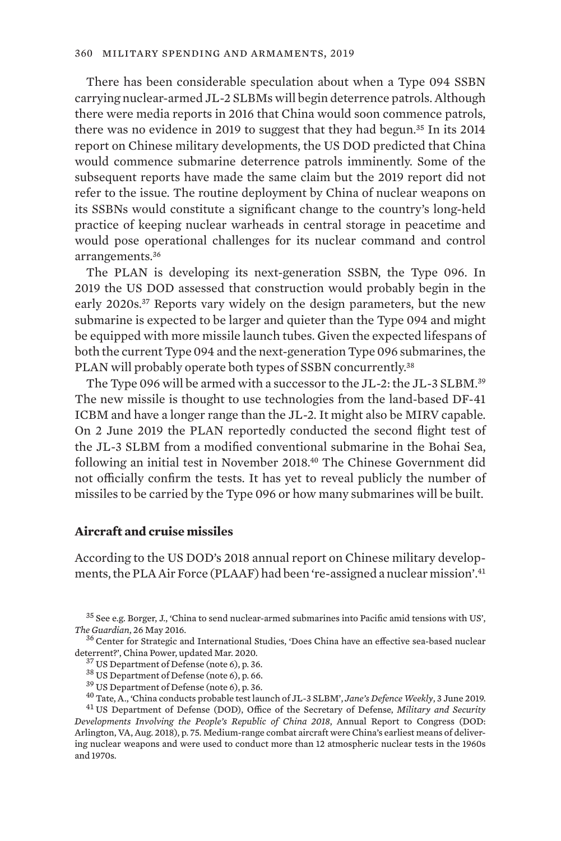There has been considerable speculation about when a Type 094 SSBN carrying nuclear-armed JL-2 SLBMs will begin deterrence patrols. Although there were media reports in 2016 that China would soon commence patrols, there was no evidence in 2019 to suggest that they had begun.<sup>35</sup> In its 2014 report on Chinese military developments, the US DOD predicted that China would commence submarine deterrence patrols imminently. Some of the subsequent reports have made the same claim but the 2019 report did not refer to the issue. The routine deployment by China of nuclear weapons on its SSBNs would constitute a significant change to the country's long-held practice of keeping nuclear warheads in central storage in peacetime and would pose operational challenges for its nuclear command and control arrangements.<sup>36</sup>

The PLAN is developing its next-generation SSBN, the Type 096. In 2019 the US DOD assessed that construction would probably begin in the early 2020s.37 Reports vary widely on the design parameters, but the new submarine is expected to be larger and quieter than the Type 094 and might be equipped with more missile launch tubes. Given the expected lifespans of both the current Type 094 and the next-generation Type 096 submarines, the PLAN will probably operate both types of SSBN concurrently.<sup>38</sup>

The Type 096 will be armed with a successor to the JL-2: the JL-3 SLBM.<sup>39</sup> The new missile is thought to use technologies from the land-based DF-41 ICBM and have a longer range than the JL-2. It might also be MIRV capable. On 2 June 2019 the PLAN reportedly conducted the second flight test of the JL-3 SLBM from a modified conventional submarine in the Bohai Sea, following an initial test in November 2018.40 The Chinese Government did not officially confirm the tests. It has yet to reveal publicly the number of missiles to be carried by the Type 096 or how many submarines will be built.

# **Aircraft and cruise missiles**

According to the US DOD's 2018 annual report on Chinese military developments, the PLA Air Force (PLAAF) had been 're-assigned a nuclear mission'.<sup>41</sup>

 $^{35}$  See e.g. Borger, J., 'China to send nuclear-armed submarines into Pacific amid tensions with US', The Guardian, 26 May 2016.

<sup>36</sup> Center for Strategic and International Studies, '[Does China have an effective sea-based nuclear](https://chinapower.csis.org/ssbn/)

[deterrent?](https://chinapower.csis.org/ssbn/)', China Power, updated Mar. 2020.<br><sup>37</sup> US Department of Defense (note 6), p. 36.<br><sup>38</sup> US Department of Defense (note 6), p. 66.<br><sup>39</sup> US Department of Defense (note 6), p. 36.<br><sup>40</sup> Tate, A., 'China conducts proba *Developments Involving the People's Republic of China 2018*, Annual Report to Congress (DOD: Arlington, VA, Aug. 2018), p. 75. Medium-range combat aircraft were China's earliest means of delivering nuclear weapons and were used to conduct more than 12 atmospheric nuclear tests in the 1960s and 1970s.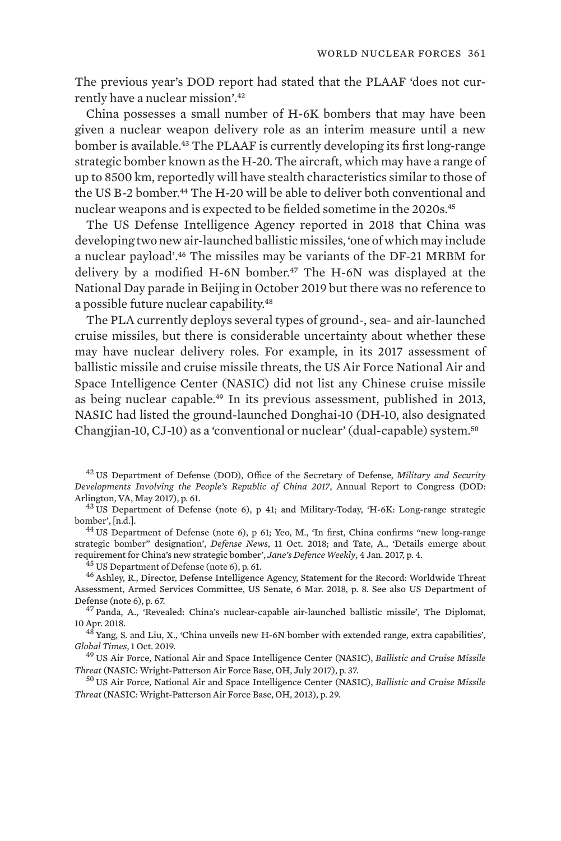The previous year's DOD report had stated that the PLAAF 'does not currently have a nuclear mission'.<sup>42</sup>

China possesses a small number of H-6K bombers that may have been given a nuclear weapon delivery role as an interim measure until a new bomber is available.<sup>43</sup> The PLAAF is currently developing its first long-range strategic bomber known as the H-20. The aircraft, which may have a range of up to 8500 km, reportedly will have stealth characteristics similar to those of the US B-2 bomber.44 The H-20 will be able to deliver both conventional and nuclear weapons and is expected to be fielded sometime in the 2020s.<sup>45</sup>

The US Defense Intelligence Agency reported in 2018 that China was developing two new air-launched ballistic missiles, 'one of which may include a nuclear payload'.46 The missiles may be variants of the DF-21 MRBM for delivery by a modified H-6N bomber.<sup>47</sup> The H-6N was displayed at the National Day parade in Beijing in October 2019 but there was no reference to a possible future nuclear capability.<sup>48</sup>

The PLA currently deploys several types of ground-, sea- and air-launched cruise missiles, but there is considerable uncertainty about whether these may have nuclear delivery roles. For example, in its 2017 assessment of ballistic missile and cruise missile threats, the US Air Force National Air and Space Intelligence Center (NASIC) did not list any Chinese cruise missile as being nuclear capable.<sup>49</sup> In its previous assessment, published in 2013, NASIC had listed the ground-launched Donghai-10 (DH-10, also designated Changjian-10, CJ-10) as a 'conventional or nuclear' (dual-capable) system.<sup>50</sup>

<sup>42</sup> US Department of Defense (DOD), Office of the Secretary of Defense, *Military and Security Developments Involving the People's Republic of China 2017*, Annual Report to Congress (DOD:

<sup>43</sup>US Department of Defense (note 6), p 41; and Military-Today, ['H-6K: Long-range strategic](http://www.military-today.com/aircraft/h6k.htm) [bomber](http://www.military-today.com/aircraft/h6k.htm)', [n.d.]. <sup>44</sup> US Department of Defense (note 6), p 61; Yeo, M., 'In first, China confirms "new long-range

strategic bomber" designation', *Defense News*, 11 Oct. 2018; and Tate, A., 'Details emerge about

 $^{\rm 45}$  US Department of Defense (note 6), p. 61.<br> $^{\rm 45}$  Mshley, R., Director, Defense Intelligence Agency, [Statement for the Record: Worldwide Threat](https://www.armed-services.senate.gov/imo/media/doc/Ashley_03-06-18.pdf) [Assessment,](https://www.armed-services.senate.gov/imo/media/doc/Ashley_03-06-18.pdf) Armed Services Committee, US Senate, 6 Mar. 2018, p. 8. See also US Department of Defense (note 6), p. 67. <sup>47</sup> Panda, A., '[Revealed: China's nuclear-capable air-launched ballistic missile'](https://thediplomat.com/2018/04/revealed-chinas-nuclear-capable-air-launched-ballistic-missile), The Diplomat,

10 Apr. 2018.  $^{48}$  Yang, S. and Liu, X., '[China unveils new H-6N bomber with extended range, extra capabilities'](https://www.globaltimes.cn/content/1165938.shtml),

*Global Times*, 1 Oct. 2019. <sup>49</sup> US Air Force, National Air and Space Intelligence Center (NASIC), *Ballistic and Cruise Missile* 

*Threat* (NASIC: Wright-Patterson Air Force Base, OH, July 2017), p. 37. <sup>50</sup> US Air Force, National Air and Space Intelligence Center (NASIC), *[Ballistic and Cruise Missile](https://fas.org/programs/ssp/nukes/nuclearweapons/NASIC2013_050813.pdf)* 

*[Threat](https://fas.org/programs/ssp/nukes/nuclearweapons/NASIC2013_050813.pdf)* (NASIC: Wright-Patterson Air Force Base, OH, 2013), p. 29.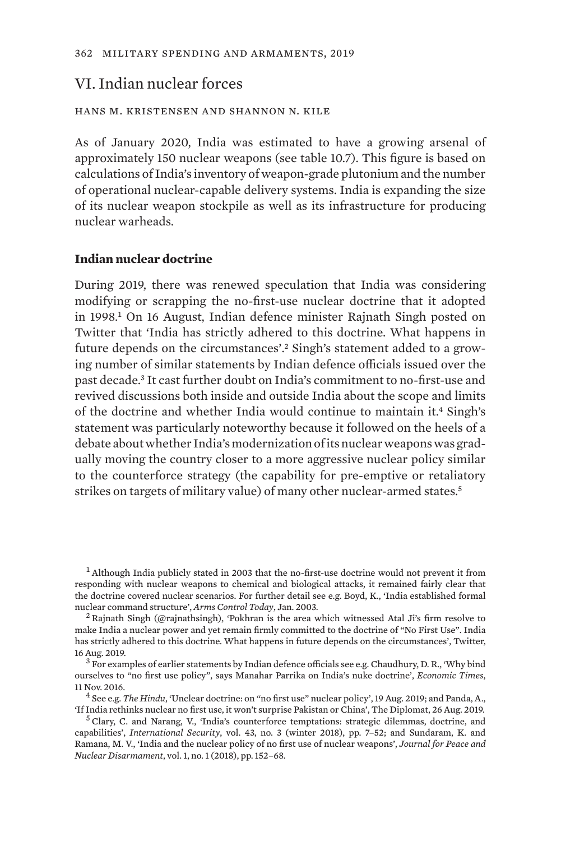# VI. Indian nuclear forces

#### hans m. kristensen and shannon n. kile

As of January 2020, India was estimated to have a growing arsenal of approximately 150 nuclear weapons (see table 10.7). This figure is based on calculations of India's inventory of weapon-grade plutonium and the number of operational nuclear-capable delivery systems. India is expanding the size of its nuclear weapon stockpile as well as its infrastructure for producing nuclear warheads.

## **Indian nuclear doctrine**

During 2019, there was renewed speculation that India was considering modifying or scrapping the no-first-use nuclear doctrine that it adopted in 1998.1 On 16 August, Indian defence minister Rajnath Singh posted on Twitter that 'India has strictly adhered to this doctrine. What happens in future depends on the circumstances'.2 Singh's statement added to a growing number of similar statements by Indian defence officials issued over the past decade.3 It cast further doubt on India's commitment to no-first-use and revived discussions both inside and outside India about the scope and limits of the doctrine and whether India would continue to maintain it.4 Singh's statement was particularly noteworthy because it followed on the heels of a debate about whether India's modernization of its nuclear weapons was gradually moving the country closer to a more aggressive nuclear policy similar to the counterforce strategy (the capability for pre-emptive or retaliatory strikes on targets of military value) of many other nuclear-armed states.<sup>5</sup>

<sup>1</sup> Although India publicly stated in 2003 that the no-first-use doctrine would not prevent it from responding with nuclear weapons to chemical and biological attacks, it remained fairly clear that the doctrine covered nuclear scenarios. For further detail see e.g. Boyd, K., ['India established formal](https://www.armscontrol.org/act/2003-01/news/india-establishes-formal-nuclear-command-structure) [nuclear command structure'](https://www.armscontrol.org/act/2003-01/news/india-establishes-formal-nuclear-command-structure), *Arms Control Today*, Jan. 2003. <sup>2</sup> Rajnath Singh (@rajnathsingh), '[Pokhran is the area which witnessed Atal Ji's firm resolve to](https://twitter.com/rajnathsingh/status/1162276901055893504)

[make India a nuclear power and yet remain firmly committed to the doctrine of "No First Use". India](https://twitter.com/rajnathsingh/status/1162276901055893504) [has strictly adhered to this doctrine. What happens in future depends on the circumstances'](https://twitter.com/rajnathsingh/status/1162276901055893504), Twitter, 16 Aug. 2019.<br><sup>3</sup> For examples of earlier statements by Indian defence officials see e.g. Chaudhury, D. R., '[Why bind](http://economictimes.indiatimes.com/news/defence/why-bind-ourselves-to-no-first-use-policy-says-parrikar-on-indias-nuke-doctrine/articleshow/55357808.cms)

[ourselves to "no first use policy"](http://economictimes.indiatimes.com/news/defence/why-bind-ourselves-to-no-first-use-policy-says-parrikar-on-indias-nuke-doctrine/articleshow/55357808.cms), says Manahar Parrika on India's nuke doctrine', *Economic Times*,

11 Nov. 2016.<br><sup>4</sup> See e.g. *The Hindu*, ['Unclear doctrine: on "no first use" nuclear policy'](https://www.thehindu.com/opinion/editorial/unclear-doctrine/article29127566.ece), 19 Aug. 2019; and Panda, A.,<br>1f India rethinks nuclear no first use, it won't surprise Pakistan or China', The Diplomat, 26 Aug.

 $<sup>5</sup>$  Clary, C. and Narang, V., '[India's counterforce temptations: strategic dilemmas, doctrine, and](https://www.mitpressjournals.org/doi/full/10.1162/isec_a_00340)</sup> [capabilities'](https://www.mitpressjournals.org/doi/full/10.1162/isec_a_00340), *International Security*, vol. 43, no. 3 (winter 2018), pp. 7–52; and Sundaram, K. and Ramana, M. V., ['India and the nuclear policy of no first use of nuclear weapons](https://www.tandfonline.com/doi/pdf/10.1080/25751654.2018.1438737?needAccess=true)', *Journal for Peace and Nuclear Disarmament*, vol. 1, no. 1 (2018), pp. 152–68.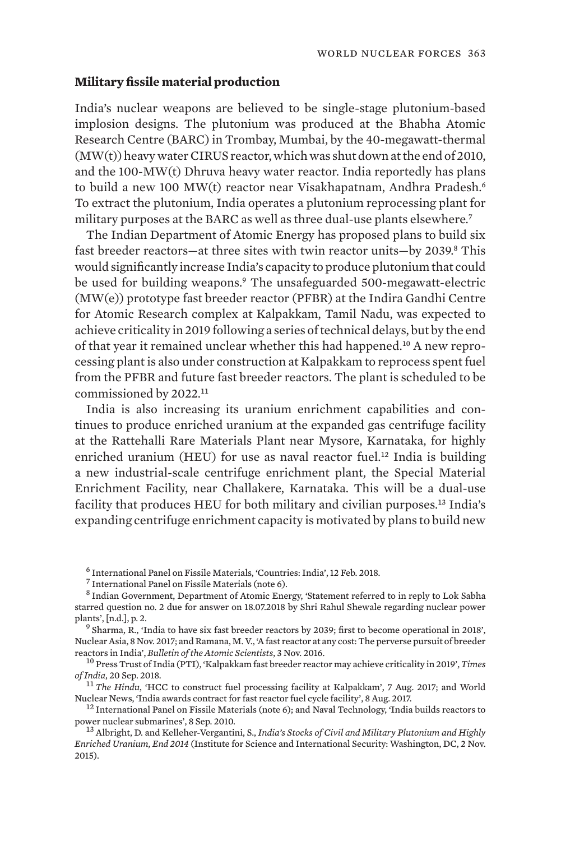#### **Military fissile material production**

India's nuclear weapons are believed to be single-stage plutonium-based implosion designs. The plutonium was produced at the Bhabha Atomic Research Centre (BARC) in Trombay, Mumbai, by the 40-megawatt-thermal (MW(t)) heavy water CIRUS reactor, which was shut down at the end of 2010, and the 100-MW(t) Dhruva heavy water reactor. India reportedly has plans to build a new 100 MW(t) reactor near Visakhapatnam, Andhra Pradesh.<sup>6</sup> To extract the plutonium, India operates a plutonium reprocessing plant for military purposes at the BARC as well as three dual-use plants elsewhere.<sup>7</sup>

The Indian Department of Atomic Energy has proposed plans to build six fast breeder reactors—at three sites with twin reactor units—by 2039.8 This would significantly increase India's capacity to produce plutonium that could be used for building weapons.<sup>9</sup> The unsafeguarded 500-megawatt-electric (MW(e)) prototype fast breeder reactor (PFBR) at the Indira Gandhi Centre for Atomic Research complex at Kalpakkam, Tamil Nadu, was expected to achieve criticality in 2019 following a series of technical delays, but by the end of that year it remained unclear whether this had happened.10 A new reprocessing plant is also under construction at Kalpakkam to reprocess spent fuel from the PFBR and future fast breeder reactors. The plant is scheduled to be commissioned by 2022.<sup>11</sup>

India is also increasing its uranium enrichment capabilities and continues to produce enriched uranium at the expanded gas centrifuge facility at the Rattehalli Rare Materials Plant near Mysore, Karnataka, for highly enriched uranium (HEU) for use as naval reactor fuel.<sup>12</sup> India is building a new industrial-scale centrifuge enrichment plant, the Special Material Enrichment Facility, near Challakere, Karnataka. This will be a dual-use facility that produces HEU for both military and civilian purposes.13 India's expanding centrifuge enrichment capacity is motivated by plans to build new

 $^6$  International Panel on Fissile Materials, ['Countries: India'](http://fissilematerials.org/countries/india.html), 12 Feb. 2018.<br><sup>7</sup> International Panel on Fissile Materials (note 6).

Nuclear Asia, 8 Nov. 2017; and Ramana, M. V., ['A fast reactor at any cost: The perverse pursuit of breeder](http://www.nuclearasia.com/news/india-six-fast-breeder-reactors-2039-first-become-operational-2018/1356/) [reactors in India'](http://www.nuclearasia.com/news/india-six-fast-breeder-reactors-2039-first-become-operational-2018/1356/), *Bulletin of the Atomic Scientists*, 3 Nov. 2016. <sup>10</sup> Press Trust of India (PTI), ['Kalpakkam fast breeder reactor may achieve criticality in 2019](https://timesofindia.indiatimes.com/india/kalpakkam-fast-breeder-reactor-may-achieve-criticality-in-2019/articleshow/65888098.cms)', *Times* 

*of India*, 20 Sep. 2018. <sup>11</sup> *The Hindu*, ['HCC to construct fuel processing facility at Kalpakkam'](https://www.thehindubusinessline.com/companies/hcc-to-construct-fuel-processing-facility-at-kalpakkam/article9805252.ece), 7 Aug. 2017; and [World](http://www.world-nuclear-news.org/NN-India-awards-contract-for-fast-reactor-fuel-cycle-facility-0808177.html)

[Nuclear News, 'India awards contract for fast reactor fuel cycle facility](http://www.world-nuclear-news.org/NN-India-awards-contract-for-fast-reactor-fuel-cycle-facility-0808177.html)', 8 Aug. 2017.<br><sup>12</sup> International Panel on Fissile Materials (note 6); and Naval Technology, '[India builds reactors to](https://www.naval-technology.com/news/news95433-html/) power nuclear submarines', 8

<sup>13</sup> Albright, D. and Kelleher-Vergantini, S., *[India's Stocks of Civil and Military Plutonium and Highly](http://isis-online.org/uploads/isis-reports/documents/India_Fissile_Material_Stock_November2_2015-Final.pdf) [Enriched Uranium, End 2014](http://isis-online.org/uploads/isis-reports/documents/India_Fissile_Material_Stock_November2_2015-Final.pdf)* (Institute for Science and International Security: Washington, DC, 2 Nov. 2015).

<sup>8</sup> Indian Government, Department of Atomic Energy, ['Statement referred to in reply to Lok Sabha](http://www.dae.gov.in/node/1104) [starred question no. 2 due for answer on 18.07.2018 by Shri Rahul Shewale regarding nuclear power](http://www.dae.gov.in/node/1104) [plants'](http://www.dae.gov.in/node/1104), [n.d.], p. 2.<br><sup>9</sup> Sharma, R., ['India to have six fast breeder reactors by 2039; first to become operational in 2018'](https://www.nuclearasia.com/news/india-six-fast-breeder-reactors-2039-first-become-operational-2018/1356/),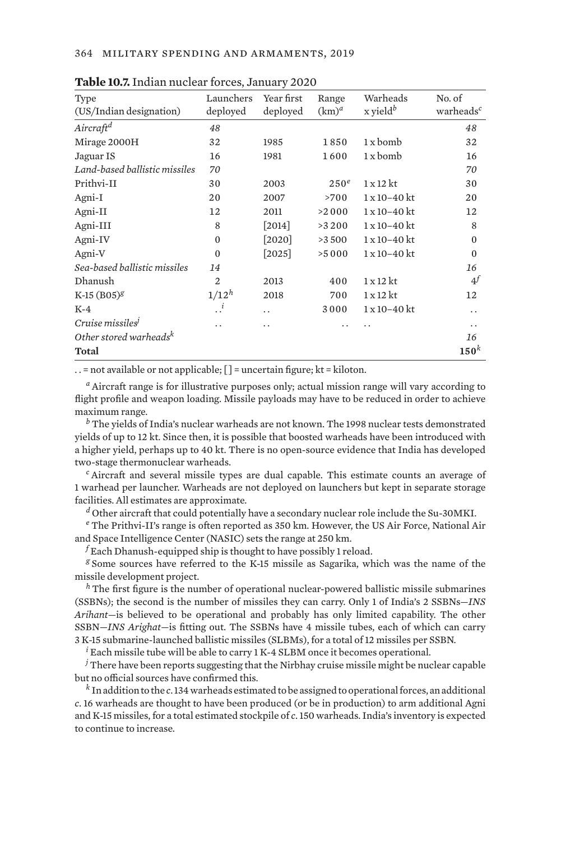| Launchers      | Year first                                    | Range            | Warheads         | No. of                 |
|----------------|-----------------------------------------------|------------------|------------------|------------------------|
|                |                                               |                  |                  | warheads <sup>c</sup>  |
| 48             |                                               |                  |                  | 48                     |
| 32             | 1985                                          | 1850             | $1x$ bomb        | 32                     |
| 16             | 1981                                          | 1600             | $1x$ bomb        | 16                     |
| 70             |                                               |                  |                  | 70                     |
| 30             | 2003                                          | 250 <sup>e</sup> | $1 \times 12$ kt | 30                     |
| 20             | 2007                                          | >700             | $1x10 - 40kt$    | 20                     |
| 12             | 2011                                          | >2000            | $1x10 - 40kt$    | 12                     |
| 8              | $[2014]$                                      | >3200            | $1x10 - 40kt$    | 8                      |
| $\mathbf{0}$   | $[2020]$                                      | >3500            | $1x10 - 40kt$    | $\bf{0}$               |
| $\mathbf{0}$   | $[2025]$                                      | >5000            | 1 x 10-40 kt     | $\mathbf{0}$           |
| 14             |                                               |                  |                  | 16                     |
| $\overline{c}$ | 2013                                          | 400              | $1 \times 12$ kt | $4^f$                  |
| $1/12^h$       | 2018                                          | 700              | $1 \times 12$ kt | 12                     |
|                | . .                                           | 3000             | $1x10 - 40kt$    | . .                    |
| . .            | . .                                           | . .              |                  | $\ddotsc$              |
|                |                                               |                  |                  | 16                     |
|                |                                               |                  |                  | $150^k$                |
|                | deployed<br>$\cdot \cdot$ <sup><i>i</i></sup> | deployed         | $(km)^d$         | $x$ yield <sup>b</sup> |

**Table 10.7.** Indian nuclear forces, January 2020

. . = not available or not applicable; [ ] = uncertain figure; kt = kiloton.

*<sup>a</sup>* Aircraft range is for illustrative purposes only; actual mission range will vary according to flight profile and weapon loading. Missile payloads may have to be reduced in order to achieve maximum range.

*<sup>b</sup>* The yields of India's nuclear warheads are not known. The 1998 nuclear tests demonstrated yields of up to 12 kt. Since then, it is possible that boosted warheads have been introduced with a higher yield, perhaps up to 40 kt. There is no open-source evidence that India has developed two-stage thermonuclear warheads.

*<sup>c</sup>* Aircraft and several missile types are dual capable. This estimate counts an average of 1 warhead per launcher. Warheads are not deployed on launchers but kept in separate storage facilities. All estimates are approximate.

*<sup>d</sup>* Other aircraft that could potentially have a secondary nuclear role include the Su-30MKI.

*<sup>e</sup>* The Prithvi-II's range is often reported as 350 km. However, the US Air Force, National Air and Space Intelligence Center (NASIC) sets the range at 250 km.

*<sup>f</sup>* Each Dhanush-equipped ship is thought to have possibly 1 reload.

*<sup>g</sup>* Some sources have referred to the K-15 missile as Sagarika, which was the name of the missile development project.

*<sup>h</sup>* The first figure is the number of operational nuclear-powered ballistic missile submarines (SSBNs); the second is the number of missiles they can carry. Only 1 of India's 2 SSBNs—*INS Arihant*—is believed to be operational and probably has only limited capability. The other SSBN—*INS Arighat*—is fitting out. The SSBNs have 4 missile tubes, each of which can carry 3 K-15 submarine-launched ballistic missiles (SLBMs), for a total of 12 missiles per SSBN.

*<sup>i</sup>* Each missile tube will be able to carry 1 K-4 SLBM once it becomes operational.

*<sup>j</sup>* There have been reports suggesting that the Nirbhay cruise missile might be nuclear capable but no official sources have confirmed this.

*<sup>k</sup>* In addition to the *c*. 134 warheads estimated to be assigned to operational forces, an additional *c*. 16 warheads are thought to have been produced (or be in production) to arm additional Agni and K-15 missiles, for a total estimated stockpile of *c*. 150 warheads. India's inventory is expected to continue to increase.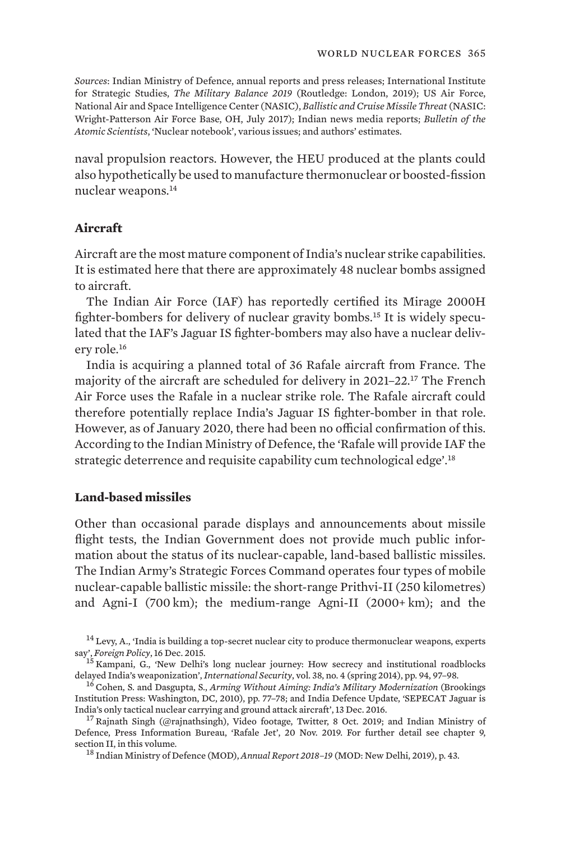*Sources*: Indian Ministry of Defence, annual reports and press releases; International Institute for Strategic Studies, *The Military Balance 2019* (Routledge: London, 2019); US Air Force, National Air and Space Intelligence Center (NASIC), *Ballistic and Cruise Missile Threat* (NASIC: Wright-Patterson Air Force Base, OH, July 2017); Indian news media reports; *Bulletin of the Atomic Scientists*, 'Nuclear notebook', various issues; and authors' estimates.

naval propulsion reactors. However, the HEU produced at the plants could also hypothetically be used to manufacture thermonuclear or boosted-fission nuclear weapons.<sup>14</sup>

## **Aircraft**

Aircraft are the most mature component of India's nuclear strike capabilities. It is estimated here that there are approximately 48 nuclear bombs assigned to aircraft.

The Indian Air Force (IAF) has reportedly certified its Mirage 2000H fighter-bombers for delivery of nuclear gravity bombs.15 It is widely speculated that the IAF's Jaguar IS fighter-bombers may also have a nuclear delivery role.<sup>16</sup>

India is acquiring a planned total of 36 Rafale aircraft from France. The majority of the aircraft are scheduled for delivery in 2021–22.17 The French Air Force uses the Rafale in a nuclear strike role. The Rafale aircraft could therefore potentially replace India's Jaguar IS fighter-bomber in that role. However, as of January 2020, there had been no official confirmation of this. According to the Indian Ministry of Defence, the 'Rafale will provide IAF the strategic deterrence and requisite capability cum technological edge'.<sup>18</sup>

# **Land-based missiles**

Other than occasional parade displays and announcements about missile flight tests, the Indian Government does not provide much public information about the status of its nuclear-capable, land-based ballistic missiles. The Indian Army's Strategic Forces Command operates four types of mobile nuclear-capable ballistic missile: the short-range Prithvi-II (250 kilometres) and Agni-I (700 km); the medium-range Agni-II (2000+ km); and the

<sup>&</sup>lt;sup>14</sup> Levy, A., ['India is building a top-secret nuclear city to produce thermonuclear weapons, experts](https://foreignpolicy.com/2015/12/16/india_nuclear_city_top_secret_china_pakistan_barc/)

[say](https://foreignpolicy.com/2015/12/16/india_nuclear_city_top_secret_china_pakistan_barc/)', *Foreign Policy*, 16 Dec. 2015.<br><sup>15</sup> Kampani, G., *'[New Delhi's long nuclear journey: How secrecy and institutional roadblocks](https://www.mitpressjournals.org/doi/10.1162/ISEC_a_00158)*<br>delayed India's weaponization', *International Security*, vol. 38, no. 4 (spring 2014),

<sup>&</sup>lt;sup>16</sup> Cohen, S. and Dasgupta, S., Arming Without Aiming: India's Military Modernization (Brookings Institution Press: Washington, DC, 2010), pp. 77–78; and India Defence Update, 'SEPECAT Jaguar is

 $17$  Rajnath Singh (@rajnathsingh), [Video footage](https://twitter.com/rajnathsingh/status/1181542055819894784?s=20), Twitter, 8 Oct. 2019; and Indian Ministry of Defence, Press Information Bureau, ['Rafale Jet'](https://pib.gov.in/newsite/PrintRelease.aspx?relid=194706), 20 Nov. 2019. For further detail see chapter 9, section II, in this volume.<br><sup>18</sup> Indian Ministry of Defence (MOD), *[Annual Report 2018–19](https://mod.gov.in/documents/annual-report)* (MOD: New Delhi, 2019), p. 43.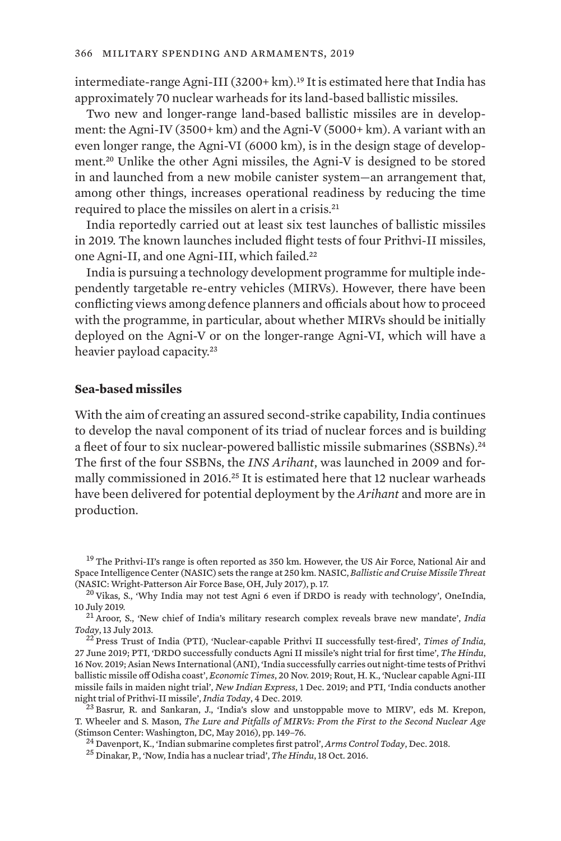intermediate-range Agni-III  $(3200 + km)$ .<sup>19</sup> It is estimated here that India has approximately 70 nuclear warheads for its land-based ballistic missiles.

Two new and longer-range land-based ballistic missiles are in development: the Agni-IV (3500+ km) and the Agni-V (5000+ km). A variant with an even longer range, the Agni-VI (6000 km), is in the design stage of development.20 Unlike the other Agni missiles, the Agni-V is designed to be stored in and launched from a new mobile canister system—an arrangement that, among other things, increases operational readiness by reducing the time required to place the missiles on alert in a crisis.<sup>21</sup>

India reportedly carried out at least six test launches of ballistic missiles in 2019. The known launches included flight tests of four Prithvi-II missiles, one Agni-II, and one Agni-III, which failed.<sup>22</sup>

India is pursuing a technology development programme for multiple independently targetable re-entry vehicles (MIRVs). However, there have been conflicting views among defence planners and officials about how to proceed with the programme, in particular, about whether MIRVs should be initially deployed on the Agni-V or on the longer-range Agni-VI, which will have a heavier payload capacity.<sup>23</sup>

# **Sea-based missiles**

With the aim of creating an assured second-strike capability, India continues to develop the naval component of its triad of nuclear forces and is building a fleet of four to six nuclear-powered ballistic missile submarines (SSBNs).<sup>24</sup> The first of the four SSBNs, the *INS Arihant*, was launched in 2009 and formally commissioned in 2016.25 It is estimated here that 12 nuclear warheads have been delivered for potential deployment by the *Arihant* and more are in production.

<sup>19</sup> The Prithvi-II's range is often reported as 350 km. However, the US Air Force, National Air and Space Intelligence Center (NASIC) sets the range at 250 km. NASIC, *[Ballistic and Cruise Missile Threat](https://www.nasic.af.mil/Portals/19/images/Fact%20Sheet%20Images/2017%20Ballistic%20and%20Cruise%20Missile%20Threat_Final_small.pdf?ver=2017-07-21-083234-343)*

 $^{20}$  Vikas, S., '[Why India may not test Agni 6 even if DRDO is ready with technology](https://www.oneindia.com/india/why-india-may-not-test-agni-6-even-if-drdo-is-ready-with-tecnology-2805212.html)', OneIndia, 10 July 2019.

<sup>21</sup> Aroor, S., ['New chief of India's military research complex reveals brave new mandate](https://mod.gov.in/documents/annual-report)', *India Today*, 13 July 2013.

*Today*, 13 July 2013. <sup>22</sup> Press Trust of India (PTI), ['Nuclear-capable Prithvi II successfully test-fired](https://economictimes.indiatimes.com/news/defence/nuclear-capable-prithvi-2-missile-successfully-testfired-at-night/articleshow/72147446.cms)', *Times of India*, 27 June 2019; PTI, ['DRDO successfully conducts Agni II missile's night trial for first time'](https://www.thehindu.com/news/national/agni-ii-missile-drdo-successfully-conducts-night-trial-for-first-time/article29993943.ece), *The Hindu*, 16 Nov. 2019; Asian News International (ANI), '[India successfully carries out night-time tests of Prithvi](https://economictimes.indiatimes.com/news/defence/india-successfully-carries-out-night-test-firing-of-prithvi-ballistic-missile/articleshow/72359811.cms) [ballistic missile off Odisha coast](https://economictimes.indiatimes.com/news/defence/india-successfully-carries-out-night-test-firing-of-prithvi-ballistic-missile/articleshow/72359811.cms)', *Economic Times*, 20 Nov. 2019; Rout, H. K., ['Nuclear capable Agni-III](https://www.newindianexpress.com/states/odisha/2019/dec/01/nuclear-capable-agni-iii-missile-fails-in-maiden-night-trial-2069737.html) [missile fails in maiden night trial'](https://www.newindianexpress.com/states/odisha/2019/dec/01/nuclear-capable-agni-iii-missile-fails-in-maiden-night-trial-2069737.html), *New Indian Express*, 1 Dec. 2019; and PTI, '[India conducts another](https://www.indiatoday.in/science/story/india-conducts-night-trial-prithvi-ii-missile-1624900-2019-12-04) [night trial of Prithvi-II missile](https://www.indiatoday.in/science/story/india-conducts-night-trial-prithvi-ii-missile-1624900-2019-12-04)', *India Today*, 4 Dec. 2019. <sup>23</sup> Basrur, R. and Sankaran, J., ['India's slow and unstoppable move to MIRV](https://www.stimson.org/2016/lure-and-pitfalls-mirvs-first-second-nuclear-age/)', eds M. Krepon,

T. Wheeler and S. Mason, *The Lure and Pitfalls of MIRVs: From the First to the Second Nuclear Age*

<sup>24</sup> Davenport, K., '[Indian submarine completes first patrol'](https://www.armscontrol.org/act/2018-12/news/indian-submarine-completes-first-patrol), Arms Control Today, Dec. 2018.<br><sup>25</sup> Dinakar, P., ['Now, India has a nuclear triad](https://www.thehindu.com/news/national/Now-India-has-a-nuclear-triad/article16074127.ece)', *The Hindu*, 18 Oct. 2016.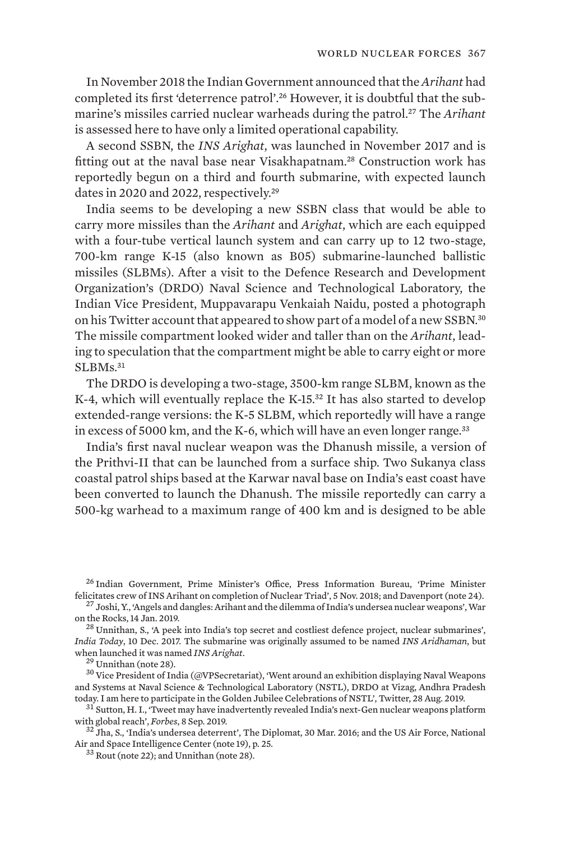In November 2018 the Indian Government announced that the *Arihant* had completed its first 'deterrence patrol'.26 However, it is doubtful that the submarine's missiles carried nuclear warheads during the patrol.<sup>27</sup> The *Arihant* is assessed here to have only a limited operational capability.

A second SSBN, the *INS Arighat*, was launched in November 2017 and is fitting out at the naval base near Visakhapatnam.<sup>28</sup> Construction work has reportedly begun on a third and fourth submarine, with expected launch dates in 2020 and 2022, respectively.<sup>29</sup>

India seems to be developing a new SSBN class that would be able to carry more missiles than the *Arihant* and *Arighat*, which are each equipped with a four-tube vertical launch system and can carry up to 12 two-stage, 700-km range K-15 (also known as B05) submarine-launched ballistic missiles (SLBMs). After a visit to the Defence Research and Development Organization's (DRDO) Naval Science and Technological Laboratory, the Indian Vice President, Muppavarapu Venkaiah Naidu, posted a photograph on his Twitter account that appeared to show part of a model of a new SSBN.<sup>30</sup> The missile compartment looked wider and taller than on the *Arihant*, leading to speculation that the compartment might be able to carry eight or more SLBMs.<sup>31</sup>

The DRDO is developing a two-stage, 3500-km range SLBM, known as the K-4, which will eventually replace the K-15.<sup>32</sup> It has also started to develop extended-range versions: the K-5 SLBM, which reportedly will have a range in excess of 5000 km, and the K-6, which will have an even longer range.<sup>33</sup>

India's first naval nuclear weapon was the Dhanush missile, a version of the Prithvi-II that can be launched from a surface ship. Two Sukanya class coastal patrol ships based at the Karwar naval base on India's east coast have been converted to launch the Dhanush. The missile reportedly can carry a 500-kg warhead to a maximum range of 400 km and is designed to be able

 $^{26}$  Indian Government, Prime Minister's Office, Press Information Bureau, 'Prime Minister felicitates crew of INS Arihant on completion of Nuclear Triad', 5 Nov. 2018; and Davenport (note 24).

 $^{27}$  Joshi, Y., ['Angels and dangles: Arihant and the dilemma of India's undersea nuclear weapons](https://warontherocks.com/2019/01/angles-and-dangles-arihant-and-the-dilemma-of-indias-undersea-nuclear-weapons/)', War on the Rocks, 14 Jan. 2019.

<sup>28</sup> Unnithan, S., ['A peek into India's top secret and costliest defence project, nuclear submarines'](https://www.indiatoday.in/magazine/the-big-story/story/20171218-india-ballistic-missile-submarine-k-6-submarine-launched-drdo-1102085-2017-12-10), *India Today*, 10 Dec. 2017. The submarine was originally assumed to be named *INS Aridhaman*, but when launched it was named *INS Arighat*.<br><sup>29</sup> Unnithan (note 28).<br><sup>30</sup> Vice President of India (@VPSecretariat), '[Went around an exhibition displaying Naval Weapons](https://twitter.com/vpsecretariat/status/1166582964051951616?lang=en)

[and Systems at Naval Science & Technological Laboratory \(NSTL\), DRDO at Vizag, Andhra Pradesh](https://twitter.com/vpsecretariat/status/1166582964051951616?lang=en)

[today. I am here to participate in the Golden Jubilee Celebrations of NSTL'](https://twitter.com/vpsecretariat/status/1166582964051951616?lang=en), Twitter, 28 Aug. 2019.<br><sup>31</sup> Sutton, H. I., '[Tweet may have inadvertently revealed India's next-Gen nuclear weapons platform](https://www.forbes.com/sites/hisutton/2019/09/08/tweet-may-have-inadvertently-revealed-indias-next-gen-nuclear-weapons-platform-with-global-reach/#769e4e127212)<br>with global reach',

<sup>32</sup> Jha, S., ['India's undersea deterrent'](https://thediplomat.com/2016/03/indias-undersea-deterrent/), The Diplomat, 30 Mar. 2016; and the US Air Force, National Air and Space Intelligence Center (note 19), p. 25.

 $33$  Rout (note 22); and Unnithan (note 28).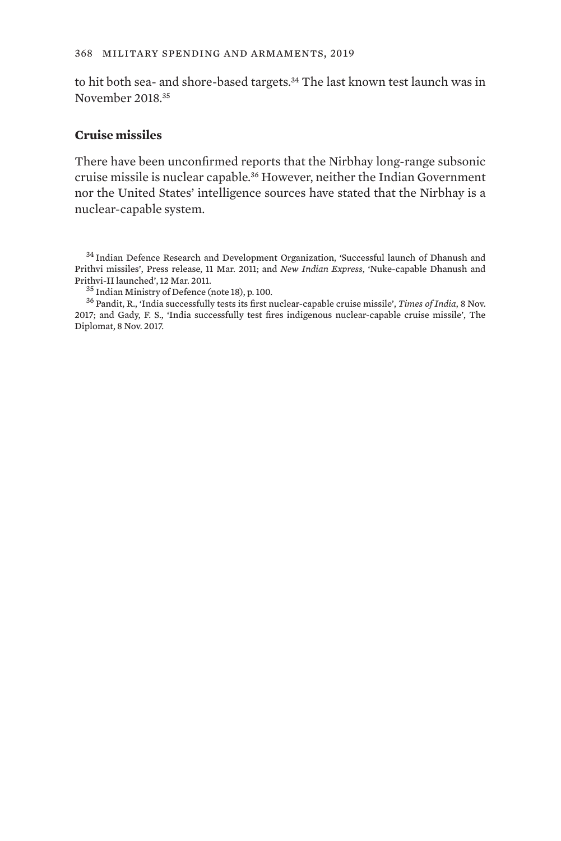to hit both sea- and shore-based targets.34 The last known test launch was in November 2018.<sup>35</sup>

## **Cruise missiles**

There have been unconfirmed reports that the Nirbhay long-range subsonic cruise missile is nuclear capable.36 However, neither the Indian Government nor the United States' intelligence sources have stated that the Nirbhay is a nuclear-capable system.

<sup>34</sup> Indian Defence Research and Development Organization, 'Successful launch of Dhanush and Prithvi missiles', Press release, 11 Mar. 2011; and *New Indian Express*, ['Nuke-capable Dhanush and](https://www.newindianexpress.com/states/odisha/2011/mar/12/nuke---capable-dhanush-and-prithvi-ii-launched-234966.html)

<sup>35</sup> Indian Ministry of Defence (note 18), p. 100. <br><sup>36</sup> Pandit, R., '[India successfully tests its first nuclear-capable cruise missile](https://timesofindia.indiatimes.com/india/india-successfully-tests-its-first-nuclear-capable-cruise-missile/articleshow/61550465.cms)', *Times of India*, 8 Nov. 2017; and Gady, F. S., '[India successfully test fires indigenous nuclear-capable cruise missile](https://thediplomat.com/2017/11/india-successfully-test-fires-indigenous-nuclear-capable-cruise-missile/)', The Diplomat, 8 Nov. 2017.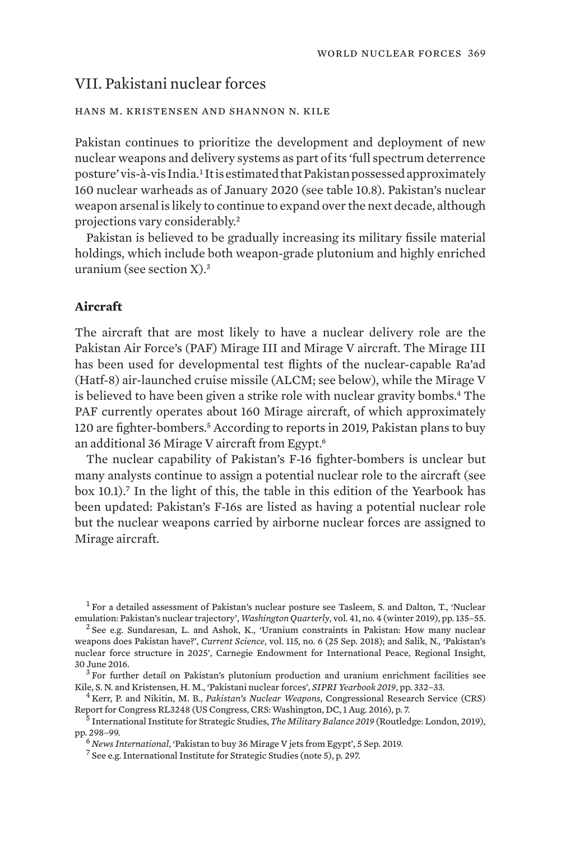# VII. Pakistani nuclear forces

#### hans m. kristensen and shannon n. kile

Pakistan continues to prioritize the development and deployment of new nuclear weapons and delivery systems as part of its 'full spectrum deterrence posture' vis-à-vis India.1 It is estimated that Pakistan possessed approximately 160 nuclear warheads as of January 2020 (see table 10.8). Pakistan's nuclear weapon arsenal is likely to continue to expand over the next decade, although projections vary considerably.<sup>2</sup>

Pakistan is believed to be gradually increasing its military fissile material holdings, which include both weapon-grade plutonium and highly enriched uranium (see section X).<sup>3</sup>

#### **Aircraft**

The aircraft that are most likely to have a nuclear delivery role are the Pakistan Air Force's (PAF) Mirage III and Mirage V aircraft. The Mirage III has been used for developmental test flights of the nuclear-capable Ra'ad (Hatf-8) air-launched cruise missile (ALCM; see below), while the Mirage V is believed to have been given a strike role with nuclear gravity bombs.4 The PAF currently operates about 160 Mirage aircraft, of which approximately 120 are fighter-bombers.<sup>5</sup> According to reports in 2019, Pakistan plans to buy an additional 36 Mirage V aircraft from Egypt.<sup>6</sup>

The nuclear capability of Pakistan's F-16 fighter-bombers is unclear but many analysts continue to assign a potential nuclear role to the aircraft (see box 10.1).7 In the light of this, the table in this edition of the Yearbook has been updated: Pakistan's F-16s are listed as having a potential nuclear role but the nuclear weapons carried by airborne nuclear forces are assigned to Mirage aircraft.

 $1$  For a detailed assessment of Pakistan's nuclear posture see Tasleem, S. and Dalton, T., '[Nuclear](https://www.tandfonline.com/doi/abs/10.1080/0163660X.2018.1558662?journalCode=rwaq20)<br>emulation: Pakistan's nuclear trajectory', *Washington Quarterly*, vol. 41, no. 4 (winter 2019), pp. 135–55.

<sup>&</sup>lt;sup>2</sup> See e.g. Sundaresan, L. and Ashok, K., ['Uranium constraints in Pakistan: How many nuclear](https://www.currentscience.ac.in/Volumes/115/06/1042.pdf) [weapons does Pakistan have?](https://www.currentscience.ac.in/Volumes/115/06/1042.pdf)', *Current Science*, vol. 115, no. 6 (25 Sep. 2018); and Salik, N., ['Pakistan's](https://carnegieendowment.org/2016/06/30/pakistan-s-nuclear-force-structure-in-2025-pub-63912) [nuclear force structure in 2025](https://carnegieendowment.org/2016/06/30/pakistan-s-nuclear-force-structure-in-2025-pub-63912)', Carnegie Endowment for International Peace, Regional Insight, 30 June 2016.<br><sup>3</sup> For further detail on Pakistan's plutonium production and uranium enrichment facilities see

Kile, S. N. and Kristensen, H. M., 'Pakistani nuclear forces', *SIPRI Yearbook 2019*, pp. 332–33.<br><sup>4</sup> Kerr, P. and Nikitin, M. B., *[Pakistan's Nuclear Weapons](https://fas.org/sgp/crs/nuke/RL34248.pdf)*, Congressional Research Service (CRS)<br>Report for Congress RL32

<sup>&</sup>lt;sup>8</sup> International Institute for Strategic Studies, *The Military Balance 2019* (Routledge: London, 2019), pp. 298-99.

pp. 298–99. <sup>6</sup> *News International*, ['Pakistan to buy 36 Mirage V jets from Egypt](https://www.thenews.com.pk/print/522428-pakistan-to-buy-36-mirage-v-jets-from-egypt)', 5 Sep. 2019. <sup>7</sup> See e.g. International Institute for Strategic Studies (note 5), p. 297.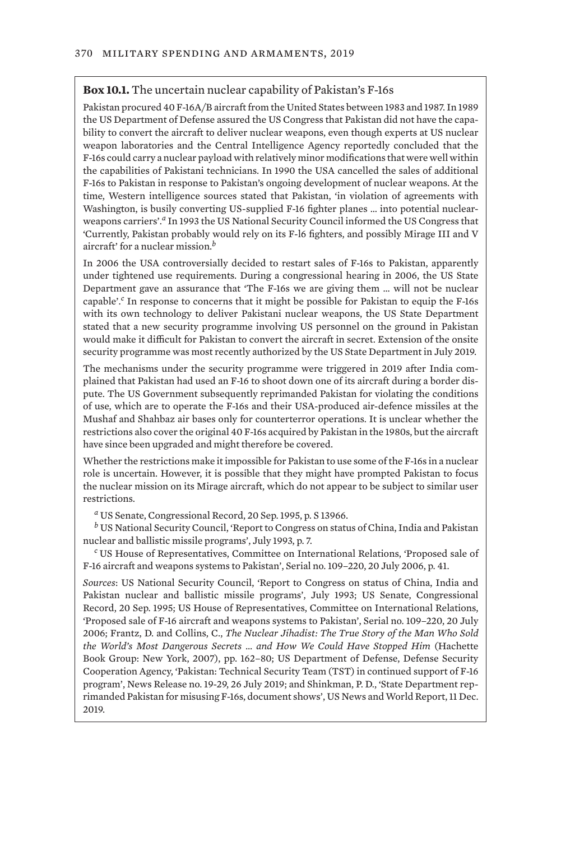#### **Box 10.1.** The uncertain nuclear capability of Pakistan's F-16s

Pakistan procured 40 F-16A/B aircraft from the United States between 1983 and 1987. In 1989 the US Department of Defense assured the US Congress that Pakistan did not have the capability to convert the aircraft to deliver nuclear weapons, even though experts at US nuclear weapon laboratories and the Central Intelligence Agency reportedly concluded that the F-16s could carry a nuclear payload with relatively minor modifications that were well within the capabilities of Pakistani technicians. In 1990 the USA cancelled the sales of additional F-16s to Pakistan in response to Pakistan's ongoing development of nuclear weapons. At the time, Western intelligence sources stated that Pakistan, 'in violation of agreements with Washington, is busily converting US-supplied F-16 fighter planes … into potential nuclearweapons carriers'.*a* In 1993 the US National Security Council informed the US Congress that 'Currently, Pakistan probably would rely on its F-l6 fighters, and possibly Mirage III and V aircraft' for a nuclear mission.*<sup>b</sup>*

In 2006 the USA controversially decided to restart sales of F-16s to Pakistan, apparently under tightened use requirements. During a congressional hearing in 2006, the US State Department gave an assurance that 'The F-16s we are giving them … will not be nuclear capable'.*<sup>c</sup>* In response to concerns that it might be possible for Pakistan to equip the F-16s with its own technology to deliver Pakistani nuclear weapons, the US State Department stated that a new security programme involving US personnel on the ground in Pakistan would make it difficult for Pakistan to convert the aircraft in secret. Extension of the onsite security programme was most recently authorized by the US State Department in July 2019.

The mechanisms under the security programme were triggered in 2019 after India complained that Pakistan had used an F-16 to shoot down one of its aircraft during a border dispute. The US Government subsequently reprimanded Pakistan for violating the conditions of use, which are to operate the F-16s and their USA-produced air-defence missiles at the Mushaf and Shahbaz air bases only for counterterror operations. It is unclear whether the restrictions also cover the original 40 F-16s acquired by Pakistan in the 1980s, but the aircraft have since been upgraded and might therefore be covered.

Whether the restrictions make it impossible for Pakistan to use some of the F-16s in a nuclear role is uncertain. However, it is possible that they might have prompted Pakistan to focus the nuclear mission on its Mirage aircraft, which do not appear to be subject to similar user restrictions.

*<sup>a</sup>* US Senate, [Congressional Record,](https://www.congress.gov/104/crec/1995/09/20/CREC-1995-09-20-pt1-PgS13920.pdf) 20 Sep. 1995, p. S 13966.

*<sup>b</sup>* US National Security Council, '[Report to Congress on status of China, India and Pakistan](https://fas.org/irp/threat/930728-wmd.htm)  [nuclear and ballistic missile programs](https://fas.org/irp/threat/930728-wmd.htm)', July 1993, p. 7.

*<sup>c</sup>* US House of Representatives, Committee on International Relations, '[Proposed sale of](http://commdocs.house.gov/committees/intlrel/hfa28787.000/hfa28787_0.htm#0)  [F-16 aircraft and weapons systems to Pakistan](http://commdocs.house.gov/committees/intlrel/hfa28787.000/hfa28787_0.htm#0)', Serial no. 109–220, 20 July 2006, p. 41.

*Sources*: US National Security Council, '[Report to Congress on status of China, India and](https://fas.org/irp/threat/930728-wmd.htm)  [Pakistan nuclear and ballistic missile programs'](https://fas.org/irp/threat/930728-wmd.htm), July 1993; US Senate, [Congressional](https://www.congress.gov/104/crec/1995/09/20/CREC-1995-09-20-pt1-PgS13920.pdf)  [Record](https://www.congress.gov/104/crec/1995/09/20/CREC-1995-09-20-pt1-PgS13920.pdf), 20 Sep. 1995; US House of Representatives, Committee on International Relations, ['Proposed sale of F-16 aircraft and weapons systems to Pakistan](http://commdocs.house.gov/committees/intlrel/hfa28787.000/hfa28787_0.htm#0)', Serial no. 109–220, 20 July 2006; Frantz, D. and Collins, C., *The Nuclear Jihadist: The True Story of the Man Who Sold the World's Most Dangerous Secrets … and How We Could Have Stopped Him* (Hachette Book Group: New York, 2007), pp. 162–80; US Department of Defense, Defense Security Cooperation Agency, ['Pakistan: Technical Security Team \(TST\) in continued support of F-16](https://dsca.mil/sites/default/files/mas/pakistan_19-29.pdf)  [program'](https://dsca.mil/sites/default/files/mas/pakistan_19-29.pdf), News Release no. 19-29, 26 July 2019; and Shinkman, P. D., '[State Department rep](https://www.usnews.com/news/world-report/articles/2019-12-11/state-department-reprimanded-pakistan-in-august-for-misusing-f-16s-document-shows)[rimanded Pakistan for misusing F-16s, document shows'](https://www.usnews.com/news/world-report/articles/2019-12-11/state-department-reprimanded-pakistan-in-august-for-misusing-f-16s-document-shows), US News and World Report, 11 Dec. 2019.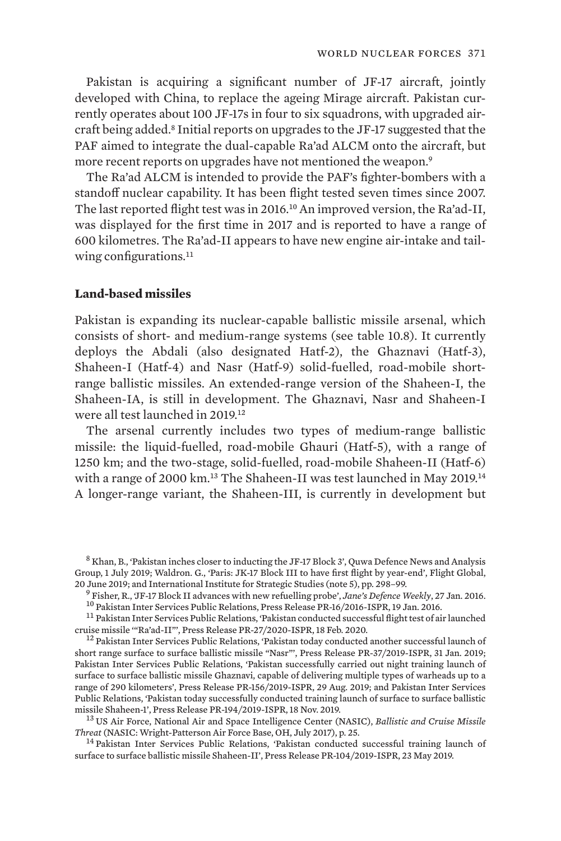Pakistan is acquiring a significant number of JF-17 aircraft, jointly developed with China, to replace the ageing Mirage aircraft. Pakistan currently operates about 100 JF-17s in four to six squadrons, with upgraded aircraft being added.8 Initial reports on upgrades to the JF-17 suggested that the PAF aimed to integrate the dual-capable Ra'ad ALCM onto the aircraft, but more recent reports on upgrades have not mentioned the weapon.<sup>9</sup>

The Ra'ad ALCM is intended to provide the PAF's fighter-bombers with a standoff nuclear capability. It has been flight tested seven times since 2007. The last reported flight test was in 2016.<sup>10</sup> An improved version, the Ra'ad-II, was displayed for the first time in 2017 and is reported to have a range of 600 kilometres. The Ra'ad-II appears to have new engine air-intake and tailwing configurations.<sup>11</sup>

# **Land-based missiles**

Pakistan is expanding its nuclear-capable ballistic missile arsenal, which consists of short- and medium-range systems (see table 10.8). It currently deploys the Abdali (also designated Hatf-2), the Ghaznavi (Hatf-3), Shaheen-I (Hatf-4) and Nasr (Hatf-9) solid-fuelled, road-mobile shortrange ballistic missiles. An extended-range version of the Shaheen-I, the Shaheen-IA, is still in development. The Ghaznavi, Nasr and Shaheen-I were all test launched in 2019.<sup>12</sup>

The arsenal currently includes two types of medium-range ballistic missile: the liquid-fuelled, road-mobile Ghauri (Hatf-5), with a range of 1250 km; and the two-stage, solid-fuelled, road-mobile Shaheen-II (Hatf-6) with a range of 2000 km.13 The Shaheen-II was test launched in May 2019.<sup>14</sup> A longer-range variant, the Shaheen-III, is currently in development but

 $8$  Khan, B., ['Pakistan inches closer to inducting the JF-17 Block 3'](https://quwa.org/2019/07/01/pakistan-inches-closer-to-inducting-the-jf-17-block-3-2/), Quwa Defence News and Analysis Group, 1 July 2019; Waldron. G., '[Paris: JK-17 Block III to have first flight by year-end'](https://www.flightglobal.com/fixed-wing/paris-jf-17-block-iii-to-have-first-flight-by-year-end/133278.article), Flight Global,

<sup>&</sup>lt;sup>9</sup> Fisher, R., JF-17 Block II advances with new refuelling probe', Jane's Defence Weekly, 27 Jan. 2016.<br><sup>10</sup> Pakistan Inter Services Public Relations, [Press Release PR-16/2016-ISPR](https://www.ispr.gov.pk/press-release-detail.php?id=3163), 19 Jan. 2016.<br><sup>11</sup> Pakistan Inter Serv

<sup>&</sup>lt;sup>12</sup> Pakistan Inter Services Public Relations, ['Pakistan today conducted another successful launch of](https://ispr.gov.pk/press-release-detail.php?id=5179) [short range surface to surface ballistic missile "Nasr"](https://ispr.gov.pk/press-release-detail.php?id=5179)', Press Release PR-37/2019-ISPR, 31 Jan. 2019; Pakistan Inter Services Public Relations, '[Pakistan successfully carried out night training launch of](https://www.ispr.gov.pk/press-release-detail.php?id=5408) [surface to surface ballistic missile Ghaznavi, capable of delivering multiple types of warheads up to a](https://www.ispr.gov.pk/press-release-detail.php?id=5408) [range of 290 kilometers'](https://www.ispr.gov.pk/press-release-detail.php?id=5408), Press Release PR-156/2019-ISPR, 29 Aug. 2019; and Pakistan Inter Services Public Relations, 'Pakistan today successfully conducted training launch of surface to surface ballistic

<sup>&</sup>lt;sup>13</sup> US Air Force, National Air and Space Intelligence Center (NASIC), *[Ballistic and Cruise Missile](https://www.nasic.af.mil/Portals/19/images/Fact%20Sheet%20Images/2017%20Ballistic%20and%20Cruise%20Missile%20Threat_Final_small.pdf?ver=2017-07-21-083234-343) [Threat](https://www.nasic.af.mil/Portals/19/images/Fact%20Sheet%20Images/2017%20Ballistic%20and%20Cruise%20Missile%20Threat_Final_small.pdf?ver=2017-07-21-083234-343)* (NASIC: Wright-Patterson Air Force Base, OH, July 2017), p. 25.<br><sup>14</sup> Pakistan Inter Services Public Relations, '[Pakistan conducted successful training launch of](https://www.ispr.gov.pk/press-release-detail.php?id=5308)

[surface to surface ballistic missile Shaheen-II](https://www.ispr.gov.pk/press-release-detail.php?id=5308)', Press Release PR-104/2019-ISPR, 23 May 2019.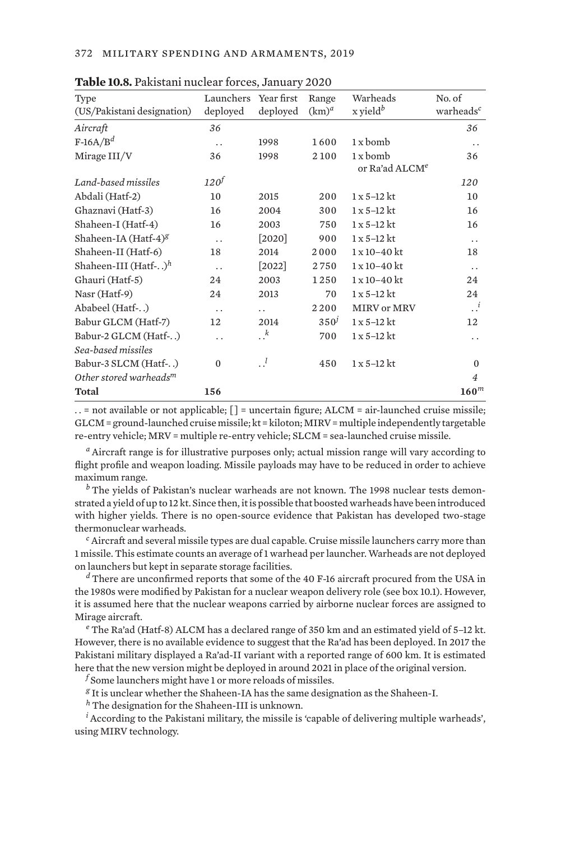| Type<br>(US/Pakistani designation) | Launchers Year first<br>deployed | deployed                   | Range<br>$(km)^d$ | Warheads<br>$x$ yield <sup>b</sup>      | No. of<br>warheads <sup>c</sup>   |
|------------------------------------|----------------------------------|----------------------------|-------------------|-----------------------------------------|-----------------------------------|
| Aircraft                           | 36                               |                            |                   |                                         | 36                                |
| $F-16A/B^d$                        | $\ddotsc$                        | 1998                       | 1600              | $1x$ bomb                               | $\ddotsc$                         |
| Mirage III/V                       | 36                               | 1998                       | 2100              | $1x$ bomb<br>or Ra'ad ALCM <sup>e</sup> | 36                                |
| Land-based missiles                | 120 <sup>f</sup>                 |                            |                   |                                         | 120                               |
| Abdali (Hatf-2)                    | 10                               | 2015                       | 200               | $1 \times 5 - 12$ kt                    | 10                                |
| Ghaznavi (Hatf-3)                  | 16                               | 2004                       | 300               | $1 \times 5 - 12$ kt                    | 16                                |
| Shaheen-I (Hatf-4)                 | 16                               | 2003                       | 750               | $1 \times 5 - 12$ kt                    | 16                                |
| Shaheen-IA (Hatf-4) $\frac{8}{3}$  | $\ddot{\phantom{0}}$             | $[2020]$                   | 900               | $1 \times 5 - 12$ kt                    | $\ddots$                          |
| Shaheen-II (Hatf-6)                | 18                               | 2014                       | 2000              | $1 \times 10 - 40$ kt                   | 18                                |
| Shaheen-III (Hatf-) <sup>h</sup>   | $\ddot{\phantom{0}}$             | $[2022]$                   | 2750              | $1 \times 10 - 40$ kt                   | $\ddotsc$                         |
| Ghauri (Hatf-5)                    | 24                               | 2003                       | 1250              | $1x10 - 40kt$                           | 24                                |
| Nasr (Hatf-9)                      | 24                               | 2013                       | 70                | $1 \times 5 - 12$ kt                    | 24                                |
| Ababeel (Hatf-)                    | $\ddot{\phantom{0}}$             | $\ddot{\phantom{0}}$       | 2200              | <b>MIRV</b> or MRV                      | $\cdot \cdot$ <sup><i>i</i></sup> |
| Babur GLCM (Hatf-7)                | 12                               | 2014                       | $350^j$           | $1 \times 5 - 12$ kt                    | 12                                |
| Babur-2 GLCM (Hatf-)               | . .                              | $\cdot$ . $\cdot$          | 700               | $1 \times 5 - 12$ kt                    | . .                               |
| Sea-based missiles                 |                                  |                            |                   |                                         |                                   |
| Babur-3 SLCM (Hatf-)               | $\mathbf{0}$                     | $\cdot \cdot$ <sup>1</sup> | 450               | $1 \times 5 - 12$ kt                    | $\Omega$                          |
| Other stored warheads $m$          |                                  |                            |                   |                                         | $\overline{4}$                    |
| Total                              | 156                              |                            |                   |                                         | 160 <sup>m</sup>                  |

**Table 10.8.** Pakistani nuclear forces, January 2020

. . = not available or not applicable; [ ] = uncertain figure; ALCM = air-launched cruise missile; GLCM = ground-launched cruise missile; kt = kiloton; MIRV = multiple independently targetable re-entry vehicle; MRV = multiple re-entry vehicle; SLCM = sea-launched cruise missile.

*<sup>a</sup>* Aircraft range is for illustrative purposes only; actual mission range will vary according to flight profile and weapon loading. Missile payloads may have to be reduced in order to achieve maximum range.

*<sup>b</sup>* The yields of Pakistan's nuclear warheads are not known. The 1998 nuclear tests demonstrated a yield of up to 12 kt. Since then, it is possible that boosted warheads have been introduced with higher yields. There is no open-source evidence that Pakistan has developed two-stage thermonuclear warheads.

*<sup>c</sup>* Aircraft and several missile types are dual capable. Cruise missile launchers carry more than 1 missile. This estimate counts an average of 1 warhead per launcher. Warheads are not deployed on launchers but kept in separate storage facilities.

*<sup>d</sup>* There are unconfirmed reports that some of the 40 F-16 aircraft procured from the USA in the 1980s were modified by Pakistan for a nuclear weapon delivery role (see box 10.1). However, it is assumed here that the nuclear weapons carried by airborne nuclear forces are assigned to Mirage aircraft.

*<sup>e</sup>* The Ra'ad (Hatf-8) ALCM has a declared range of 350 km and an estimated yield of 5–12 kt. However, there is no available evidence to suggest that the Ra'ad has been deployed. In 2017 the Pakistani military displayed a Ra'ad-II variant with a reported range of 600 km. It is estimated here that the new version might be deployed in around 2021 in place of the original version.

*<sup>f</sup>* Some launchers might have 1 or more reloads of missiles.

*<sup>g</sup>* It is unclear whether the Shaheen-IA has the same designation as the Shaheen-I.

*<sup>h</sup>* The designation for the Shaheen-III is unknown.

*<sup>i</sup>* According to the Pakistani military, the missile is 'capable of delivering multiple warheads', using MIRV technology.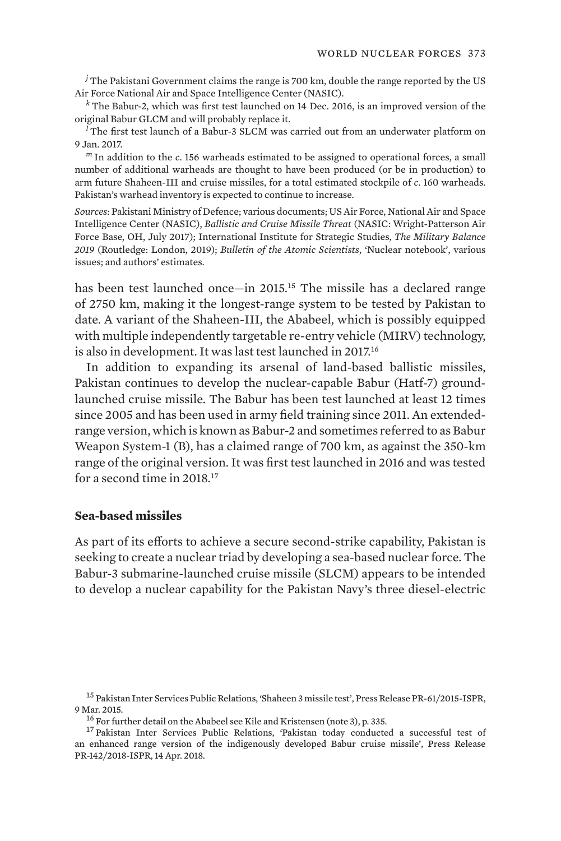*<sup>j</sup>* The Pakistani Government claims the range is 700 km, double the range reported by the US Air Force National Air and Space Intelligence Center (NASIC).

*<sup>k</sup>* The Babur-2, which was first test launched on 14 Dec. 2016, is an improved version of the original Babur GLCM and will probably replace it.

*<sup>l</sup>* The first test launch of a Babur-3 SLCM was carried out from an underwater platform on 9 Jan. 2017.

*<sup>m</sup>* In addition to the *c*. 156 warheads estimated to be assigned to operational forces, a small number of additional warheads are thought to have been produced (or be in production) to arm future Shaheen-III and cruise missiles, for a total estimated stockpile of *c*. 160 warheads. Pakistan's warhead inventory is expected to continue to increase.

*Sources*: Pakistani Ministry of Defence; various documents; US Air Force, National Air and Space Intelligence Center (NASIC), *Ballistic and Cruise Missile Threat* (NASIC: Wright-Patterson Air Force Base, OH, July 2017); International Institute for Strategic Studies, *The Military Balance 2019* (Routledge: London, 2019); *Bulletin of the Atomic Scientists*, 'Nuclear notebook', various issues; and authors' estimates.

has been test launched once—in 2015.<sup>15</sup> The missile has a declared range of 2750 km, making it the longest-range system to be tested by Pakistan to date. A variant of the Shaheen-III, the Ababeel, which is possibly equipped with multiple independently targetable re-entry vehicle (MIRV) technology, is also in development. It was last test launched in 2017.<sup>16</sup>

In addition to expanding its arsenal of land-based ballistic missiles, Pakistan continues to develop the nuclear-capable Babur (Hatf-7) groundlaunched cruise missile. The Babur has been test launched at least 12 times since 2005 and has been used in army field training since 2011. An extendedrange version, which is known as Babur-2 and sometimes referred to as Babur Weapon System-1 (B), has a claimed range of 700 km, as against the 350-km range of the original version. It was first test launched in 2016 and was tested for a second time in 2018.<sup>17</sup>

# **Sea-based missiles**

As part of its efforts to achieve a secure second-strike capability, Pakistan is seeking to create a nuclear triad by developing a sea-based nuclear force. The Babur-3 submarine-launched cruise missile (SLCM) appears to be intended to develop a nuclear capability for the Pakistan Navy's three diesel-electric

<sup>15</sup> Pakistan Inter Services Public Relations, ['Shaheen 3 missile test'](https://www.ispr.gov.pk/press-release-detail.php?id=2804), Press Release PR-61/2015-ISPR, 9 Mar. 2015.<br><sup>16</sup> For further detail on the Ababeel see Kile and Kristensen (note 3), p. 335.<br><sup>17</sup> Pakistan Inter Services Public Relations, '[Pakistan today conducted a successful test of](https://www.ispr.gov.pk/press-release-detail.php?id=4693)

[an enhanced range version of the indigenously developed Babur cruise missile'](https://www.ispr.gov.pk/press-release-detail.php?id=4693), Press Release PR-142/2018-ISPR, 14 Apr. 2018.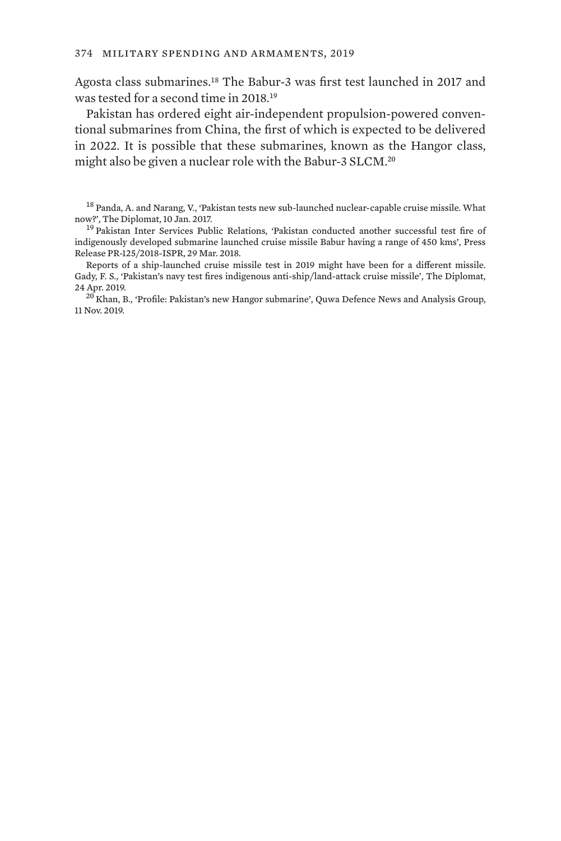Agosta class submarines.18 The Babur-3 was first test launched in 2017 and was tested for a second time in 2018.<sup>19</sup>

Pakistan has ordered eight air-independent propulsion-powered conventional submarines from China, the first of which is expected to be delivered in 2022. It is possible that these submarines, known as the Hangor class, might also be given a nuclear role with the Babur-3 SLCM.<sup>20</sup>

 $^{18}$  Panda, A. and Narang, V., '[Pakistan tests new sub-launched nuclear-capable cruise missile. What](https://thediplomat.com/2017/01/pakistans-tests-new-sub-launched-nuclear-capable-cruise-missile-what-now/) now?'. The Diplomat, 10 Jan. 2017.

<sup>19</sup> Pakistan Inter Services Public Relations, '[Pakistan conducted another successful test fire of](https://www.ispr.gov.pk/press-release-detail.php?id=4660) [indigenously developed submarine launched cruise missile Babur having a range of 450 kms](https://www.ispr.gov.pk/press-release-detail.php?id=4660)', Press Release PR-125/2018-ISPR, 29 Mar. 2018.

Reports of a ship-launched cruise missile test in 2019 might have been for a different missile. Gady, F. S., ['Pakistan's navy test fires indigenous anti-ship/land-attack cruise missile'](https://thediplomat.com/2019/04/pakistans-navy-test-fires-indigenous-anti-shipland-attack-cruise-missile/), The Diplomat, 24 Apr. 2019. 2019. 2019. 2019. 2019. 20 Khan, B., ['Profile: Pakistan's new Hangor submarine'](https://quwa.org/2019/11/11/profile-pakistans-new-hangor-submarine/), Quwa Defence News and Analysis Group,

11 Nov. 2019.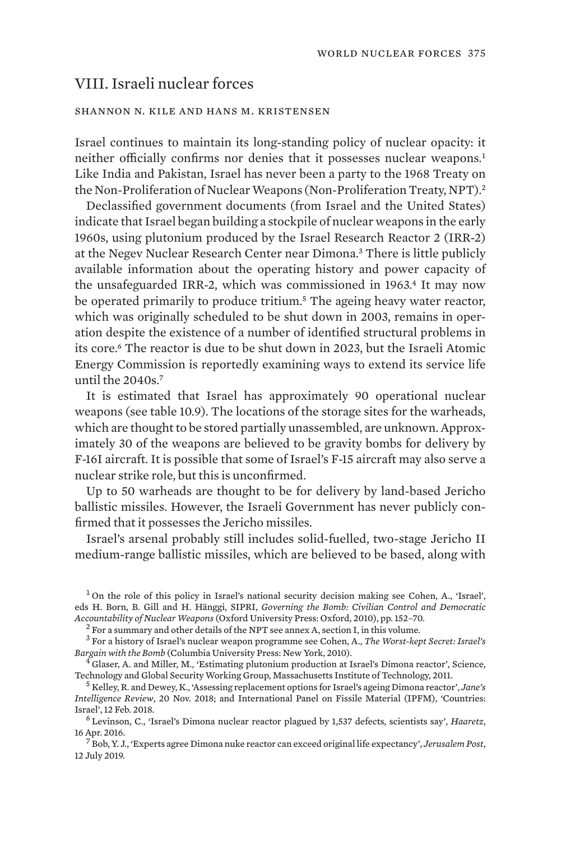# VIII. Israeli nuclear forces

# shannon n. kile and hans m. kristensen

Israel continues to maintain its long-standing policy of nuclear opacity: it neither officially confirms nor denies that it possesses nuclear weapons.<sup>1</sup> Like India and Pakistan, Israel has never been a party to the 1968 Treaty on the Non-Proliferation of Nuclear Weapons (Non-Proliferation Treaty, NPT).<sup>2</sup>

Declassified government documents (from Israel and the United States) indicate that Israel began building a stockpile of nuclear weapons in the early 1960s, using plutonium produced by the Israel Research Reactor 2 (IRR-2) at the Negev Nuclear Research Center near Dimona.3 There is little publicly available information about the operating history and power capacity of the unsafeguarded IRR-2, which was commissioned in 1963.<sup>4</sup> It may now be operated primarily to produce tritium.<sup>5</sup> The ageing heavy water reactor, which was originally scheduled to be shut down in 2003, remains in operation despite the existence of a number of identified structural problems in its core.6 The reactor is due to be shut down in 2023, but the Israeli Atomic Energy Commission is reportedly examining ways to extend its service life until the 2040s.<sup>7</sup>

It is estimated that Israel has approximately 90 operational nuclear weapons (see table 10.9). The locations of the storage sites for the warheads, which are thought to be stored partially unassembled, are unknown. Approximately 30 of the weapons are believed to be gravity bombs for delivery by F-16I aircraft. It is possible that some of Israel's F-15 aircraft may also serve a nuclear strike role, but this is unconfirmed.

Up to 50 warheads are thought to be for delivery by land-based Jericho ballistic missiles. However, the Israeli Government has never publicly confirmed that it possesses the Jericho missiles.

Israel's arsenal probably still includes solid-fuelled, two-stage Jericho II medium-range ballistic missiles, which are believed to be based, along with

<sup>&</sup>lt;sup>1</sup> On the role of this policy in Israel's national security decision making see Cohen, A., 'Israel', eds H. Born, B. Gill and H. Hänggi, SIPRI, *Governing the Bomb: Civilian Control and Democratic Accountability of Nuclear Weapons* (Oxford University Press: Oxford, 2010), pp. 152–70.<br><sup>2</sup> For a summary and other details of the NPT see annex A, section I, in this volume.

<sup>3</sup> For a history of Israel's nuclear weapon programme see Cohen, A., *The Worst-kept Secret: Israel's Bargain with the Bomb* (Columbia University Press: New York, 2010). <sup>4</sup> Glaser, A. and Miller, M., '[Estimating plutonium production at Israel's Dimona reactor'](https://www.princeton.edu/~aglaser/PU056-Glaser-Miller-2011.pdf), Science,

Technology and Global Security Working Group, Massachusetts Institute of Technology, 2011. <sup>5</sup> Kelley, R. and Dewey, K., 'Assessing replacement options for Israel's ageing Dimona reactor', *Jane's* 

*Intelligence Review*, 20 Nov. 2018; and International Panel on Fissile Material (IPFM), ['Countries:](http://fissilematerials.org/countries/israel.html) [Israel](http://fissilematerials.org/countries/israel.html)', 12 Feb. 2018. <sup>6</sup> Levinson, C., 'Israel's Dimona nuclear reactor plagued by 1,537 defects, scientists say', *Haaretz*,

<sup>16</sup> Apr. 2016. <sup>7</sup> Bob, Y. J., '[Experts agree Dimona nuke reactor can exceed original life expectancy'](https://www.jpost.com/Israel-News/Experts-agree-Dimona-nuke-reactor-can-exceed-original-life-expectancy-595404), *Jerusalem Post*,

<sup>12</sup> July 2019.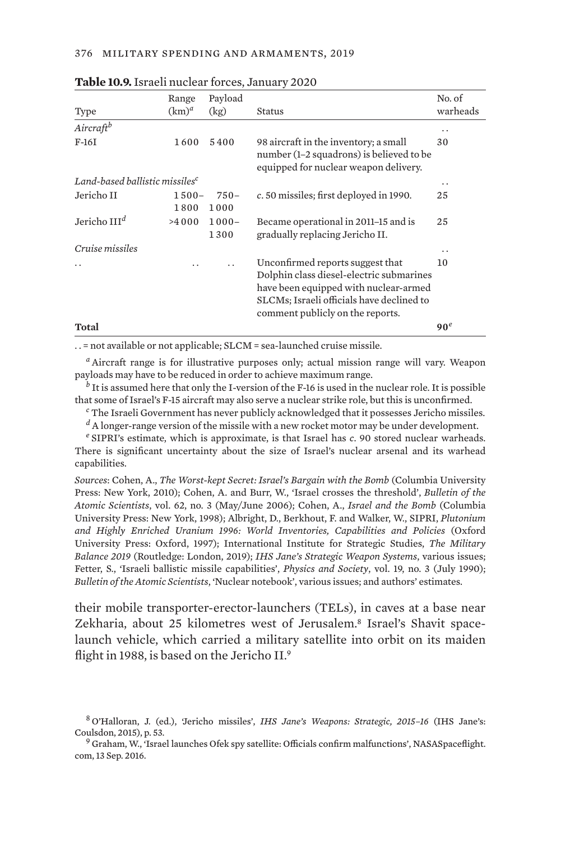|                                            | Range            | Payload          |                                                                                                                                                                                                        | No. of          |
|--------------------------------------------|------------------|------------------|--------------------------------------------------------------------------------------------------------------------------------------------------------------------------------------------------------|-----------------|
| Type                                       | $(km)^d$         | (kg)             | Status                                                                                                                                                                                                 | warheads        |
| Aircraftb                                  |                  |                  |                                                                                                                                                                                                        | . .             |
| $F-16I$                                    | 1600             | 5400             | 98 aircraft in the inventory; a small<br>number (1–2 squadrons) is believed to be<br>equipped for nuclear weapon delivery.                                                                             | 30              |
| Land-based ballistic missiles <sup>c</sup> |                  |                  |                                                                                                                                                                                                        | . .             |
| Jericho II                                 | $1500 -$<br>1800 | $750-$<br>1000   | c. 50 missiles; first deployed in 1990.                                                                                                                                                                | 25              |
| Jericho $IIId$                             | >4000            | $1000 -$<br>1300 | Became operational in 2011–15 and is<br>gradually replacing Jericho II.                                                                                                                                | 25              |
| Cruise missiles                            |                  |                  |                                                                                                                                                                                                        | . .             |
|                                            |                  | . .              | Unconfirmed reports suggest that<br>Dolphin class diesel-electric submarines<br>have been equipped with nuclear-armed<br>SLCMs; Israeli officials have declined to<br>comment publicly on the reports. | 10              |
| Total                                      |                  |                  |                                                                                                                                                                                                        | 90 <sup>e</sup> |

. . = not available or not applicable; SLCM = sea-launched cruise missile.

*<sup>a</sup>* Aircraft range is for illustrative purposes only; actual mission range will vary. Weapon payloads may have to be reduced in order to achieve maximum range.

*b* It is assumed here that only the I-version of the F-16 is used in the nuclear role. It is possible that some of Israel's F-15 aircraft may also serve a nuclear strike role, but this is unconfirmed.

*<sup>c</sup>* The Israeli Government has never publicly acknowledged that it possesses Jericho missiles.

*<sup>d</sup>* A longer-range version of the missile with a new rocket motor may be under development.

*<sup>e</sup>* SIPRI's estimate, which is approximate, is that Israel has *c*. 90 stored nuclear warheads. There is significant uncertainty about the size of Israel's nuclear arsenal and its warhead capabilities.

*Sources*: Cohen, A., *The Worst-kept Secret: Israel's Bargain with the Bomb* (Columbia University Press: New York, 2010); Cohen, A. and Burr, W., 'Israel crosses the threshold', *Bulletin of the Atomic Scientists*, vol. 62, no. 3 (May/June 2006); Cohen, A., *Israel and the Bomb* (Columbia University Press: New York, 1998); Albright, D., Berkhout, F. and Walker, W., SIPRI, *Plutonium and Highly Enriched Uranium 1996: World Inventories, Capabilities and Policies* (Oxford University Press: Oxford, 1997); International Institute for Strategic Studies, *The Military Balance 2019* (Routledge: London, 2019); *IHS Jane's Strategic Weapon Systems*, various issues; Fetter, S., 'Israeli ballistic missile capabilities', *Physics and Society*, vol. 19, no. 3 (July 1990); *Bulletin of the Atomic Scientists*, 'Nuclear notebook', various issues; and authors' estimates.

their mobile transporter-erector-launchers (TELs), in caves at a base near Zekharia, about 25 kilometres west of Jerusalem.<sup>8</sup> Israel's Shavit spacelaunch vehicle, which carried a military satellite into orbit on its maiden flight in 1988, is based on the Jericho II.<sup>9</sup>

<sup>8</sup> O'Halloran, J. (ed.), 'Jericho missiles', *IHS Jane's Weapons: Strategic, 2015–16* (IHS Jane's: Coulsdon, 2015), p. 53. <sup>9</sup> Graham, W., ['Israel launches Ofek spy satellite: Officials confirm malfunctions'](https://www.nasaspaceflight.com/2016/09/israel-launches-ofek-spy-satellite-malfunctions), NASASpaceflight.

com, 13 Sep. 2016.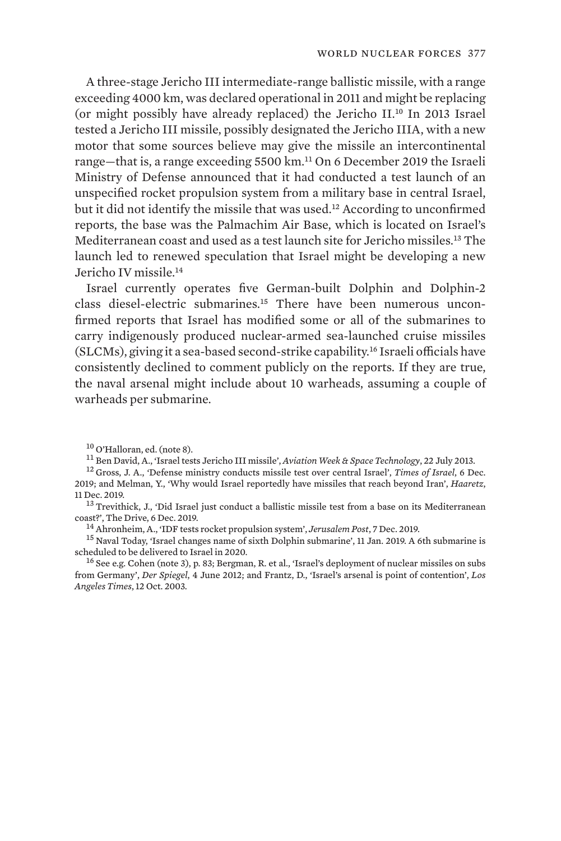A three-stage Jericho III intermediate-range ballistic missile, with a range exceeding 4000 km, was declared operational in 2011 and might be replacing (or might possibly have already replaced) the Jericho II.10 In 2013 Israel tested a Jericho III missile, possibly designated the Jericho IIIA, with a new motor that some sources believe may give the missile an intercontinental range—that is, a range exceeding 5500 km.11 On 6 December 2019 the Israeli Ministry of Defense announced that it had conducted a test launch of an unspecified rocket propulsion system from a military base in central Israel, but it did not identify the missile that was used.<sup>12</sup> According to unconfirmed reports, the base was the Palmachim Air Base, which is located on Israel's Mediterranean coast and used as a test launch site for Jericho missiles.13 The launch led to renewed speculation that Israel might be developing a new Jericho IV missile<sup>14</sup>

Israel currently operates five German-built Dolphin and Dolphin-2 class diesel-electric submarines.15 There have been numerous unconfirmed reports that Israel has modified some or all of the submarines to carry indigenously produced nuclear-armed sea-launched cruise missiles (SLCMs), giving it a sea-based second-strike capability.16 Israeli officials have consistently declined to comment publicly on the reports. If they are true, the naval arsenal might include about 10 warheads, assuming a couple of warheads per submarine.

<sup>10</sup> O'Halloran, ed. (note 8).<br><sup>11</sup> Ben David, A., 'Israel tests Jericho III missile', *Aviation Week & Space Technology*, 22 July 2013.<br><sup>12</sup> Gross, J. A., '[Defense ministry conducts missile test over central Israel'](https://www.timesofisrael.com/defense-ministry-conducts-missile-test-over-central-israel/), *Ti* 

<sup>14</sup> Ahronheim, A., '[IDF tests rocket propulsion system'](https://www.jpost.com/breaking-news/idf-successfully-tests-new-rocket-propulsion-system-610073), *Jerusalem Post*, 7 Dec. 2019.<br><sup>15</sup> Naval Today, ['Israel changes name of sixth Dolphin submarine'](https://navaltoday.com/2019/01/11/israel-changes-name-of-sixth-dolphin-submarine/), 11 Jan. 2019. A 6th submarine is<br>scheduled to be delivered to Isr

<sup>16</sup> See e.g. Cohen (note 3), p. 83; Bergman, R. et al., '[Israel's deployment of nuclear missiles on subs](http://www.spiegel.de/international/world/israel-deploys-nuclear-weapons-on-german-built-submarines-a-836784.html) [from Germany'](http://www.spiegel.de/international/world/israel-deploys-nuclear-weapons-on-german-built-submarines-a-836784.html), *Der Spiegel*, 4 June 2012; and Frantz, D., ['Israel's arsenal is point of contention'](https://www.latimes.com/archives/la-xpm-2003-oct-12-fg-iznukes12-story.html), *Los Angeles Times*, 12 Oct. 2003.

<sup>2019;</sup> and Melman, Y., ['Why would Israel reportedly have missiles that reach beyond Iran](https://www.haaretz.com/middle-east-news/.premium-israel-jericho-missile-test-iran-pakistan-india-yossi-melman-1.8251584)', *Haaretz*,

<sup>11</sup> Dec. 2019. 13 Trevithick, J., ['Did Israel just conduct a ballistic missile test from a base on its Mediterranean](https://www.thedrive.com/the-war-zone/31358/did-israel-just-conduct-a-ballistic-missile-test-from-a-base-on-its-mediterranean-coast)<br>coast?'. The Drive, 6 Dec. 2019.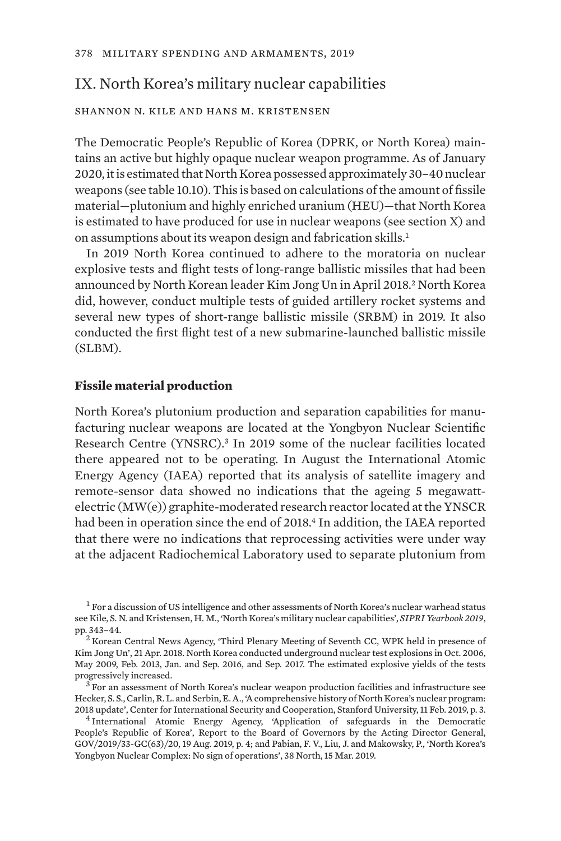# IX. North Korea's military nuclear capabilities

#### shannon n. kile and hans m. kristensen

The Democratic People's Republic of Korea (DPRK, or North Korea) maintains an active but highly opaque nuclear weapon programme. As of January 2020, it is estimated that North Korea possessed approximately 30–40 nuclear weapons (see table 10.10). This is based on calculations of the amount of fissile material—plutonium and highly enriched uranium (HEU)—that North Korea is estimated to have produced for use in nuclear weapons (see section X) and on assumptions about its weapon design and fabrication skills.<sup>1</sup>

In 2019 North Korea continued to adhere to the moratoria on nuclear explosive tests and flight tests of long-range ballistic missiles that had been announced by North Korean leader Kim Jong Un in April 2018.<sup>2</sup> North Korea did, however, conduct multiple tests of guided artillery rocket systems and several new types of short-range ballistic missile (SRBM) in 2019. It also conducted the first flight test of a new submarine-launched ballistic missile (SLBM).

#### **Fissile material production**

North Korea's plutonium production and separation capabilities for manufacturing nuclear weapons are located at the Yongbyon Nuclear Scientific Research Centre (YNSRC).3 In 2019 some of the nuclear facilities located there appeared not to be operating. In August the International Atomic Energy Agency (IAEA) reported that its analysis of satellite imagery and remote-sensor data showed no indications that the ageing 5 megawattelectric (MW(e)) graphite-moderated research reactor located at the YNSCR had been in operation since the end of 2018.<sup>4</sup> In addition, the IAEA reported that there were no indications that reprocessing activities were under way at the adjacent Radiochemical Laboratory used to separate plutonium from

 $1$  For a discussion of US intelligence and other assessments of North Korea's nuclear warhead status see Kile, S. N. and Kristensen, H. M., 'North Korea's military nuclear capabilities', *SIPRI Yearbook 2019*, pp. 343–44.<br><sup>2</sup> Korean Central News Agency, '[Third Plenary Meeting of Seventh CC, WPK held in presence of](https://www.kcna.co.jp/item/2018/201804/2018-04-21ee.html)

[Kim Jong Un'](https://www.kcna.co.jp/item/2018/201804/2018-04-21ee.html), 21 Apr. 2018. North Korea conducted underground nuclear test explosions in Oct. 2006, May 2009, Feb. 2013, Jan. and Sep. 2016, and Sep. 2017. The estimated explosive yields of the tests progressively increased.<br><sup>3</sup> For an assessment of North Korea's nuclear weapon production facilities and infrastructure see

Hecker, S. S., Carlin, R. L. and Serbin, E. A., ['A comprehensive history of North Korea's nuclear program:](https://fsi-live.s3.us-west-1.amazonaws.com/s3fs-public/2018colorchartnarrative_2.11.19_fin.pdf)<br>2018 update', Center for International Security and Cooperation, Stanford University, 11 Feb. 2019, p. 3.

<sup>&</sup>lt;sup>4</sup> International Atomic Energy Agency, ['Application of safeguards in the Democratic](https://www.iaea.org/sites/default/files/gc/gc63-20.pdf) [People's Republic of Korea'](https://www.iaea.org/sites/default/files/gc/gc63-20.pdf), Report to the Board of Governors by the Acting Director General, GOV/2019/33-GC(63)/20, 19 Aug. 2019, p. 4; and Pabian, F. V., Liu, J. and Makowsky, P., ['North Korea's](https://www.38north.org/2019/03/yongbyon031519/) [Yongbyon Nuclear Complex: No sign of operations'](https://www.38north.org/2019/03/yongbyon031519/), 38 North, 15 Mar. 2019.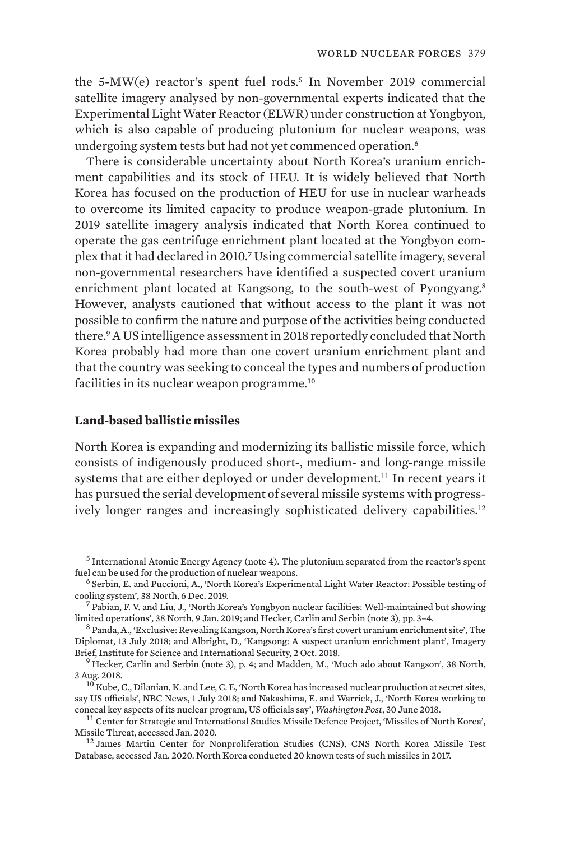the  $5-MW(e)$  reactor's spent fuel rods.<sup>5</sup> In November 2019 commercial satellite imagery analysed by non-governmental experts indicated that the Experimental Light Water Reactor (ELWR) under construction at Yongbyon, which is also capable of producing plutonium for nuclear weapons, was undergoing system tests but had not yet commenced operation.<sup>6</sup>

There is considerable uncertainty about North Korea's uranium enrichment capabilities and its stock of HEU. It is widely believed that North Korea has focused on the production of HEU for use in nuclear warheads to overcome its limited capacity to produce weapon-grade plutonium. In 2019 satellite imagery analysis indicated that North Korea continued to operate the gas centrifuge enrichment plant located at the Yongbyon complex that it had declared in 2010.7 Using commercial satellite imagery, several non-governmental researchers have identified a suspected covert uranium enrichment plant located at Kangsong, to the south-west of Pyongyang.<sup>8</sup> However, analysts cautioned that without access to the plant it was not possible to confirm the nature and purpose of the activities being conducted there.9 A US intelligence assessment in 2018 reportedly concluded that North Korea probably had more than one covert uranium enrichment plant and that the country was seeking to conceal the types and numbers of production facilities in its nuclear weapon programme.<sup>10</sup>

## **Land-based ballistic missiles**

North Korea is expanding and modernizing its ballistic missile force, which consists of indigenously produced short-, medium- and long-range missile systems that are either deployed or under development.<sup>11</sup> In recent years it has pursued the serial development of several missile systems with progressively longer ranges and increasingly sophisticated delivery capabilities.<sup>12</sup>

 $5$  International Atomic Energy Agency (note 4). The plutonium separated from the reactor's spent fuel can be used for the production of nuclear weapons.

 $^6$  Serbin, E. and Puccioni, A., ['North Korea's Experimental Light Water Reactor: Possible testing of](https://www.38north.org/2019/12/yongbyon120519/) cooling system', 38 North, 6 Dec. 2019.

 $^7$  Pabian, F. V. and Liu, J., ['North Korea's Yongbyon nuclear facilities: Well-maintained but showing](https://www.38north.org/2019/01/yongbyon010919/) [limited operations'](https://www.38north.org/2019/01/yongbyon010919/), 38 North, 9 Jan. 2019; and Hecker, Carlin and Serbin (note 3), pp. 3–4.<br><sup>8</sup> Panda, A., '[Exclusive: Revealing Kangson, North Korea's first covert uranium enrichment site'](https://thediplomat.com/2018/07/exclusive-revealing-kangson-north-koreas-first-covert-uranium-enrichment-site/), The

Diplomat, 13 July 2018; and Albright, D., ['Kangsong: A suspect uranium enrichment plant'](http://isis-online.org/uploads/isis-reports/documents/Kangsong_Update_2Oct2018_Final.pdf), Imagery Brief, Institute for Science and International Security, 2 Oct. 2018.<br><sup>9</sup> Hecker, Carlin and Serbin (note 3), p. 4; and Madden, M., ['Much ado about Kangson'](https://www.38north.org/2018/08/mmadden080318/), 38 North,

<sup>3</sup> Aug. 2018. 10 Kube, C., Dilanian, K. and Lee, C. E, ['North Korea has increased nuclear production at secret sites,](https://www.nbcnews.com/news/north-korea/north-korea-has-increased-nuclear-production-secret-sites-say-u-n887926)

[say US officials](https://www.nbcnews.com/news/north-korea/north-korea-has-increased-nuclear-production-secret-sites-say-u-n887926)', NBC News, 1 July 2018; and Nakashima, E. and Warrick, J., '[North Korea working to](https://www.washingtonpost.com/world/national-security/north-korea-working-to-conceal-key-aspects-of-its-nuclear-program-us-officials-say/2018/06/30/deba64fa-7c82-11e8-93cc-6d3beccdd7a3_story.html)<br>conceal key aspects of its nuclear program, US officials say', Washington Post, 30 June 2018.

 $^{11}$  Center for Strategic and International Studies Missile Defence Project, ['Missiles of North Korea'](https://missilethreat.csis.org/country/dprk/), Missile Threat, accessed Jan. 2020.

 $12$  James Martin Center for Nonproliferation Studies (CNS), [CNS North Korea Missile Test](http://www.nti.org/analysis/articles/cns-north-korea-missile-test-database/) [Database](http://www.nti.org/analysis/articles/cns-north-korea-missile-test-database/), accessed Jan. 2020. North Korea conducted 20 known tests of such missiles in 2017.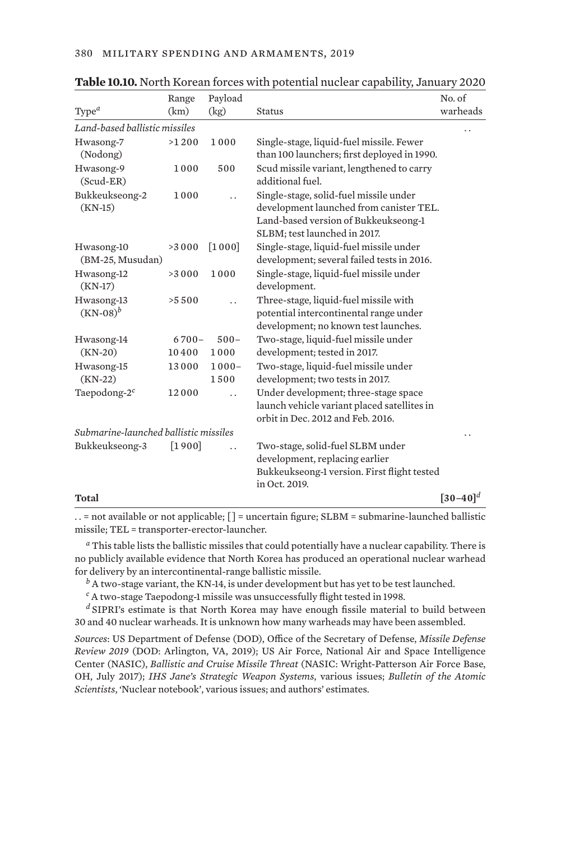| Type <sup>a</sup>                     | Range<br>(km)     | Payload<br>(kg)      | <b>Status</b>                                                                                                                                             | No. of<br>warheads |  |
|---------------------------------------|-------------------|----------------------|-----------------------------------------------------------------------------------------------------------------------------------------------------------|--------------------|--|
| Land-based ballistic missiles         |                   |                      |                                                                                                                                                           |                    |  |
| Hwasong-7<br>(Nodong)                 | >1200             | 1000                 | Single-stage, liquid-fuel missile. Fewer<br>than 100 launchers; first deployed in 1990.                                                                   |                    |  |
| Hwasong-9<br>$(Scud-ER)$              | 1000              | 500                  | Scud missile variant, lengthened to carry<br>additional fuel.                                                                                             |                    |  |
| Bukkeukseong-2<br>$(KN-15)$           | 1000              | $\ddot{\phantom{a}}$ | Single-stage, solid-fuel missile under<br>development launched from canister TEL.<br>Land-based version of Bukkeukseong-1<br>SLBM; test launched in 2017. |                    |  |
| Hwasong-10<br>(BM-25, Musudan)        | >3000             | $[1000]$             | Single-stage, liquid-fuel missile under<br>development; several failed tests in 2016.                                                                     |                    |  |
| Hwasong-12<br>$(KN-17)$               | >3000             | 1000                 | Single-stage, liquid-fuel missile under<br>development.                                                                                                   |                    |  |
| Hwasong-13<br>$(KN-08)^b$             | >5500             | $\ddot{\phantom{0}}$ | Three-stage, liquid-fuel missile with<br>potential intercontinental range under<br>development; no known test launches.                                   |                    |  |
| Hwasong-14<br>$(KN-20)$               | $6700 -$<br>10400 | $500 -$<br>1000      | Two-stage, liquid-fuel missile under<br>development; tested in 2017.                                                                                      |                    |  |
| Hwasong-15<br>$(KN-22)$               | 13000             | $1000 -$<br>1500     | Two-stage, liquid-fuel missile under<br>development; two tests in 2017.                                                                                   |                    |  |
| Taepodong-2 <sup>c</sup>              | 12000             | $\ddot{\phantom{0}}$ | Under development; three-stage space<br>launch vehicle variant placed satellites in<br>orbit in Dec. 2012 and Feb. 2016.                                  |                    |  |
| Submarine-launched ballistic missiles |                   |                      |                                                                                                                                                           | . .                |  |
| Bukkeukseong-3                        | [1900]            |                      | Two-stage, solid-fuel SLBM under<br>development, replacing earlier<br>Bukkeukseong-1 version. First flight tested<br>in Oct. 2019.                        |                    |  |
| Total                                 |                   |                      |                                                                                                                                                           | $[30 - 40]^{d}$    |  |

**Table 10.10.** North Korean forces with potential nuclear capability, January 2020

. . = not available or not applicable; [ ] = uncertain figure; SLBM = submarine-launched ballistic missile; TEL = transporter-erector-launcher.

*<sup>a</sup>* This table lists the ballistic missiles that could potentially have a nuclear capability. There is no publicly available evidence that North Korea has produced an operational nuclear warhead for delivery by an intercontinental-range ballistic missile.

*<sup>b</sup>* A two-stage variant, the KN-14, is under development but has yet to be test launched.

*<sup>c</sup>* A two-stage Taepodong-1 missile was unsuccessfully flight tested in 1998.

*<sup>d</sup>* SIPRI's estimate is that North Korea may have enough fissile material to build between 30 and 40 nuclear warheads. It is unknown how many warheads may have been assembled.

*Sources*: US Department of Defense (DOD), Office of the Secretary of Defense, *[Missile Defense](https://media.defense.gov/2019/Jan/17/2002080666/-1/-1/1/2019-MISSILE-DEFENSE-REVIEW.PDF) [Review 2019](https://media.defense.gov/2019/Jan/17/2002080666/-1/-1/1/2019-MISSILE-DEFENSE-REVIEW.PDF)* (DOD: Arlington, VA, 2019); US Air Force, National Air and Space Intelligence Center (NASIC), *Ballistic and Cruise Missile Threat* (NASIC: Wright-Patterson Air Force Base, OH, July 2017); *IHS Jane's Strategic Weapon Systems*, various issues; *Bulletin of the Atomic Scientists*, 'Nuclear notebook', various issues; and authors' estimates.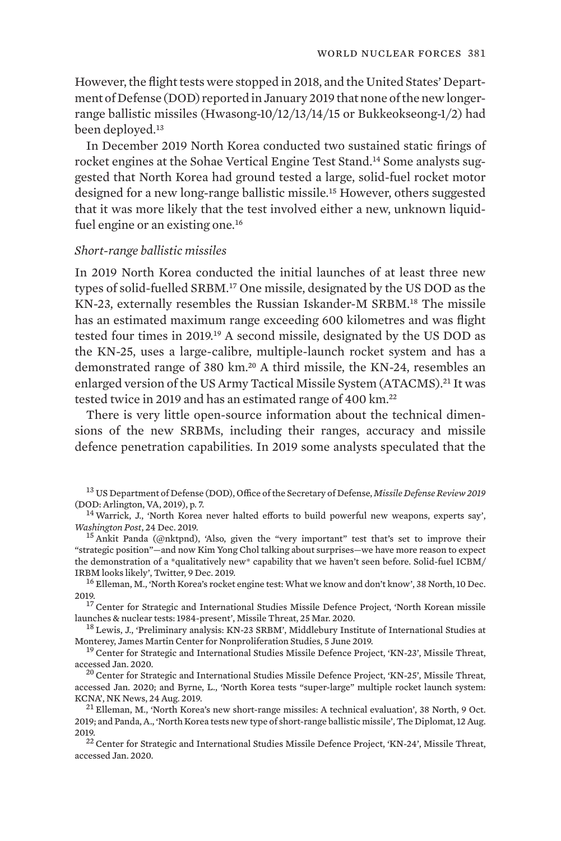However, the flight tests were stopped in 2018, and the United States' Department of Defense (DOD) reported in January 2019 that none of the new longerrange ballistic missiles (Hwasong-10/12/13/14/15 or Bukkeokseong-1/2) had been deployed.<sup>13</sup>

In December 2019 North Korea conducted two sustained static firings of rocket engines at the Sohae Vertical Engine Test Stand.14 Some analysts suggested that North Korea had ground tested a large, solid-fuel rocket motor designed for a new long-range ballistic missile.<sup>15</sup> However, others suggested that it was more likely that the test involved either a new, unknown liquidfuel engine or an existing one.<sup>16</sup>

#### *Short-range ballistic missiles*

In 2019 North Korea conducted the initial launches of at least three new types of solid-fuelled SRBM.17 One missile, designated by the US DOD as the KN-23, externally resembles the Russian Iskander-M SRBM.18 The missile has an estimated maximum range exceeding 600 kilometres and was flight tested four times in 2019.19 A second missile, designated by the US DOD as the KN-25, uses a large-calibre, multiple-launch rocket system and has a demonstrated range of 380 km.20 A third missile, the KN-24, resembles an enlarged version of the US Army Tactical Missile System (ATACMS).<sup>21</sup> It was tested twice in 2019 and has an estimated range of 400 km.<sup>22</sup>

There is very little open-source information about the technical dimensions of the new SRBMs, including their ranges, accuracy and missile defence penetration capabilities. In 2019 some analysts speculated that the

2019.<br><sup>17</sup> Center for Strategic and International Studies Missile Defence Project, '[North Korean missile](https://missilethreat.csis.org/north-korea-missile-launches-1984-present/)

[launches & nuclear tests: 1984-present'](https://missilethreat.csis.org/north-korea-missile-launches-1984-present/), Missile Threat, 25 Mar. 2020.<br><sup>18</sup> Lewis, J., ['Preliminary analysis: KN-23 SRBM'](https://www.nonproliferation.org/preliminary-analysis-kn-23-srbm/), Middlebury Institute of International Studies at

Monterey, James Martin Center for Nonproliferation Studies, 5 June 2019. <sup>19</sup> Center for Strategic and International Studies Missile Defence Project, '[KN-23'](https://missilethreat.csis.org/missile/kn-23/), Missile Threat,

accessed Jan. 2020.<br><sup>20</sup> Center for Strategic and International Studies Missile Defence Project, '[KN-25'](https://missilethreat.csis.org/missile/kn-25/), Missile Threat,

accessed Jan. 2020; and Byrne, L., '[North Korea tests "super-large" multiple rocket launch system:](https://www.nknews.org/2019/08/north-korea-tests-super-large-multiple-rocket-launch-system-kcna/) [KCNA](https://www.nknews.org/2019/08/north-korea-tests-super-large-multiple-rocket-launch-system-kcna/)', NK News, 24 Aug. 2019.<br><sup>21</sup> Elleman, M., '[North Korea's new short-range missiles: A technical evaluation'](https://www.38north.org/2019/10/melleman100919/), 38 North, 9 Oct.

2019; and Panda, A., '[North Korea tests new type of short-range ballistic missile](https://thediplomat.com/2019/08/north-korea-tests-new-type-of-short-range-ballistic-missile/)', The Diplomat, 12 Aug. 2019. <sup>22</sup> Center for Strategic and International Studies Missile Defence Project, ['KN-24](https://missilethreat.csis.org/missile/kn-24/)', Missile Threat,

accessed Jan. 2020.

<sup>13</sup> US Department of Defense (DOD), Office of the Secretary of Defense, *[Missile Defense Review 2019](https://media.defense.gov/2019/Jan/17/2002080666/-1/-1/1/2019-MISSILE-DEFENSE-REVIEW.PDF)*

 $14$  Warrick, J., 'North Korea never halted efforts to build powerful new weapons, experts say', *Washington Post*, 24 Dec. 2019.<br><sup>15</sup> Ankit Panda (@nktpnd), ['Also, given the "very important" test that's set to improve their](https://twitter.com/nktpnd/status/1203972180314333185)

[<sup>&</sup>quot;strategic position"—and now Kim Yong Chol talking about surprises—we have more reason to expect](https://twitter.com/nktpnd/status/1203972180314333185) [the demonstration of a \\*qualitatively new\\* capability that we haven't seen before. Solid-fuel ICBM/](https://twitter.com/nktpnd/status/1203972180314333185) [IRBM looks likely'](https://twitter.com/nktpnd/status/1203972180314333185), Twitter, 9 Dec. 2019.<br><sup>16</sup> Elleman, M., ['North Korea's rocket engine test: What we know and don't know'](https://www.38north.org/2019/12/melleman121019/), 38 North, 10 Dec.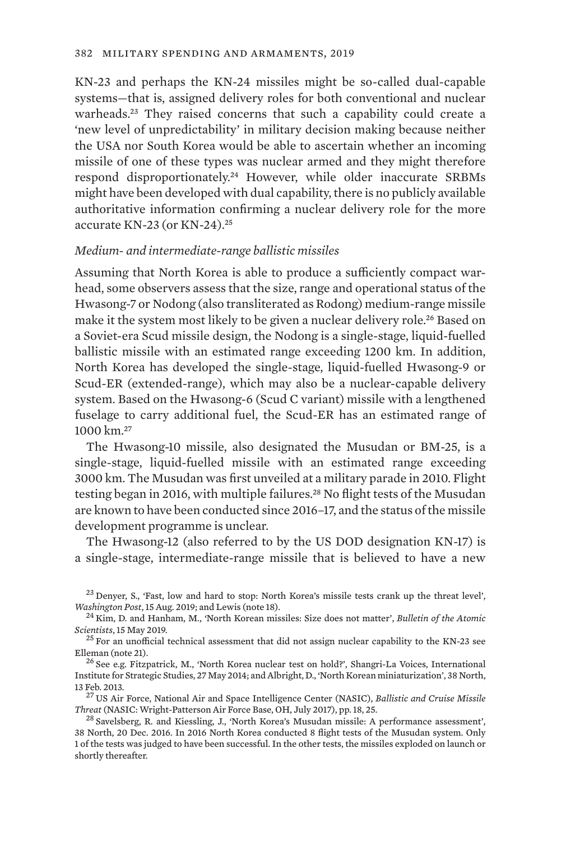KN-23 and perhaps the KN-24 missiles might be so-called dual-capable systems—that is, assigned delivery roles for both conventional and nuclear warheads.<sup>23</sup> They raised concerns that such a capability could create a 'new level of unpredictability' in military decision making because neither the USA nor South Korea would be able to ascertain whether an incoming missile of one of these types was nuclear armed and they might therefore respond disproportionately.24 However, while older inaccurate SRBMs might have been developed with dual capability, there is no publicly available authoritative information confirming a nuclear delivery role for the more accurate KN-23 (or KN-24).<sup>25</sup>

#### *Medium- and intermediate-range ballistic missiles*

Assuming that North Korea is able to produce a sufficiently compact warhead, some observers assess that the size, range and operational status of the Hwasong-7 or Nodong (also transliterated as Rodong) medium-range missile make it the system most likely to be given a nuclear delivery role.<sup>26</sup> Based on a Soviet-era Scud missile design, the Nodong is a single-stage, liquid-fuelled ballistic missile with an estimated range exceeding 1200 km. In addition, North Korea has developed the single-stage, liquid-fuelled Hwasong-9 or Scud-ER (extended-range), which may also be a nuclear-capable delivery system. Based on the Hwasong-6 (Scud C variant) missile with a lengthened fuselage to carry additional fuel, the Scud-ER has an estimated range of 1000 km.<sup>27</sup>

The Hwasong-10 missile, also designated the Musudan or BM-25, is a single-stage, liquid-fuelled missile with an estimated range exceeding 3000 km. The Musudan was first unveiled at a military parade in 2010. Flight testing began in 2016, with multiple failures.<sup>28</sup> No flight tests of the Musudan are known to have been conducted since 2016–17, and the status of the missile development programme is unclear.

The Hwasong-12 (also referred to by the US DOD designation KN-17) is a single-stage, intermediate-range missile that is believed to have a new

 $^{23}$  Denyer, S., '[Fast, low and hard to stop: North Korea's missile tests crank up the threat level'](https://www.washingtonpost.com/world/asia_pacific/fast-low-and-hard-to-stop-north-koreas-missile-tests-crank-up-the-threat-level/2019/08/15/adf3f3e4-bdc3-11e9-aff2-3835caab97f6_story.html), Washington Post, 15 Aug. 2019; and Lewis (note 18).

<sup>&</sup>lt;sup>24</sup> Kim, D. and Hanham, M., ['North Korean missiles: Size does not matter'](https://thebulletin.org/2019/05/north-korean-missiles-size-does-not-matter/), *Bulletin of the Atomic Scientists*, 15 May 2019.

<sup>&</sup>lt;sup>25</sup> For an unofficial technical assessment that did not assign nuclear capability to the KN-23 see Elleman (note 21).<br><sup>26</sup> See e.g. Fitzpatrick, M., ['North Korea nuclear test on hold?'](http://www.iiss.org/en/shangri-la%20voices/blogsections/2014-363a/north-korea-nuclear-test-on-hold-8fec), Shangri-La Voices, International

Institute for Strategic Studies, 27 May 2014; and Albright, D., ['North Korean miniaturization](http://www.38north.org/2013/02/albright021313/)', 38 North,

<sup>13</sup> Feb. 2013. <sup>27</sup> US Air Force, National Air and Space Intelligence Center (NASIC), *Ballistic and Cruise Missile* 

<sup>&</sup>lt;sup>28</sup> Savelsberg, R. and Kiessling, J., '[North Korea's Musudan missile: A performance assessment'](http://38north.org/2016/12/musudan122016/), 38 North, 20 Dec. 2016. In 2016 North Korea conducted 8 flight tests of the Musudan system. Only 1 of the tests was judged to have been successful. In the other tests, the missiles exploded on launch or shortly thereafter.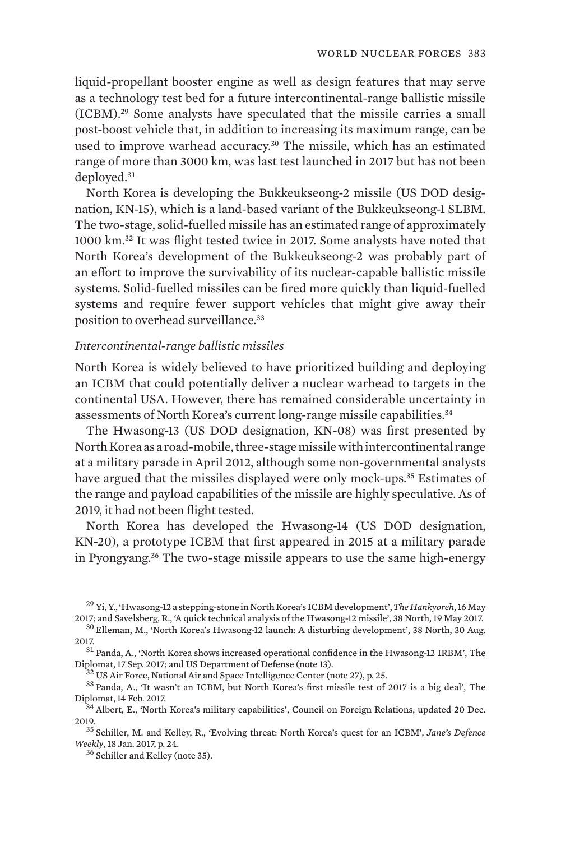liquid-propellant booster engine as well as design features that may serve as a technology test bed for a future intercontinental-range ballistic missile (ICBM).29 Some analysts have speculated that the missile carries a small post-boost vehicle that, in addition to increasing its maximum range, can be used to improve warhead accuracy.<sup>30</sup> The missile, which has an estimated range of more than 3000 km, was last test launched in 2017 but has not been deployed.<sup>31</sup>

North Korea is developing the Bukkeukseong-2 missile (US DOD designation, KN-15), which is a land-based variant of the Bukkeukseong-1 SLBM. The two-stage, solid-fuelled missile has an estimated range of approximately 1000 km.32 It was flight tested twice in 2017. Some analysts have noted that North Korea's development of the Bukkeukseong-2 was probably part of an effort to improve the survivability of its nuclear-capable ballistic missile systems. Solid-fuelled missiles can be fired more quickly than liquid-fuelled systems and require fewer support vehicles that might give away their position to overhead surveillance.<sup>33</sup>

#### *Intercontinental-range ballistic missiles*

North Korea is widely believed to have prioritized building and deploying an ICBM that could potentially deliver a nuclear warhead to targets in the continental USA. However, there has remained considerable uncertainty in assessments of North Korea's current long-range missile capabilities.<sup>34</sup>

The Hwasong-13 (US DOD designation, KN-08) was first presented by North Korea as a road-mobile, three-stage missile with intercontinental range at a military parade in April 2012, although some non-governmental analysts have argued that the missiles displayed were only mock-ups.<sup>35</sup> Estimates of the range and payload capabilities of the missile are highly speculative. As of 2019, it had not been flight tested.

North Korea has developed the Hwasong-14 (US DOD designation, KN-20), a prototype ICBM that first appeared in 2015 at a military parade in Pyongyang.36 The two-stage missile appears to use the same high-energy

<sup>29</sup> Yi, Y., '[Hwasong-12 a stepping-stone in North Korea's ICBM development'](http://english.hani.co.kr/arti/english_edition/e_northkorea/79498), *The Hankyoreh*, 16 May

<sup>30</sup> Elleman, M., '[North Korea's Hwasong-12 launch: A disturbing development](https://www.38north.org/2017/08/melleman083017/)', 38 North, 30 Aug. 2017.<br><sup>31</sup> Panda, A., ['North Korea shows increased operational confidence in the Hwasong-12 IRBM](https://thediplomat.com/2017/09/north-korea-shows-increased-operational-confidence-in-the-hwasong-12-irbm/)', The

Diplomat, 17 Sep. 2017; and US Department of Defense (note 13).<br><sup>32</sup> US Air Force, National Air and Space Intelligence Center (note 27), p. 25.<br><sup>33</sup> Panda, A., 'It wasn't an ICBM, but North Korea's first missile test of 2

 $^{34}$  Albert, E., ['North Korea's military capabilities'](https://www.cfr.org/backgrounder/north-koreas-military-capabilities), Council on Foreign Relations, updated 20 Dec. 2019. <sup>35</sup> Schiller, M. and Kelley, R., 'Evolving threat: North Korea's quest for an ICBM', *Jane's Defence* 

*Weekly*, 18 Jan. 2017, p. 24.<br><sup>36</sup> Schiller and Kelley (note 35).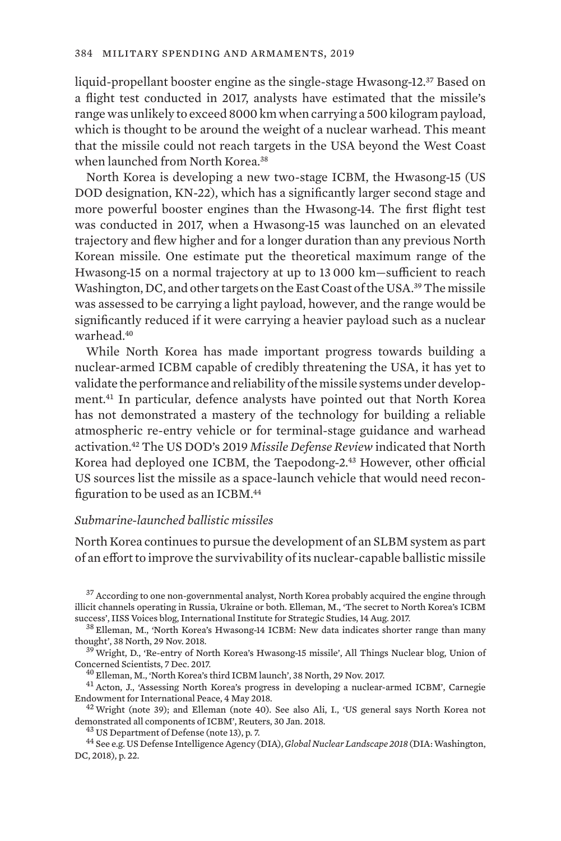liquid-propellant booster engine as the single-stage Hwasong-12.37 Based on a flight test conducted in 2017, analysts have estimated that the missile's range was unlikely to exceed 8000 km when carrying a 500 kilogram payload, which is thought to be around the weight of a nuclear warhead. This meant that the missile could not reach targets in the USA beyond the West Coast when launched from North Korea.<sup>38</sup>

North Korea is developing a new two-stage ICBM, the Hwasong-15 (US DOD designation, KN-22), which has a significantly larger second stage and more powerful booster engines than the Hwasong-14. The first flight test was conducted in 2017, when a Hwasong-15 was launched on an elevated trajectory and flew higher and for a longer duration than any previous North Korean missile. One estimate put the theoretical maximum range of the Hwasong-15 on a normal trajectory at up to 13 000 km—sufficient to reach Washington, DC, and other targets on the East Coast of the USA.<sup>39</sup> The missile was assessed to be carrying a light payload, however, and the range would be significantly reduced if it were carrying a heavier payload such as a nuclear warhead.<sup>40</sup>

While North Korea has made important progress towards building a nuclear-armed ICBM capable of credibly threatening the USA, it has yet to validate the performance and reliability of the missile systems under development.41 In particular, defence analysts have pointed out that North Korea has not demonstrated a mastery of the technology for building a reliable atmospheric re-entry vehicle or for terminal-stage guidance and warhead activation.42 The US DOD's 2019 *Missile Defense Review* indicated that North Korea had deployed one ICBM, the Taepodong-2.43 However, other official US sources list the missile as a space-launch vehicle that would need reconfiguration to be used as an ICBM.<sup>44</sup>

#### *Submarine-launched ballistic missiles*

North Korea continues to pursue the development of an SLBM system as part of an effort to improve the survivability of its nuclear-capable ballistic missile

<sup>37</sup> According to one non-governmental analyst, North Korea probably acquired the engine through illicit channels operating in Russia, Ukraine or both. Elleman, M., ['The secret to North Korea's ICBM](https://www.iiss.org/en/iiss%20voices/blogsections/iiss-voices-2017-adeb/august-2b48/north-korea-icbm-success-3abb)

[success](https://www.iiss.org/en/iiss%20voices/blogsections/iiss-voices-2017-adeb/august-2b48/north-korea-icbm-success-3abb)', IISS Voices blog, International Institute for Strategic Studies, 14 Aug. 2017.<br><sup>38</sup> Elleman, M., ['North Korea's Hwasong-14 ICBM: New data indicates shorter range than many](https://www.38north.org/2018/11/melleman112918/) thought', 38 North, 29 Nov. 2018.

 $t^{\text{39}}$  Wright, D., ['Re-entry of North Korea's Hwasong-15 missile'](https://allthingsnuclear.org/dwright/reentry-of-hwasong-15), All Things Nuclear blog, Union of Concerned Scientists, 7 Dec. 2017.

<sup>40</sup> Elleman, M., ['North Korea's third ICBM launch](https://www.38north.org/2017/11/melleman112917/)', 38 North, 29 Nov. 2017.<br><sup>41</sup> Acton, J., ['Assessing North Korea's progress in developing a nuclear-armed ICBM'](https://carnegieendowment.org/2018/05/04/assessing-north-korea-s-progress-in-developing-nuclear-armed-icbm-pub-76800), Carnegie

Endowment for International Peace, 4 May 2018.<br><sup>42</sup> Wright (note 39); and Elleman (note 40). See also Ali, I., ['US general says North Korea not](https://www.reuters.com/article/us-northkorea-missiles-usa-idUSKBN1FJ23Z)<br>demonstrated all components of ICBM', Reuters, 30 Jan. 2018.

<sup>43</sup> US Department of Defense (note 13), p. 7.<br><sup>44</sup> See e.g. US Defense Intelligence Agency (DIA), *[Global Nuclear Landscape 2018](https://www.defense.gov/portals/1/features/2018/0218_NPR/img/Global_Nuclear_Landscape_2018_Final.pdf)* (DIA: Washington, DC, 2018), p. 22.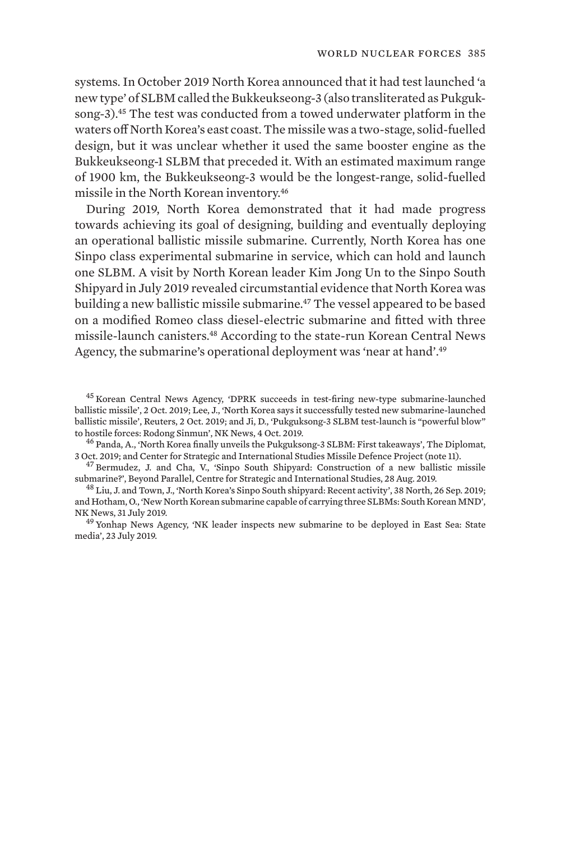systems. In October 2019 North Korea announced that it had test launched 'a new type' of SLBM called the Bukkeukseong-3 (also transliterated as Pukguksong-3).45 The test was conducted from a towed underwater platform in the waters off North Korea's east coast. The missile was a two-stage, solid-fuelled design, but it was unclear whether it used the same booster engine as the Bukkeukseong-1 SLBM that preceded it. With an estimated maximum range of 1900 km, the Bukkeukseong-3 would be the longest-range, solid-fuelled missile in the North Korean inventory.<sup>46</sup>

During 2019, North Korea demonstrated that it had made progress towards achieving its goal of designing, building and eventually deploying an operational ballistic missile submarine. Currently, North Korea has one Sinpo class experimental submarine in service, which can hold and launch one SLBM. A visit by North Korean leader Kim Jong Un to the Sinpo South Shipyard in July 2019 revealed circumstantial evidence that North Korea was building a new ballistic missile submarine.<sup>47</sup> The vessel appeared to be based on a modified Romeo class diesel-electric submarine and fitted with three missile-launch canisters.48 According to the state-run Korean Central News Agency, the submarine's operational deployment was 'near at hand'.<sup>49</sup>

<sup>45</sup> Korean Central News Agency, 'DPRK succeeds in test-firing new-type submarine-launched ballistic missile', 2 Oct. 2019; Lee, J., '[North Korea says it successfully tested new submarine-launched](https://www.reuters.com/article/us-northkorea-missiles/north-korea-says-it-successfully-tested-new-submarine-launched-ballistic-missile-idUSKBN1WH2GS) [ballistic missile'](https://www.reuters.com/article/us-northkorea-missiles/north-korea-says-it-successfully-tested-new-submarine-launched-ballistic-missile-idUSKBN1WH2GS), Reuters, 2 Oct. 2019; and Ji, D., ['Pukguksong-3 SLBM test-launch is "powerful blow"](https://www.nknews.org/2019/10/pukguksong-3-slbm-test-launch-is-powerful-blow-to-hostile-forces-rodong-sinmun/)

 $^{46}$  Panda, A., ['North Korea finally unveils the Pukguksong-3 SLBM: First takeaways'](https://thediplomat.com/2019/10/north-korea-finally-unveils-the-pukguksong-3-slbm-first-takeaways/), The Diplomat, 3 Oct. 2019: and Center for Strategic and International Studies Missile Defence Project (note 11).

 $37$  Bermudez, J. and Cha, V., '[Sinpo South Shipyard: Construction of a new ballistic missile](https://beyondparallel.csis.org/sinpo-south-shipyard-construction-of-a-new-ballistic-missile-submarine/) submarine?' Beyond Parallel. Centre for Strategic and International Studies, 28 Aug. 2019.

<sup>48</sup> Liu, J. and Town, J., '[North Korea's Sinpo South shipyard: Recent activity](https://www.38north.org/2019/09/sinpo092619/)', 38 North, 26 Sep. 2019; and Hotham, O., '[New North Korean submarine capable of carrying three SLBMs: South Korean MND'](https://www.nknews.org/2019/07/new-north-korean-submarine-capable-of-carrying-three-slbms-south-korean-mnd/?t=1586252104390), NK News, 31 July 2019.<br><sup>49</sup> Yonhap News Agency, ['NK leader inspects new submarine to be deployed in East Sea: State](https://en.yna.co.kr/view/AEN20190723001600325)

[media'](https://en.yna.co.kr/view/AEN20190723001600325), 23 July 2019.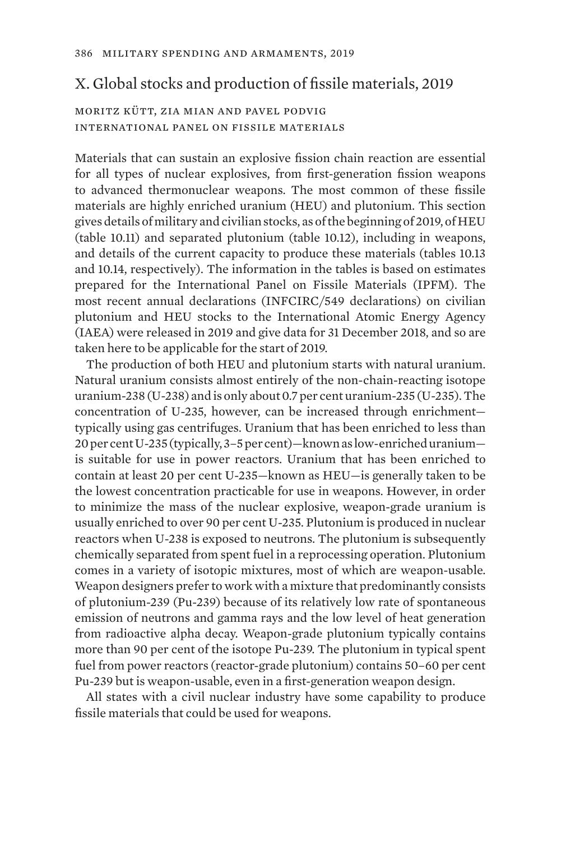# X. Global stocks and production of fissile materials, 2019

# moritz kütt, zia mian and pavel podvig international panel on fissile materials

Materials that can sustain an explosive fission chain reaction are essential for all types of nuclear explosives, from first-generation fission weapons to advanced thermonuclear weapons. The most common of these fissile materials are highly enriched uranium (HEU) and plutonium. This section gives details of military and civilian stocks, as of the beginning of 2019, of HEU (table 10.11) and separated plutonium (table 10.12), including in weapons, and details of the current capacity to produce these materials (tables 10.13 and 10.14, respectively). The information in the tables is based on estimates prepared for the International Panel on Fissile Materials (IPFM). The most recent annual declarations (INFCIRC/549 declarations) on civilian plutonium and HEU stocks to the International Atomic Energy Agency (IAEA) were released in 2019 and give data for 31 December 2018, and so are taken here to be applicable for the start of 2019.

The production of both HEU and plutonium starts with natural uranium. Natural uranium consists almost entirely of the non-chain-reacting isotope uranium-238 (U-238) and is only about 0.7 per cent uranium-235 (U-235). The concentration of U-235, however, can be increased through enrichment typically using gas centrifuges. Uranium that has been enriched to less than 20 per cent U-235 (typically, 3–5 per cent)—known as low-enriched uranium is suitable for use in power reactors. Uranium that has been enriched to contain at least 20 per cent U-235—known as HEU—is generally taken to be the lowest concentration practicable for use in weapons. However, in order to minimize the mass of the nuclear explosive, weapon-grade uranium is usually enriched to over 90 per cent U-235. Plutonium is produced in nuclear reactors when U-238 is exposed to neutrons. The plutonium is subsequently chemically separated from spent fuel in a reprocessing operation. Plutonium comes in a variety of isotopic mixtures, most of which are weapon-usable. Weapon designers prefer to work with a mixture that predominantly consists of plutonium-239 (Pu-239) because of its relatively low rate of spontaneous emission of neutrons and gamma rays and the low level of heat generation from radioactive alpha decay. Weapon-grade plutonium typically contains more than 90 per cent of the isotope Pu-239. The plutonium in typical spent fuel from power reactors (reactor-grade plutonium) contains 50–60 per cent Pu-239 but is weapon-usable, even in a first-generation weapon design.

All states with a civil nuclear industry have some capability to produce fissile materials that could be used for weapons.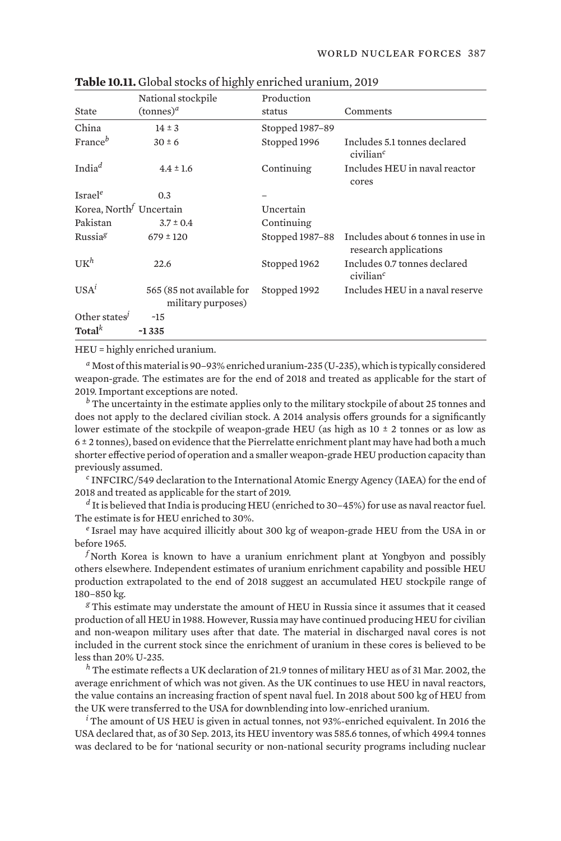| State                               | National stockpile<br>$(\text{tonnes})^d$       | Production<br>status | Comments                                                   |
|-------------------------------------|-------------------------------------------------|----------------------|------------------------------------------------------------|
|                                     |                                                 |                      |                                                            |
| China                               | $14 \pm 3$                                      | Stopped 1987-89      |                                                            |
| France <sup>b</sup>                 | $30 \pm 6$                                      | Stopped 1996         | Includes 5.1 tonnes declared<br>civilian <sup>c</sup>      |
| India <sup>d</sup>                  | $4.4 \pm 1.6$                                   | Continuing           | Includes HEU in naval reactor<br>cores                     |
| Israel <sup>e</sup>                 | 0.3                                             |                      |                                                            |
| Korea, North <sup>f</sup> Uncertain |                                                 | Uncertain            |                                                            |
| Pakistan                            | $3.7 \pm 0.4$                                   | Continuing           |                                                            |
| Russia <sup>g</sup>                 | $679 \pm 120$                                   | Stopped 1987–88      | Includes about 6 tonnes in use in<br>research applications |
| $\mathbf{U} \mathbf{K}^h$           | 22.6                                            | Stopped 1962         | Includes 0.7 tonnes declared<br>civilian <sup>c</sup>      |
| $USAi$                              | 565 (85 not available for<br>military purposes) | Stopped 1992         | Includes HEU in a naval reserve                            |
| Other states                        | ~15                                             |                      |                                                            |
| Total <sup><math>k</math></sup>     | $-1335$                                         |                      |                                                            |

**Table 10.11.** Global stocks of highly enriched uranium, 2019

HEU = highly enriched uranium.

*<sup>a</sup>* Most of this material is 90–93% enriched uranium-235 (U-235), which is typically considered weapon-grade. The estimates are for the end of 2018 and treated as applicable for the start of 2019. Important exceptions are noted.

*<sup>b</sup>* The uncertainty in the estimate applies only to the military stockpile of about 25 tonnes and does not apply to the declared civilian stock. A 2014 analysis offers grounds for a significantly lower estimate of the stockpile of weapon-grade HEU (as high as 10 ± 2 tonnes or as low as 6 ± 2 tonnes), based on evidence that the Pierrelatte enrichment plant may have had both a much shorter effective period of operation and a smaller weapon-grade HEU production capacity than previously assumed.

*<sup>c</sup>* INFCIRC/549 declaration to the International Atomic Energy Agency (IAEA) for the end of 2018 and treated as applicable for the start of 2019.

*<sup>d</sup>* It is believed that India is producing HEU (enriched to 30–45%) for use as naval reactor fuel. The estimate is for HEU enriched to 30%.

*<sup>e</sup>* Israel may have acquired illicitly about 300 kg of weapon-grade HEU from the USA in or before 1965.

*<sup>f</sup>* North Korea is known to have a uranium enrichment plant at Yongbyon and possibly others elsewhere. Independent estimates of uranium enrichment capability and possible HEU production extrapolated to the end of 2018 suggest an accumulated HEU stockpile range of 180–850 kg.

*<sup>g</sup>* This estimate may understate the amount of HEU in Russia since it assumes that it ceased production of all HEU in 1988. However, Russia may have continued producing HEU for civilian and non-weapon military uses after that date. The material in discharged naval cores is not included in the current stock since the enrichment of uranium in these cores is believed to be less than 20% U-235.

*<sup>h</sup>* The estimate reflects a UK declaration of 21.9 tonnes of military HEU as of 31 Mar. 2002, the average enrichment of which was not given. As the UK continues to use HEU in naval reactors, the value contains an increasing fraction of spent naval fuel. In 2018 about 500 kg of HEU from the UK were transferred to the USA for downblending into low-enriched uranium.

*<sup>i</sup>* The amount of US HEU is given in actual tonnes, not 93%-enriched equivalent. In 2016 the USA declared that, as of 30 Sep. 2013, its HEU inventory was 585.6 tonnes, of which 499.4 tonnes was declared to be for 'national security or non-national security programs including nuclear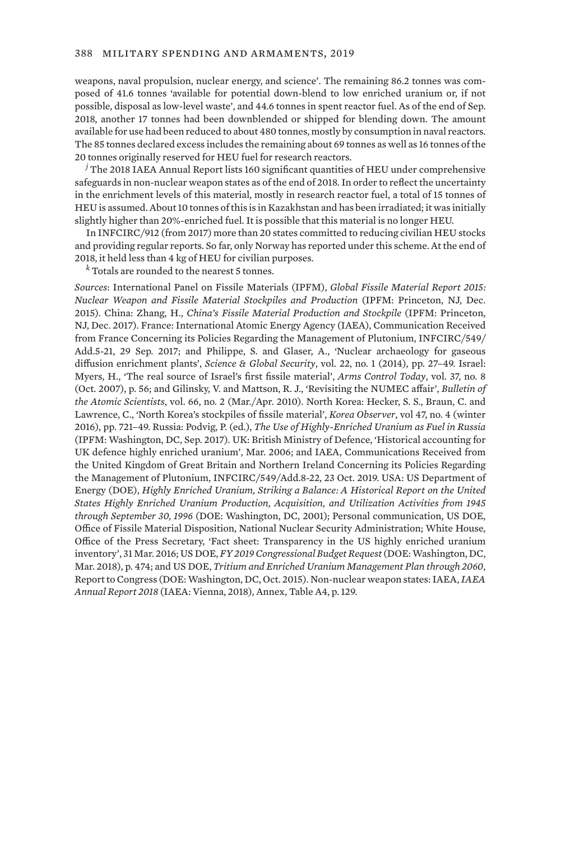weapons, naval propulsion, nuclear energy, and science'. The remaining 86.2 tonnes was composed of 41.6 tonnes 'available for potential down-blend to low enriched uranium or, if not possible, disposal as low-level waste', and 44.6 tonnes in spent reactor fuel. As of the end of Sep. 2018, another 17 tonnes had been downblended or shipped for blending down. The amount available for use had been reduced to about 480 tonnes, mostly by consumption in naval reactors. The 85 tonnes declared excess includes the remaining about 69 tonnes as well as 16 tonnes of the 20 tonnes originally reserved for HEU fuel for research reactors.

*<sup>j</sup>* The 2018 IAEA Annual Report lists 160 significant quantities of HEU under comprehensive safeguards in non-nuclear weapon states as of the end of 2018. In order to reflect the uncertainty in the enrichment levels of this material, mostly in research reactor fuel, a total of 15 tonnes of HEU is assumed. About 10 tonnes of this is in Kazakhstan and has been irradiated; it was initially slightly higher than 20%-enriched fuel. It is possible that this material is no longer HEU.

In INFCIRC/912 (from 2017) more than 20 states committed to reducing civilian HEU stocks and providing regular reports. So far, only Norway has reported under this scheme. At the end of 2018, it held less than 4 kg of HEU for civilian purposes.

*<sup>k</sup>* Totals are rounded to the nearest 5 tonnes.

*Sources*: International Panel on Fissile Materials (IPFM), *Global Fissile Material Report 2015: Nuclear Weapon and Fissile Material Stockpiles and Production* (IPFM: Princeton, NJ, Dec. 2015). China: Zhang, H., *China's Fissile Material Production and Stockpile* (IPFM: Princeton, NJ, Dec. 2017). France: International Atomic Energy Agency (IAEA), Communication Received from France Concerning its Policies Regarding the Management of Plutonium, INFCIRC/549/ Add.5-21, 29 Sep. 2017; and Philippe, S. and Glaser, A., 'Nuclear archaeology for gaseous diffusion enrichment plants', *Science & Global Security*, vol. 22, no. 1 (2014), pp. 27–49. Israel: Myers, H., 'The real source of Israel's first fissile material', *Arms Control Today*, vol. 37, no. 8 (Oct. 2007), p. 56; and Gilinsky, V. and Mattson, R. J., 'Revisiting the NUMEC affair', *Bulletin of the Atomic Scientists*, vol. 66, no. 2 (Mar./Apr. 2010). North Korea: Hecker, S. S., Braun, C. and Lawrence, C., ['North Korea's stockpiles of fissile material](http://www.iks.or.kr/rankup_module/rankup_board/attach/vol47no4/14833231665766.pdf)', *Korea Observer*, vol 47, no. 4 (winter 2016), pp. 721–49. Russia: Podvig, P. (ed.), *The Use of Highly-Enriched Uranium as Fuel in Russia* (IPFM: Washington, DC, Sep. 2017). UK: British Ministry of Defence, 'Historical accounting for UK defence highly enriched uranium', Mar. 2006; and IAEA, [Communications Received from](https://www.iaea.org/sites/default/files/publications/documents/infcircs/1998/infcirc549a8-20.pdf) [the United Kingdom of Great Britain and Northern Ireland Concerning its Policies Regarding](https://www.iaea.org/sites/default/files/publications/documents/infcircs/1998/infcirc549a8-20.pdf) [the Management of Plutonium,](https://www.iaea.org/sites/default/files/publications/documents/infcircs/1998/infcirc549a8-20.pdf) INFCIRC/549/Add.8-22, 23 Oct. 2019. USA: US Department of Energy (DOE), *Highly Enriched Uranium, Striking a Balance: A Historical Report on the United States Highly Enriched Uranium Production, Acquisition, and Utilization Activities from 1945 through September 30, 1996* (DOE: Washington, DC, 2001); Personal communication, US DOE, Office of Fissile Material Disposition, National Nuclear Security Administration; White House, Office of the Press Secretary, 'Fact sheet: Transparency in the US highly enriched uranium inventory', 31 Mar. 2016; US DOE, *FY 2019 Congressional Budget Request* (DOE: Washington, DC, Mar. 2018), p. 474; and US DOE, *[Tritium and Enriched Uranium Management Plan through 2060](http://fissilematerials.org/library/doe15b.pdf)*, Report to Congress (DOE: Washington, DC, Oct. 2015). Non-nuclear weapon states: IAEA, *IAEA Annual Report 2018* (IAEA: Vienna, 2018), Annex, Table A4, p. 129.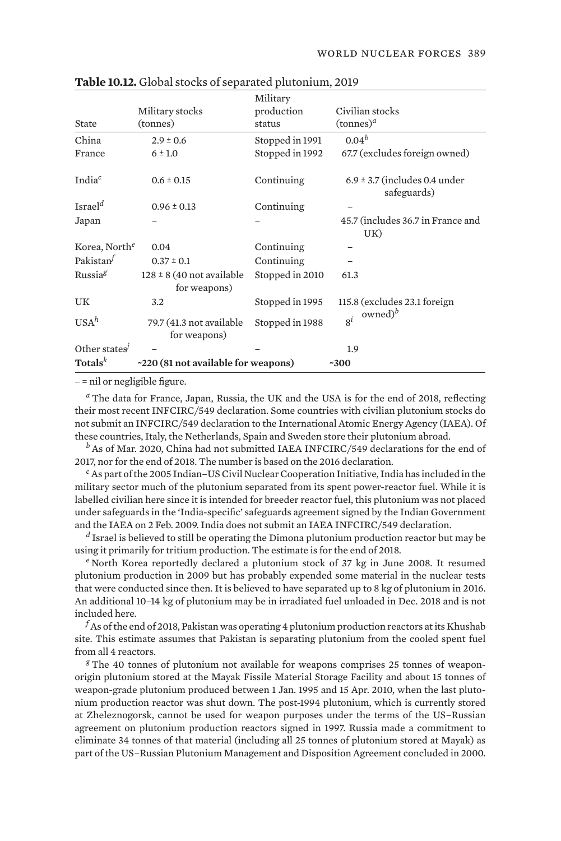| State                     | Military stocks<br>(tonnes)                   | Military<br>production<br>status | Civilian stocks<br>$(\text{tonnes})^d$           |
|---------------------------|-----------------------------------------------|----------------------------------|--------------------------------------------------|
| China                     | $2.9 \pm 0.6$                                 | Stopped in 1991                  | $0.04^{b}$                                       |
| France                    | $6 \pm 1.0$                                   | Stopped in 1992                  | 67.7 (excludes foreign owned)                    |
| India <sup>c</sup>        | $0.6 \pm 0.15$                                | Continuing                       | $6.9 \pm 3.7$ (includes 0.4 under<br>safeguards) |
| Israel <sup>d</sup>       | $0.96 \pm 0.13$                               | Continuing                       |                                                  |
| Japan                     |                                               |                                  | 45.7 (includes 36.7 in France and<br>UK)         |
| Korea, North <sup>e</sup> | 0.04                                          | Continuing                       |                                                  |
| Pakistan $^f$             | $0.37 \pm 0.1$                                | Continuing                       |                                                  |
| Russia <sup>g</sup>       | $128 \pm 8$ (40 not available<br>for weapons) | Stopped in 2010                  | 61.3                                             |
| <b>UK</b>                 | 3.2                                           | Stopped in 1995                  | 115.8 (excludes 23.1 foreign                     |
| $USAh$                    | 79.7 (41.3 not available<br>for weapons)      | Stopped in 1988                  | owned $)^b$<br>$8^{i}$                           |
| Other states              |                                               |                                  | 1.9                                              |
| Totals $k$                | ~220 (81 not available for weapons)           |                                  | $-300$                                           |

| Table 10.12. Global stocks of separated plutonium, 2019 |  |  |
|---------------------------------------------------------|--|--|
|---------------------------------------------------------|--|--|

– = nil or negligible figure.

*<sup>a</sup>* The data for France, Japan, Russia, the UK and the USA is for the end of 2018, reflecting their most recent INFCIRC/549 declaration. Some countries with civilian plutonium stocks do not submit an INFCIRC/549 declaration to the International Atomic Energy Agency (IAEA). Of these countries, Italy, the Netherlands, Spain and Sweden store their plutonium abroad.

*<sup>b</sup>* As of Mar. 2020, China had not submitted IAEA INFCIRC/549 declarations for the end of 2017, nor for the end of 2018. The number is based on the 2016 declaration.

*<sup>c</sup>* As part of the 2005 Indian–US Civil Nuclear Cooperation Initiative, India has included in the military sector much of the plutonium separated from its spent power-reactor fuel. While it is labelled civilian here since it is intended for breeder reactor fuel, this plutonium was not placed under safeguards in the 'India-specific' safeguards agreement signed by the Indian Government and the IAEA on 2 Feb. 2009. India does not submit an IAEA INFCIRC/549 declaration.

*<sup>d</sup>* Israel is believed to still be operating the Dimona plutonium production reactor but may be using it primarily for tritium production. The estimate is for the end of 2018.

*<sup>e</sup>* North Korea reportedly declared a plutonium stock of 37 kg in June 2008. It resumed plutonium production in 2009 but has probably expended some material in the nuclear tests that were conducted since then. It is believed to have separated up to 8 kg of plutonium in 2016. An additional 10–14 kg of plutonium may be in irradiated fuel unloaded in Dec. 2018 and is not included here.

*<sup>f</sup>* As of the end of 2018, Pakistan was operating 4 plutonium production reactors at its Khushab site. This estimate assumes that Pakistan is separating plutonium from the cooled spent fuel from all 4 reactors.

<sup>g</sup> The 40 tonnes of plutonium not available for weapons comprises 25 tonnes of weaponorigin plutonium stored at the Mayak Fissile Material Storage Facility and about 15 tonnes of weapon-grade plutonium produced between 1 Jan. 1995 and 15 Apr. 2010, when the last plutonium production reactor was shut down. The post-1994 plutonium, which is currently stored at Zheleznogorsk, cannot be used for weapon purposes under the terms of the US–Russian agreement on plutonium production reactors signed in 1997. Russia made a commitment to eliminate 34 tonnes of that material (including all 25 tonnes of plutonium stored at Mayak) as part of the US–Russian Plutonium Management and Disposition Agreement concluded in 2000.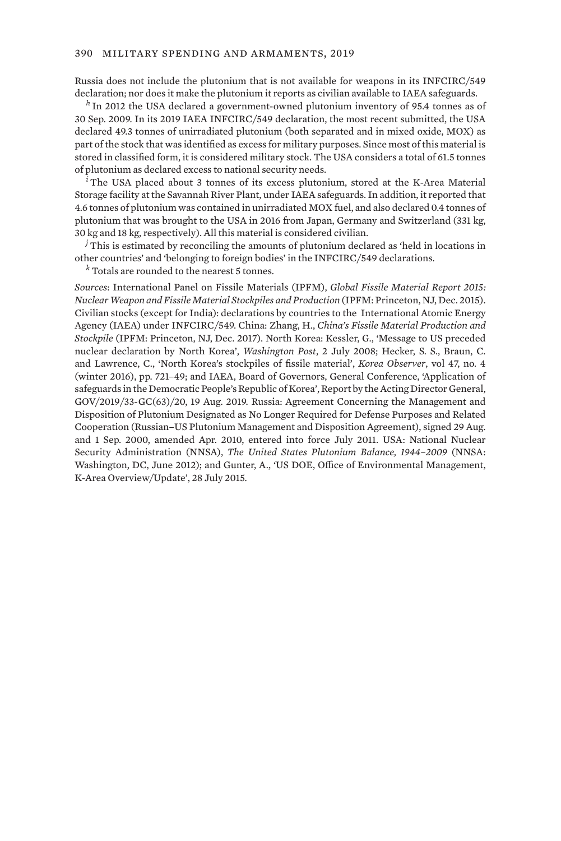#### 390 military spending and armaments, 2019

Russia does not include the plutonium that is not available for weapons in its INFCIRC/549 declaration; nor does it make the plutonium it reports as civilian available to IAEA safeguards.

*<sup>h</sup>* In 2012 the USA declared a government-owned plutonium inventory of 95.4 tonnes as of 30 Sep. 2009. In its 2019 IAEA INFCIRC/549 declaration, the most recent submitted, the USA declared 49.3 tonnes of unirradiated plutonium (both separated and in mixed oxide, MOX) as part of the stock that was identified as excess for military purposes. Since most of this material is stored in classified form, it is considered military stock. The USA considers a total of 61.5 tonnes of plutonium as declared excess to national security needs.

*<sup>i</sup>* The USA placed about 3 tonnes of its excess plutonium, stored at the K-Area Material Storage facility at the Savannah River Plant, under IAEA safeguards. In addition, it reported that 4.6 tonnes of plutonium was contained in unirradiated MOX fuel, and also declared 0.4 tonnes of plutonium that was brought to the USA in 2016 from Japan, Germany and Switzerland (331 kg, 30 kg and 18 kg, respectively). All this material is considered civilian.

*<sup>j</sup>* This is estimated by reconciling the amounts of plutonium declared as 'held in locations in other countries' and 'belonging to foreign bodies' in the INFCIRC/549 declarations.

*<sup>k</sup>* Totals are rounded to the nearest 5 tonnes.

*Sources*: International Panel on Fissile Materials (IPFM), *Global Fissile Material Report 2015: Nuclear Weapon and Fissile Material Stockpiles and Production* (IPFM: Princeton, NJ, Dec. 2015). Civilian stocks (except for India): declarations by countries to the International Atomic Energy Agency (IAEA) under INFCIRC/549. China: Zhang, H., *China's Fissile Material Production and Stockpile* (IPFM: Princeton, NJ, Dec. 2017). North Korea: Kessler, G., 'Message to US preceded nuclear declaration by North Korea', *Washington Post*, 2 July 2008; Hecker, S. S., Braun, C. and Lawrence, C., '[North Korea's stockpiles of fissile material](http://www.iks.or.kr/rankup_module/rankup_board/attach/vol47no4/14833231665766.pdf)', *Korea Observer*, vol 47, no. 4 (winter 2016), pp. 721–49; and IAEA, Board of Governors, General Conference, ['Application of](https://www.iaea.org/sites/default/files/gc/gc63-20.pdf) [safeguards in the Democratic People's Republic of Korea'](https://www.iaea.org/sites/default/files/gc/gc63-20.pdf), Report by the Acting Director General, GOV/2019/33-GC(63)/20, 19 Aug. 2019. Russia: Agreement Concerning the Management and Disposition of Plutonium Designated as No Longer Required for Defense Purposes and Related Cooperation (Russian–US Plutonium Management and Disposition Agreement), signed 29 Aug. and 1 Sep. 2000, amended Apr. 2010, entered into force July 2011. USA: National Nuclear Security Administration (NNSA), *The United States Plutonium Balance, 1944–2009* (NNSA: Washington, DC, June 2012); and Gunter, A., 'US DOE, Office of Environmental Management, K-Area Overview/Update', 28 July 2015.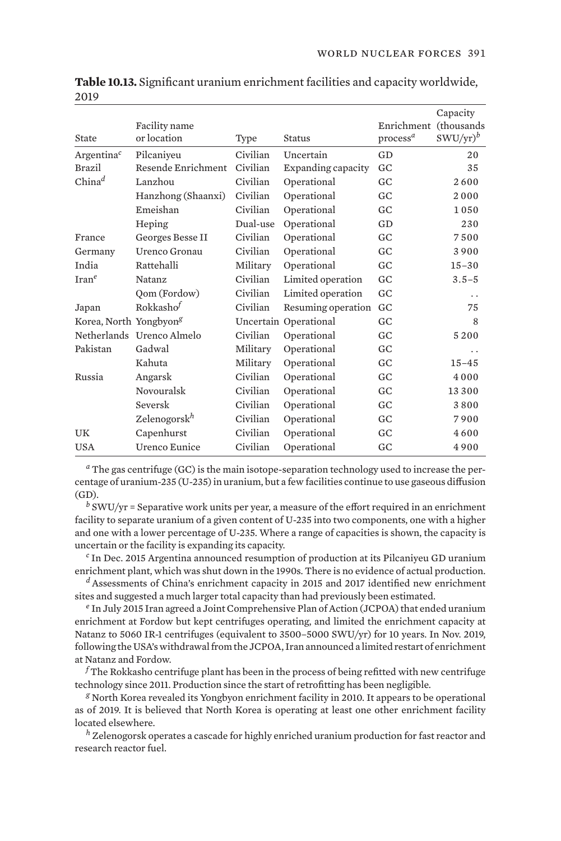| State                              | Facility name<br>or location | Type     | Status                | Enrichment<br>process <sup>a</sup> | Capacity<br>(thousands<br>$SWU/yr)^b$ |
|------------------------------------|------------------------------|----------|-----------------------|------------------------------------|---------------------------------------|
| $Argentina^c$                      | Pilcaniyeu                   | Civilian | Uncertain             | GD                                 | 20                                    |
| <b>Brazil</b>                      | Resende Enrichment           | Civilian | Expanding capacity    | GC                                 | 35                                    |
| $China^d$                          | Lanzhou                      | Civilian | Operational           | GC.                                | 2600                                  |
|                                    | Hanzhong (Shaanxi)           | Civilian | Operational           | G <sub>C</sub>                     | 2000                                  |
|                                    | Emeishan                     | Civilian | Operational           | GC                                 | 1050                                  |
|                                    | Heping                       | Dual-use | Operational           | GD                                 | 230                                   |
| France                             | Georges Besse II             | Civilian | Operational           | GC                                 | 7500                                  |
| Germany                            | Urenco Gronau                | Civilian | Operational           | GC                                 | 3900                                  |
| India                              | Rattehalli                   | Military | Operational           | $G_{C}$                            | $15 - 30$                             |
| $\text{Iran}^e$                    | Natanz                       | Civilian | Limited operation     | GC                                 | $3.5 - 5$                             |
|                                    | Qom (Fordow)                 | Civilian | Limited operation     | GC                                 | $\ddot{\phantom{0}}$                  |
| Japan                              | $R$ okkasho $^f$             | Civilian | Resuming operation GC |                                    | 75                                    |
| Korea, North Yongbyon <sup>g</sup> |                              |          | Uncertain Operational | $G_{C}$                            | 8                                     |
|                                    | Netherlands Urenco Almelo    | Civilian | Operational           | GC                                 | 5200                                  |
| Pakistan                           | Gadwal                       | Military | Operational           | GC                                 | . .                                   |
|                                    | Kahuta                       | Military | Operational           | GC                                 | $15 - 45$                             |
| Russia                             | Angarsk                      | Civilian | Operational           | GC                                 | 4000                                  |
|                                    | Novouralsk                   | Civilian | Operational           | GC                                 | 13300                                 |
|                                    | Seversk                      | Civilian | Operational           | GC                                 | 3800                                  |
|                                    | Zelenogorsk <sup>h</sup>     | Civilian | Operational           | GC                                 | 7900                                  |
| UK                                 | Capenhurst                   | Civilian | Operational           | GC                                 | 4600                                  |
| <b>USA</b>                         | <b>Urenco Eunice</b>         | Civilian | Operational           | GC                                 | 4900                                  |

**Table 10.13.** Significant uranium enrichment facilities and capacity worldwide, 2019

*<sup>a</sup>* The gas centrifuge (GC) is the main isotope-separation technology used to increase the percentage of uranium-235 (U-235) in uranium, but a few facilities continue to use gaseous diffusion (GD).

 $<sup>b</sup> SWU/yr =$  Separative work units per year, a measure of the effort required in an enrichment</sup> facility to separate uranium of a given content of U-235 into two components, one with a higher and one with a lower percentage of U-235. Where a range of capacities is shown, the capacity is uncertain or the facility is expanding its capacity.

*<sup>c</sup>* In Dec. 2015 Argentina announced resumption of production at its Pilcaniyeu GD uranium enrichment plant, which was shut down in the 1990s. There is no evidence of actual production.

*<sup>d</sup>* Assessments of China's enrichment capacity in 2015 and 2017 identified new enrichment sites and suggested a much larger total capacity than had previously been estimated.

*<sup>e</sup>* In July 2015 Iran agreed a Joint Comprehensive Plan of Action (JCPOA) that ended uranium enrichment at Fordow but kept centrifuges operating, and limited the enrichment capacity at Natanz to 5060 IR-1 centrifuges (equivalent to 3500–5000 SWU/yr) for 10 years. In Nov. 2019, following the USA's withdrawal from the JCPOA, Iran announced a limited restart of enrichment at Natanz and Fordow.

*<sup>f</sup>* The Rokkasho centrifuge plant has been in the process of being refitted with new centrifuge technology since 2011. Production since the start of retrofitting has been negligible.

*<sup>g</sup>* North Korea revealed its Yongbyon enrichment facility in 2010. It appears to be operational as of 2019. It is believed that North Korea is operating at least one other enrichment facility located elsewhere.

*<sup>h</sup>* Zelenogorsk operates a cascade for highly enriched uranium production for fast reactor and research reactor fuel.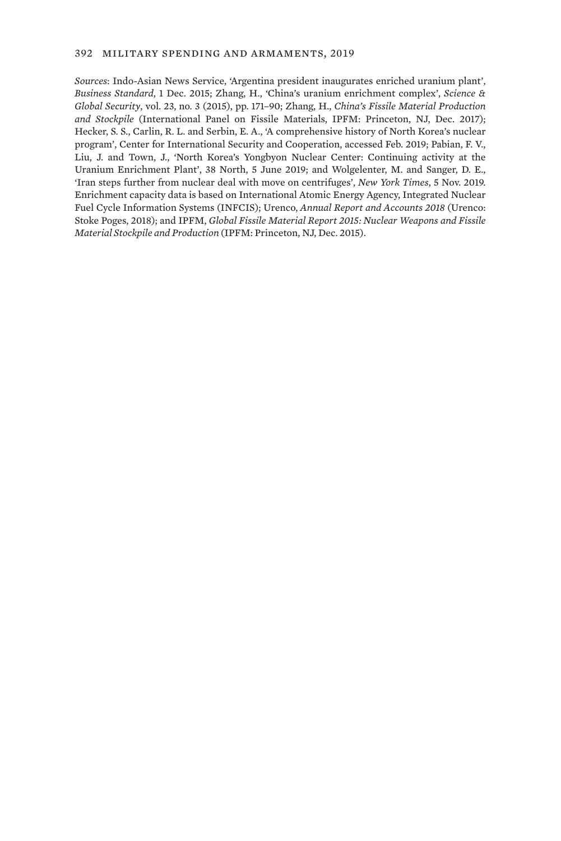*Sources*: Indo-Asian News Service, 'Argentina president inaugurates enriched uranium plant', *Business Standard*, 1 Dec. 2015; Zhang, H., 'China's uranium enrichment complex', *Science & Global Security*, vol. 23, no. 3 (2015), pp. 171–90; Zhang, H., *China's Fissile Material Production and Stockpile* (International Panel on Fissile Materials, IPFM: Princeton, NJ, Dec. 2017); Hecker, S. S., Carlin, R. L. and Serbin, E. A., 'A comprehensive history of North Korea's nuclear program', Center for International Security and Cooperation, accessed Feb. 2019; Pabian, F. V., Liu, J. and Town, J., ['North Korea's Yongbyon Nuclear Center: Continuing activity at the](https://www.38north.org/2019/06/yongbyon060519/) [Uranium Enrichment Plant'](https://www.38north.org/2019/06/yongbyon060519/), 38 North, 5 June 2019; and Wolgelenter, M. and Sanger, D. E., '[Iran steps further from nuclear deal with move on centrifuges'](https://www.nytimes.com/2019/11/05/world/middleeast/iran-nuclear-uranium-centrifuges.html), *New York Times*, 5 Nov. 2019. Enrichment capacity data is based on International Atomic Energy Agency, Integrated Nuclear Fuel Cycle Information Systems (INFCIS); Urenco, *Annual Report and Accounts 2018* (Urenco: Stoke Poges, 2018); and IPFM, *Global Fissile Material Report 2015: Nuclear Weapons and Fissile Material Stockpile and Production* (IPFM: Princeton, NJ, Dec. 2015).